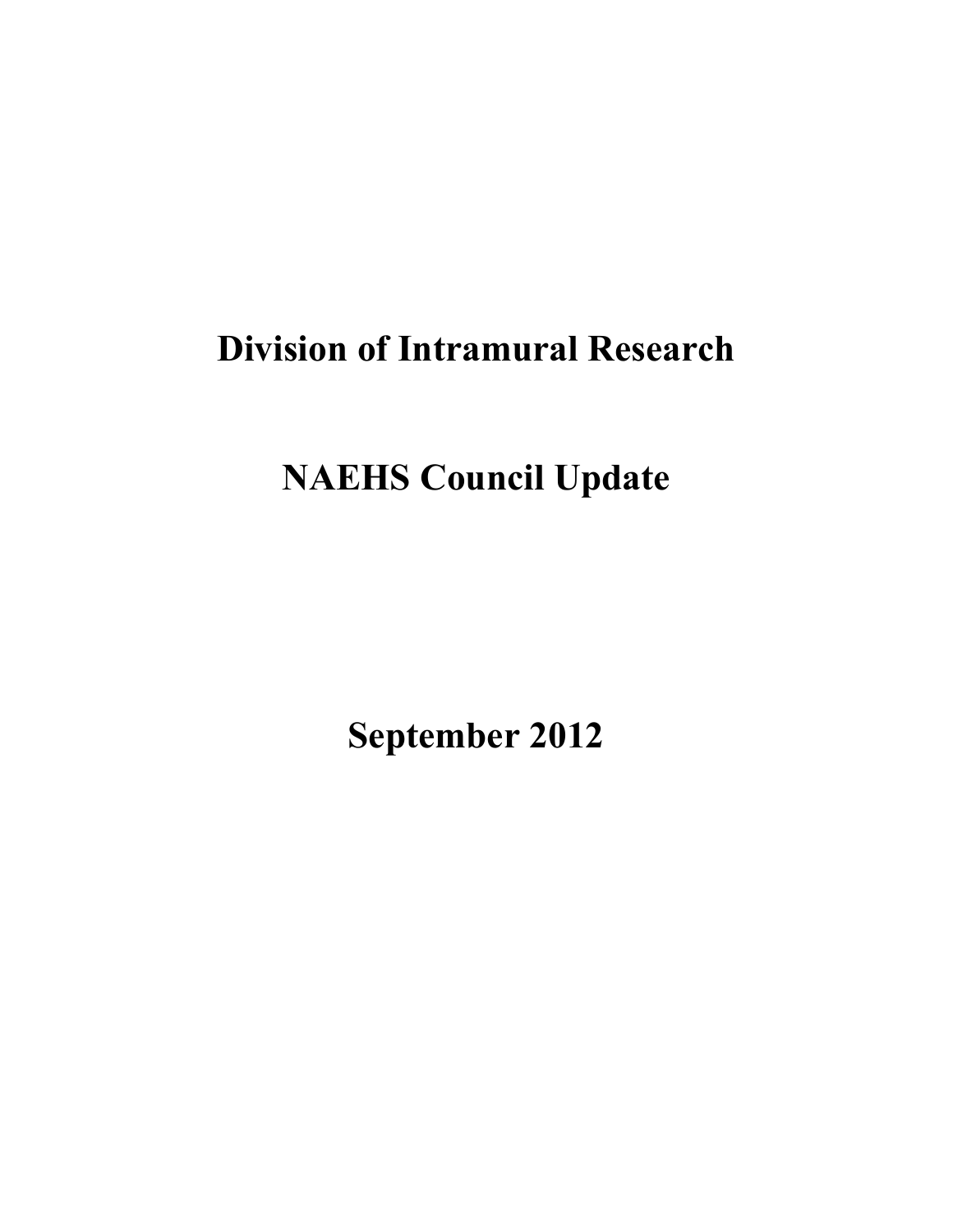# **Division of Intramural Research**

# **NAEHS Council Update**

**September 2012**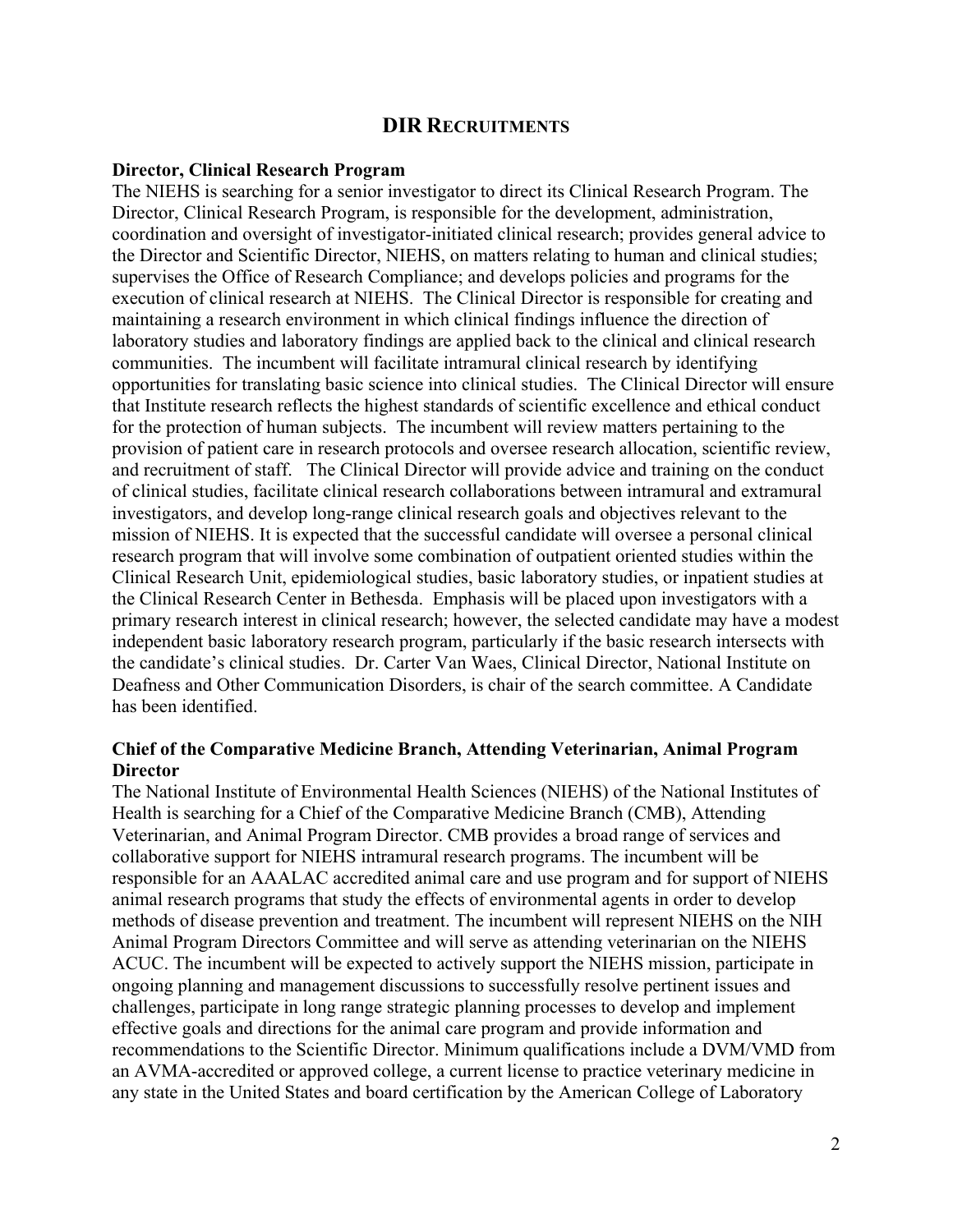## **DIR RECRUITMENTS**

#### **Director, Clinical Research Program**

The NIEHS is searching for a senior investigator to direct its Clinical Research Program. The Director, Clinical Research Program, is responsible for the development, administration, coordination and oversight of investigator-initiated clinical research; provides general advice to the Director and Scientific Director, NIEHS, on matters relating to human and clinical studies; supervises the Office of Research Compliance; and develops policies and programs for the execution of clinical research at NIEHS. The Clinical Director is responsible for creating and maintaining a research environment in which clinical findings influence the direction of laboratory studies and laboratory findings are applied back to the clinical and clinical research communities. The incumbent will facilitate intramural clinical research by identifying opportunities for translating basic science into clinical studies. The Clinical Director will ensure that Institute research reflects the highest standards of scientific excellence and ethical conduct for the protection of human subjects. The incumbent will review matters pertaining to the provision of patient care in research protocols and oversee research allocation, scientific review, and recruitment of staff. The Clinical Director will provide advice and training on the conduct of clinical studies, facilitate clinical research collaborations between intramural and extramural investigators, and develop long-range clinical research goals and objectives relevant to the mission of NIEHS. It is expected that the successful candidate will oversee a personal clinical research program that will involve some combination of outpatient oriented studies within the Clinical Research Unit, epidemiological studies, basic laboratory studies, or inpatient studies at the Clinical Research Center in Bethesda. Emphasis will be placed upon investigators with a primary research interest in clinical research; however, the selected candidate may have a modest independent basic laboratory research program, particularly if the basic research intersects with the candidate's clinical studies. Dr. Carter Van Waes, Clinical Director, National Institute on Deafness and Other Communication Disorders, is chair of the search committee. A Candidate has been identified.

#### **Chief of the Comparative Medicine Branch, Attending Veterinarian, Animal Program Director**

The National Institute of Environmental Health Sciences (NIEHS) of the National Institutes of Health is searching for a Chief of the Comparative Medicine Branch (CMB), Attending Veterinarian, and Animal Program Director. CMB provides a broad range of services and collaborative support for NIEHS intramural research programs. The incumbent will be responsible for an AAALAC accredited animal care and use program and for support of NIEHS animal research programs that study the effects of environmental agents in order to develop methods of disease prevention and treatment. The incumbent will represent NIEHS on the NIH Animal Program Directors Committee and will serve as attending veterinarian on the NIEHS ACUC. The incumbent will be expected to actively support the NIEHS mission, participate in ongoing planning and management discussions to successfully resolve pertinent issues and challenges, participate in long range strategic planning processes to develop and implement effective goals and directions for the animal care program and provide information and recommendations to the Scientific Director. Minimum qualifications include a DVM/VMD from an AVMA-accredited or approved college, a current license to practice veterinary medicine in any state in the United States and board certification by the American College of Laboratory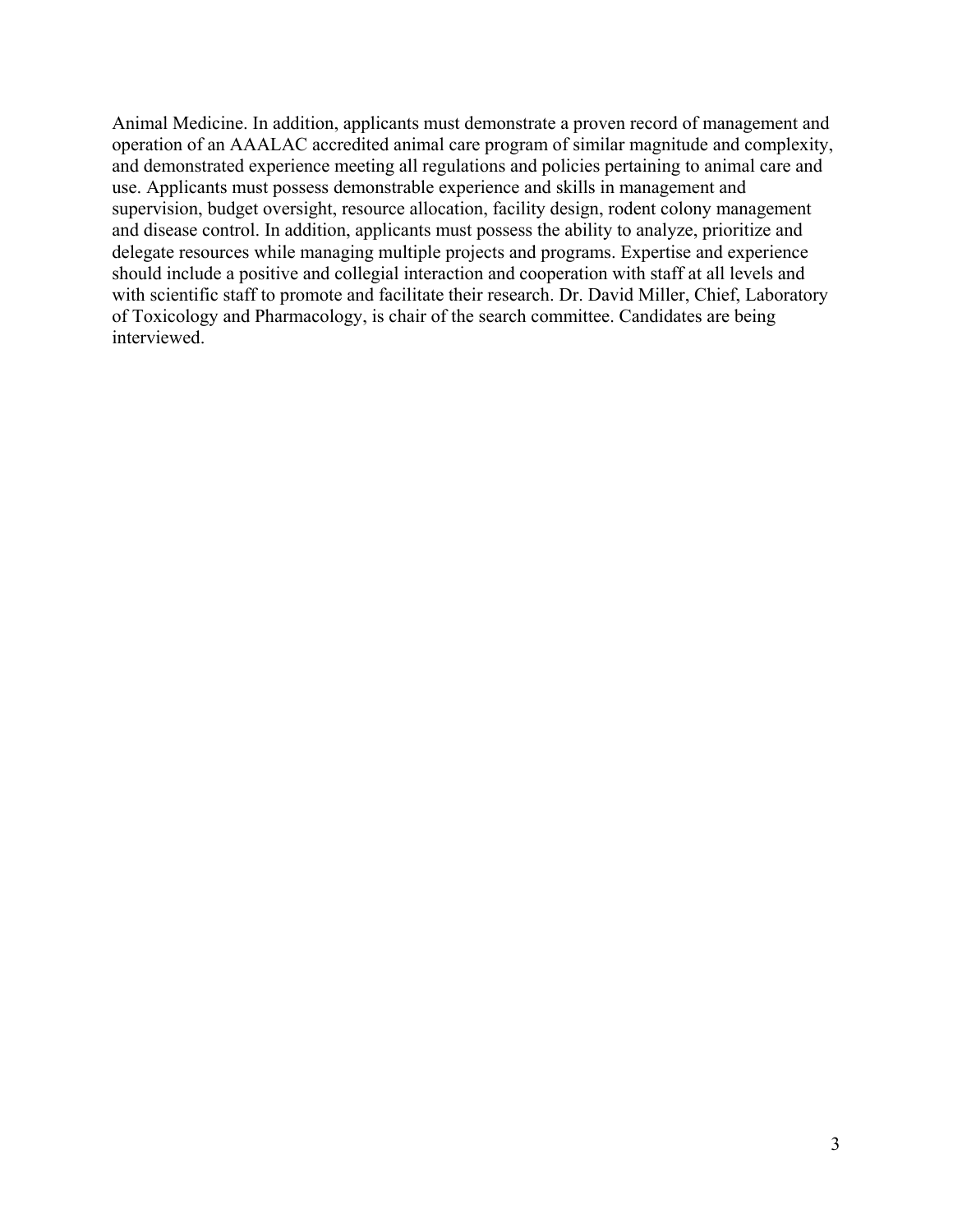Animal Medicine. In addition, applicants must demonstrate a proven record of management and operation of an AAALAC accredited animal care program of similar magnitude and complexity, and demonstrated experience meeting all regulations and policies pertaining to animal care and use. Applicants must possess demonstrable experience and skills in management and supervision, budget oversight, resource allocation, facility design, rodent colony management and disease control. In addition, applicants must possess the ability to analyze, prioritize and delegate resources while managing multiple projects and programs. Expertise and experience should include a positive and collegial interaction and cooperation with staff at all levels and with scientific staff to promote and facilitate their research. Dr. David Miller, Chief, Laboratory of Toxicology and Pharmacology, is chair of the search committee. Candidates are being interviewed.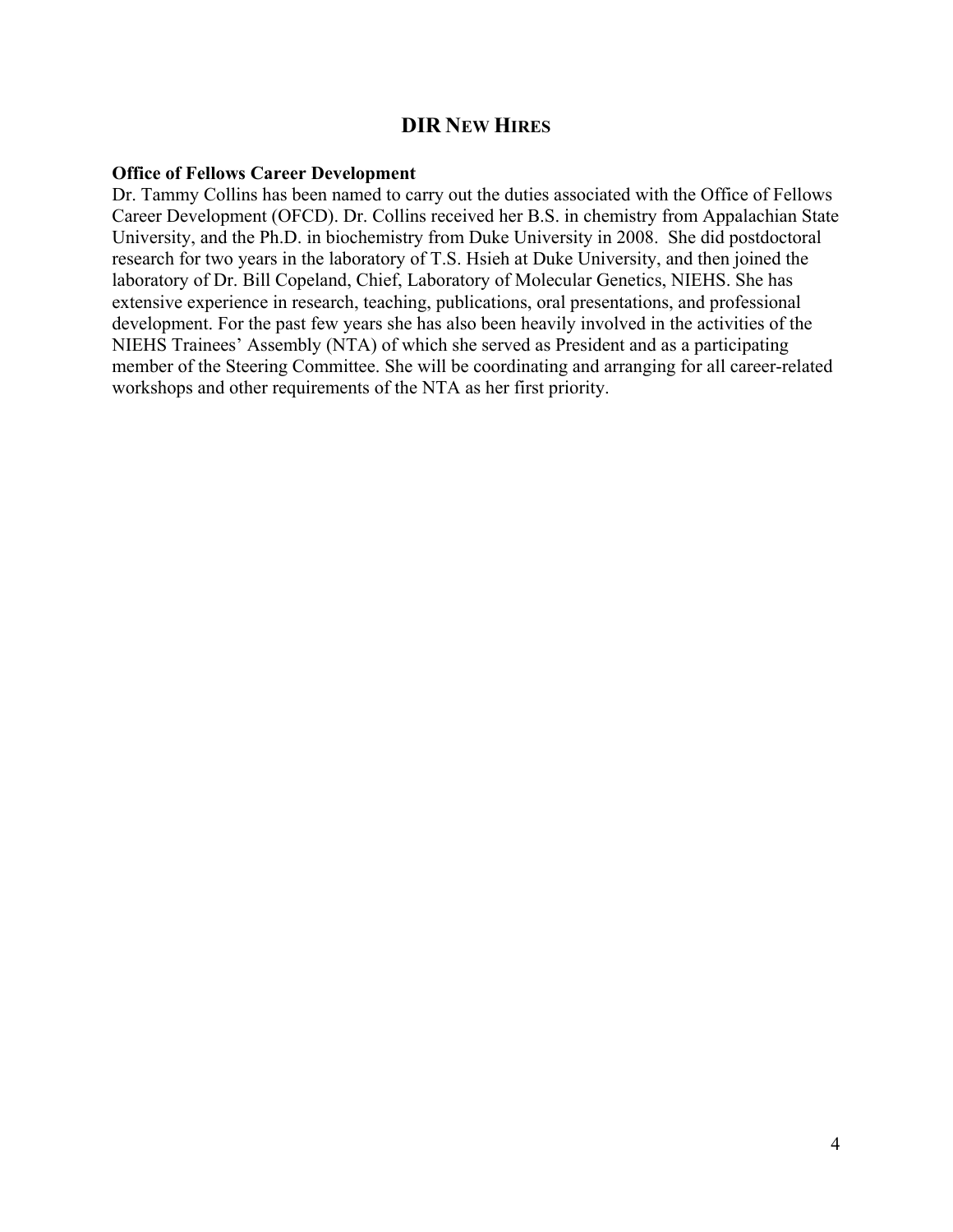## **DIR NEW HIRES**

#### **Office of Fellows Career Development**

Dr. Tammy Collins has been named to carry out the duties associated with the Office of Fellows Career Development (OFCD). Dr. Collins received her B.S. in chemistry from Appalachian State University, and the Ph.D. in biochemistry from Duke University in 2008. She did postdoctoral research for two years in the laboratory of T.S. Hsieh at Duke University, and then joined the laboratory of Dr. Bill Copeland, Chief, Laboratory of Molecular Genetics, NIEHS. She has extensive experience in research, teaching, publications, oral presentations, and professional development. For the past few years she has also been heavily involved in the activities of the NIEHS Trainees' Assembly (NTA) of which she served as President and as a participating member of the Steering Committee. She will be coordinating and arranging for all career-related workshops and other requirements of the NTA as her first priority.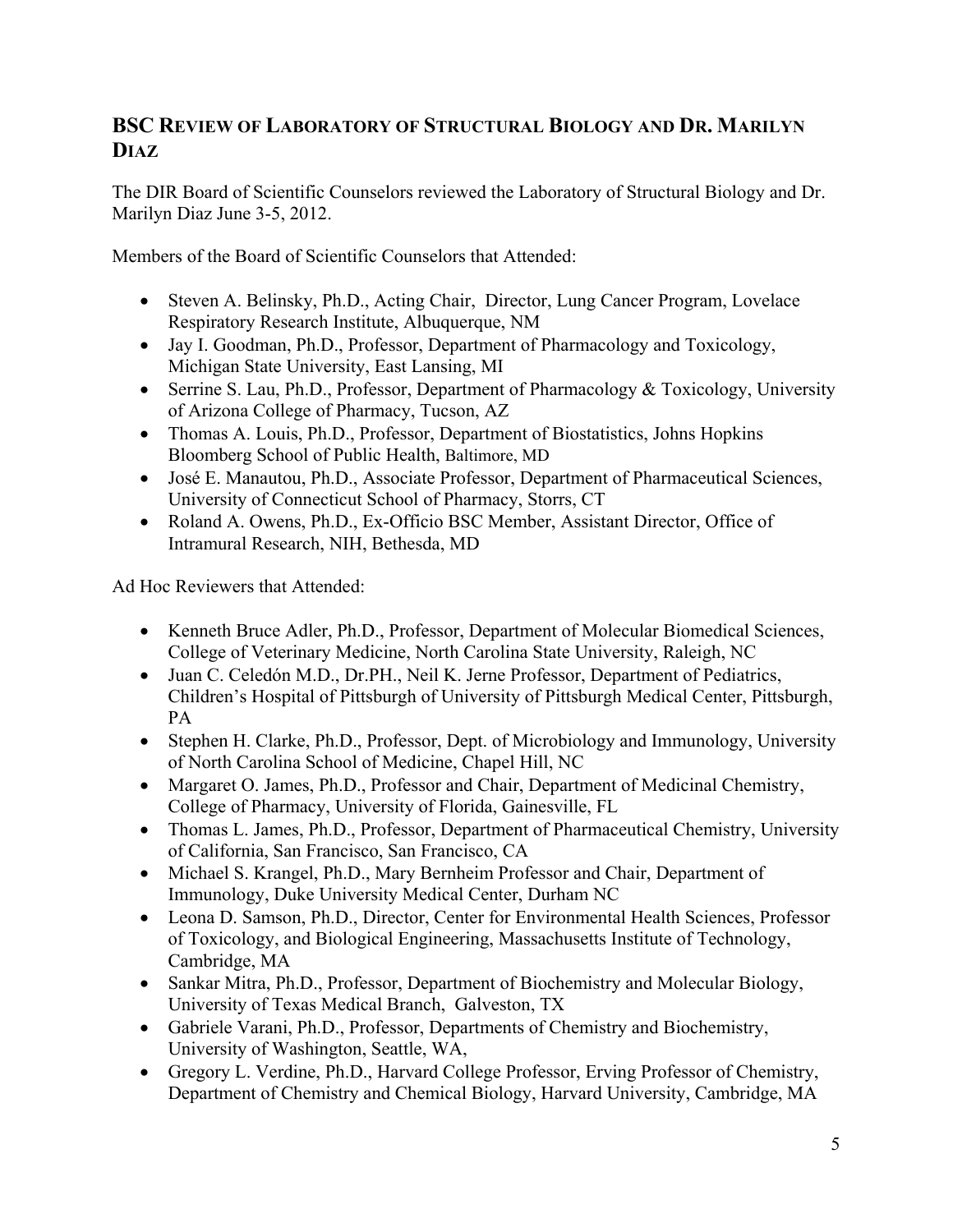## **BSC REVIEW OF LABORATORY OF STRUCTURAL BIOLOGY AND DR. MARILYN DIAZ**

The DIR Board of Scientific Counselors reviewed the Laboratory of Structural Biology and Dr. Marilyn Diaz June 3-5, 2012.

Members of the Board of Scientific Counselors that Attended:

- Steven A. Belinsky, Ph.D., Acting Chair, Director, Lung Cancer Program, Lovelace Respiratory Research Institute, Albuquerque, NM
- Jay I. Goodman, Ph.D., Professor, Department of Pharmacology and Toxicology, Michigan State University, East Lansing, MI
- Serrine S. Lau, Ph.D., Professor, Department of Pharmacology & Toxicology, University of Arizona College of Pharmacy, Tucson, AZ
- Thomas A. Louis, Ph.D., Professor, Department of Biostatistics, Johns Hopkins Bloomberg School of Public Health, Baltimore, MD
- José E. Manautou, Ph.D., Associate Professor, Department of Pharmaceutical Sciences, University of Connecticut School of Pharmacy, Storrs, CT
- Roland A. Owens, Ph.D., Ex-Officio BSC Member, Assistant Director, Office of Intramural Research, NIH, Bethesda, MD

Ad Hoc Reviewers that Attended:

- Kenneth Bruce Adler, Ph.D., Professor, Department of Molecular Biomedical Sciences, College of Veterinary Medicine, North Carolina State University, Raleigh, NC
- Juan C. Celedón M.D., Dr.PH., Neil K. Jerne Professor, Department of Pediatrics, Children's Hospital of Pittsburgh of University of Pittsburgh Medical Center, Pittsburgh, PA
- Stephen H. Clarke, Ph.D., Professor, Dept. of Microbiology and Immunology, University of North Carolina School of Medicine, Chapel Hill, NC
- Margaret O. James, Ph.D., Professor and Chair, Department of Medicinal Chemistry, College of Pharmacy, University of Florida, Gainesville, FL
- Thomas L. James, Ph.D., Professor, Department of Pharmaceutical Chemistry, University of California, San Francisco, San Francisco, CA
- Michael S. Krangel, Ph.D., Mary Bernheim Professor and Chair, Department of Immunology, Duke University Medical Center, Durham NC
- Leona D. Samson, Ph.D., Director, Center for Environmental Health Sciences, Professor of Toxicology, and Biological Engineering, Massachusetts Institute of Technology, Cambridge, MA
- Sankar Mitra, Ph.D., Professor, Department of Biochemistry and Molecular Biology, University of Texas Medical Branch, Galveston, TX
- Gabriele Varani, Ph.D., Professor, Departments of Chemistry and Biochemistry, University of Washington, Seattle, WA,
- Gregory L. Verdine, Ph.D., Harvard College Professor, Erving Professor of Chemistry, Department of Chemistry and Chemical Biology, Harvard University, Cambridge, MA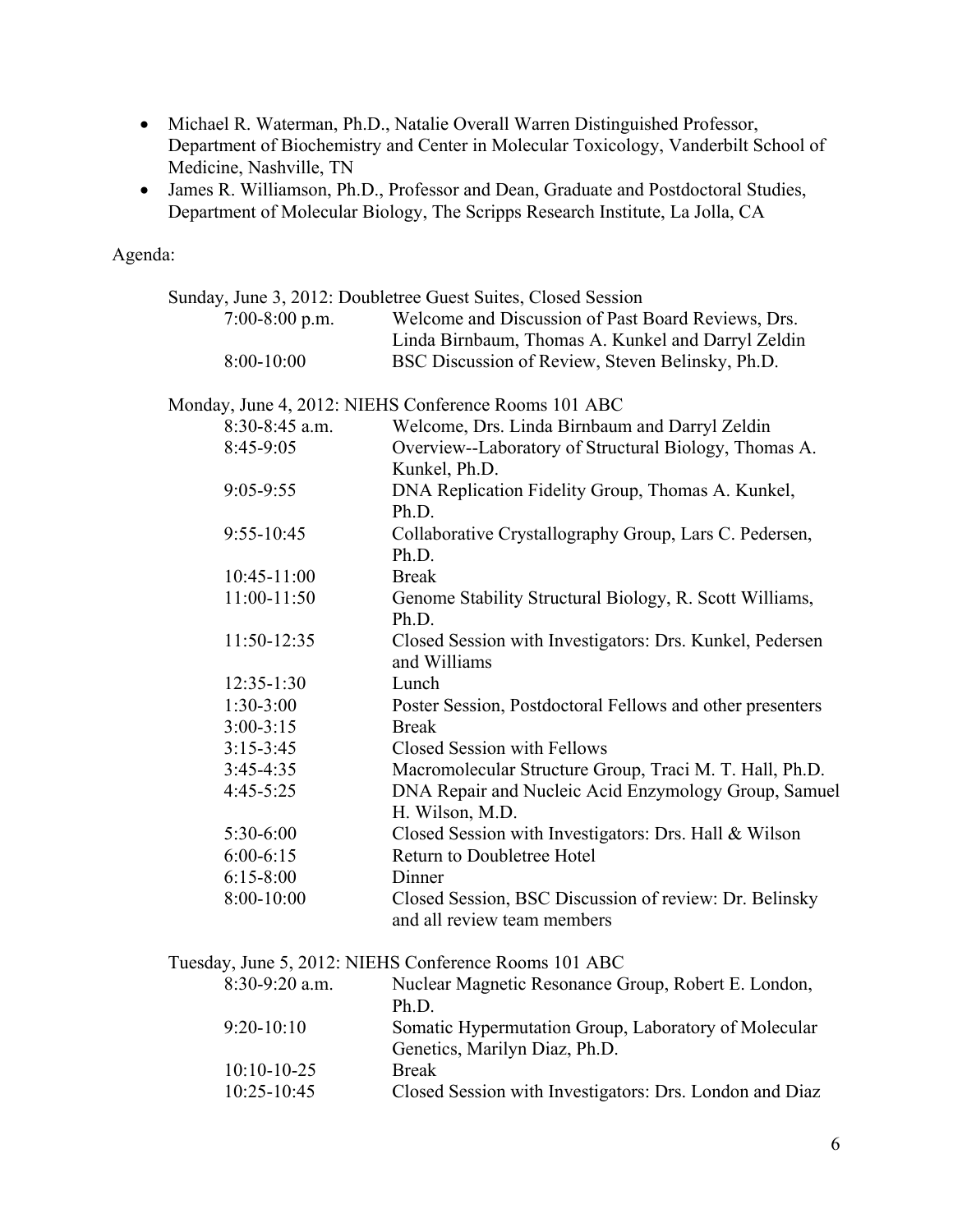- Michael R. Waterman, Ph.D., Natalie Overall Warren Distinguished Professor, Department of Biochemistry and Center in Molecular Toxicology, Vanderbilt School of Medicine, Nashville, TN
- James R. Williamson, Ph.D., Professor and Dean, Graduate and Postdoctoral Studies, Department of Molecular Biology, The Scripps Research Institute, La Jolla, CA

Agenda:

|                  | Sunday, June 3, 2012: Doubletree Guest Suites, Closed Session                         |  |  |
|------------------|---------------------------------------------------------------------------------------|--|--|
| 7:00-8:00 p.m.   | Welcome and Discussion of Past Board Reviews, Drs.                                    |  |  |
|                  | Linda Birnbaum, Thomas A. Kunkel and Darryl Zeldin                                    |  |  |
| $8:00-10:00$     | BSC Discussion of Review, Steven Belinsky, Ph.D.                                      |  |  |
|                  | Monday, June 4, 2012: NIEHS Conference Rooms 101 ABC                                  |  |  |
| $8:30-8:45$ a.m. | Welcome, Drs. Linda Birnbaum and Darryl Zeldin                                        |  |  |
| 8:45-9:05        | Overview--Laboratory of Structural Biology, Thomas A.<br>Kunkel, Ph.D.                |  |  |
| $9:05 - 9:55$    | DNA Replication Fidelity Group, Thomas A. Kunkel,<br>Ph.D.                            |  |  |
| 9:55-10:45       | Collaborative Crystallography Group, Lars C. Pedersen,<br>Ph.D.                       |  |  |
| $10:45 - 11:00$  | <b>Break</b>                                                                          |  |  |
| 11:00-11:50      | Genome Stability Structural Biology, R. Scott Williams,<br>Ph.D.                      |  |  |
| 11:50-12:35      | Closed Session with Investigators: Drs. Kunkel, Pedersen<br>and Williams              |  |  |
| $12:35-1:30$     | Lunch                                                                                 |  |  |
| $1:30-3:00$      | Poster Session, Postdoctoral Fellows and other presenters                             |  |  |
| $3:00-3:15$      | <b>Break</b>                                                                          |  |  |
| $3:15-3:45$      | <b>Closed Session with Fellows</b>                                                    |  |  |
| $3:45-4:35$      | Macromolecular Structure Group, Traci M. T. Hall, Ph.D.                               |  |  |
| $4:45-5:25$      | DNA Repair and Nucleic Acid Enzymology Group, Samuel<br>H. Wilson, M.D.               |  |  |
| 5:30-6:00        | Closed Session with Investigators: Drs. Hall & Wilson                                 |  |  |
| $6:00-6:15$      | Return to Doubletree Hotel                                                            |  |  |
| $6:15 - 8:00$    | Dinner                                                                                |  |  |
| 8:00-10:00       | Closed Session, BSC Discussion of review: Dr. Belinsky<br>and all review team members |  |  |

Tuesday, June 5, 2012: NIEHS Conference Rooms 101 ABC

| $8:30-9:20$ a.m. | Nuclear Magnetic Resonance Group, Robert E. London,     |  |  |
|------------------|---------------------------------------------------------|--|--|
|                  | Ph.D.                                                   |  |  |
| $9:20-10:10$     | Somatic Hypermutation Group, Laboratory of Molecular    |  |  |
|                  | Genetics, Marilyn Diaz, Ph.D.                           |  |  |
| $10:10-10-25$    | <b>Break</b>                                            |  |  |
| $10:25 - 10:45$  | Closed Session with Investigators: Drs. London and Diaz |  |  |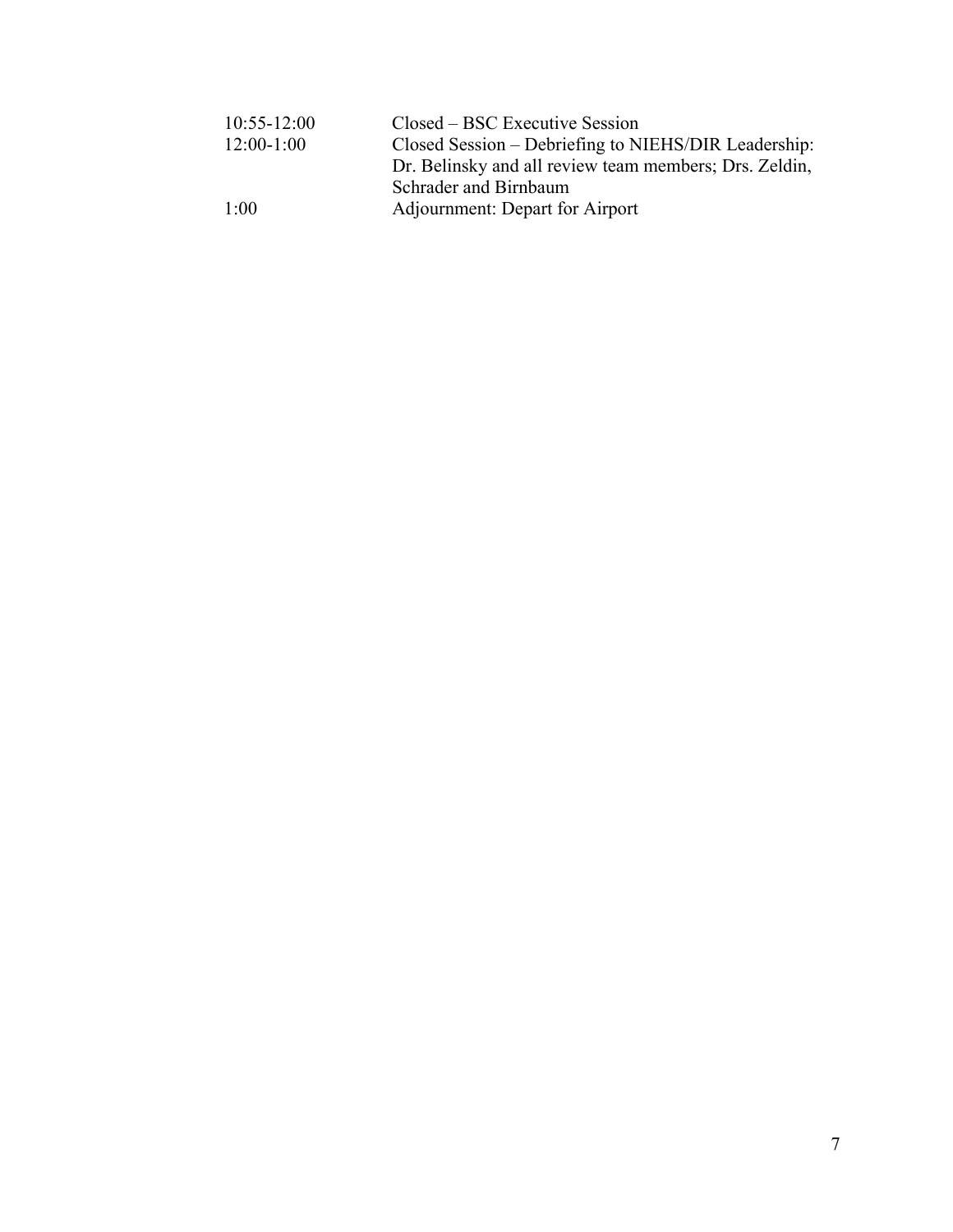| $10:55 - 12:00$ | Closed – BSC Executive Session                         |  |
|-----------------|--------------------------------------------------------|--|
| $12:00-1:00$    | Closed Session – Debriefing to NIEHS/DIR Leadership:   |  |
|                 | Dr. Belinsky and all review team members; Drs. Zeldin, |  |
|                 | Schrader and Birnbaum                                  |  |
| 1:00            | Adjournment: Depart for Airport                        |  |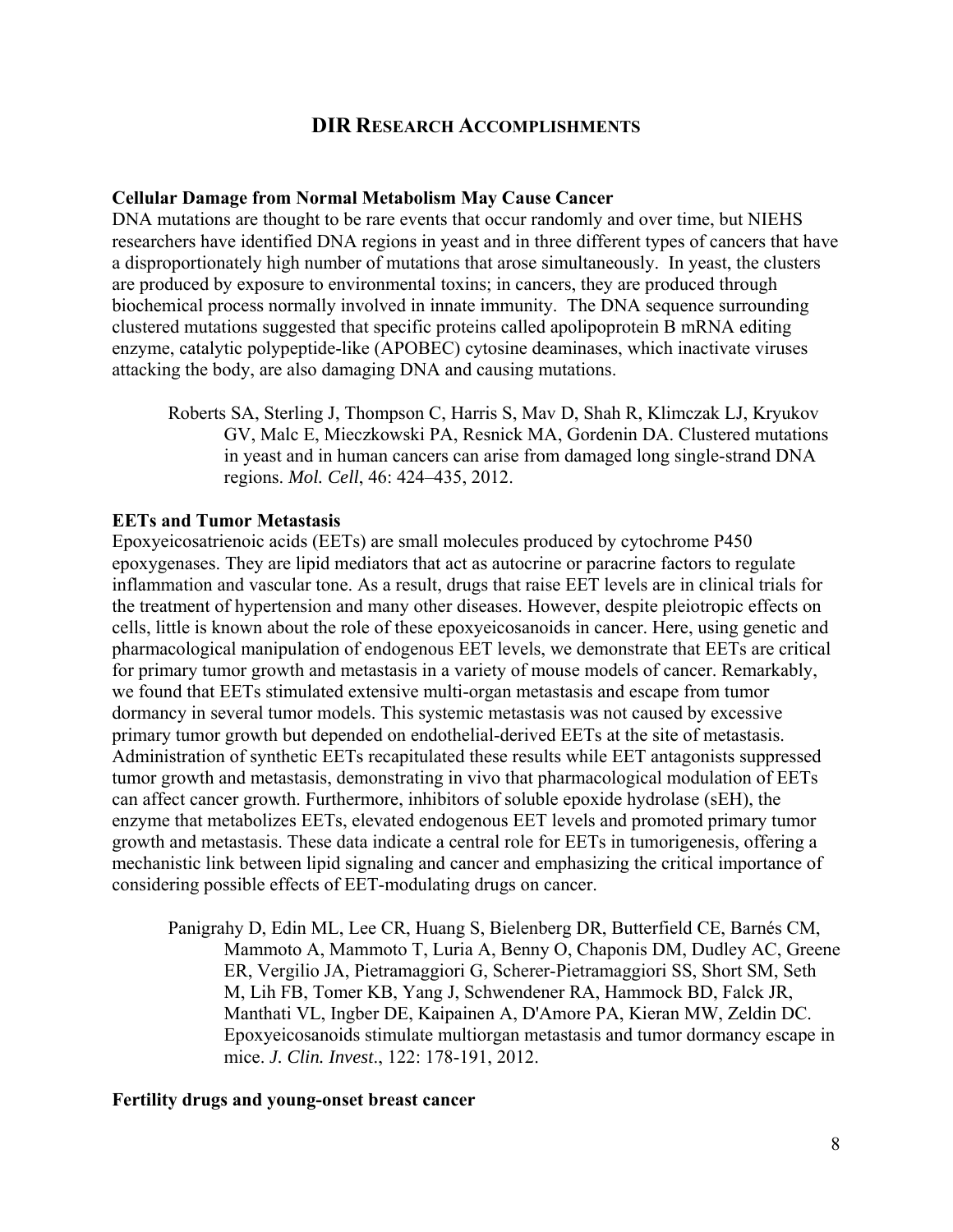## **DIR RESEARCH ACCOMPLISHMENTS**

#### **Cellular Damage from Normal Metabolism May Cause Cancer**

DNA mutations are thought to be rare events that occur randomly and over time, but NIEHS researchers have identified DNA regions in yeast and in three different types of cancers that have a disproportionately high number of mutations that arose simultaneously. In yeast, the clusters are produced by exposure to environmental toxins; in cancers, they are produced through biochemical process normally involved in innate immunity. The DNA sequence surrounding clustered mutations suggested that specific proteins called apolipoprotein B mRNA editing enzyme, catalytic polypeptide-like (APOBEC) cytosine deaminases, which inactivate viruses attacking the body, are also damaging DNA and causing mutations.

Roberts SA, Sterling J, Thompson C, Harris S, Mav D, Shah R, Klimczak LJ, Kryukov GV, Malc E, Mieczkowski PA, Resnick MA, Gordenin DA. Clustered mutations in yeast and in human cancers can arise from damaged long single-strand DNA regions. *Mol. Cell*, 46: 424–435, 2012.

#### **EETs and Tumor Metastasis**

Epoxyeicosatrienoic acids (EETs) are small molecules produced by cytochrome P450 epoxygenases. They are lipid mediators that act as autocrine or paracrine factors to regulate inflammation and vascular tone. As a result, drugs that raise EET levels are in clinical trials for the treatment of hypertension and many other diseases. However, despite pleiotropic effects on cells, little is known about the role of these epoxyeicosanoids in cancer. Here, using genetic and pharmacological manipulation of endogenous EET levels, we demonstrate that EETs are critical for primary tumor growth and metastasis in a variety of mouse models of cancer. Remarkably, we found that EETs stimulated extensive multi-organ metastasis and escape from tumor dormancy in several tumor models. This systemic metastasis was not caused by excessive primary tumor growth but depended on endothelial-derived EETs at the site of metastasis. Administration of synthetic EETs recapitulated these results while EET antagonists suppressed tumor growth and metastasis, demonstrating in vivo that pharmacological modulation of EETs can affect cancer growth. Furthermore, inhibitors of soluble epoxide hydrolase (sEH), the enzyme that metabolizes EETs, elevated endogenous EET levels and promoted primary tumor growth and metastasis. These data indicate a central role for EETs in tumorigenesis, offering a mechanistic link between lipid signaling and cancer and emphasizing the critical importance of considering possible effects of EET-modulating drugs on cancer.

Panigrahy D, Edin ML, Lee CR, Huang S, Bielenberg DR, Butterfield CE, Barnés CM, Mammoto A, Mammoto T, Luria A, Benny O, Chaponis DM, Dudley AC, Greene ER, Vergilio JA, Pietramaggiori G, Scherer-Pietramaggiori SS, Short SM, Seth M, Lih FB, Tomer KB, Yang J, Schwendener RA, Hammock BD, Falck JR, Manthati VL, Ingber DE, Kaipainen A, D'Amore PA, Kieran MW, Zeldin DC. Epoxyeicosanoids stimulate multiorgan metastasis and tumor dormancy escape in mice. *J. Clin. Invest*., 122: 178-191, 2012.

#### **Fertility drugs and young-onset breast cancer**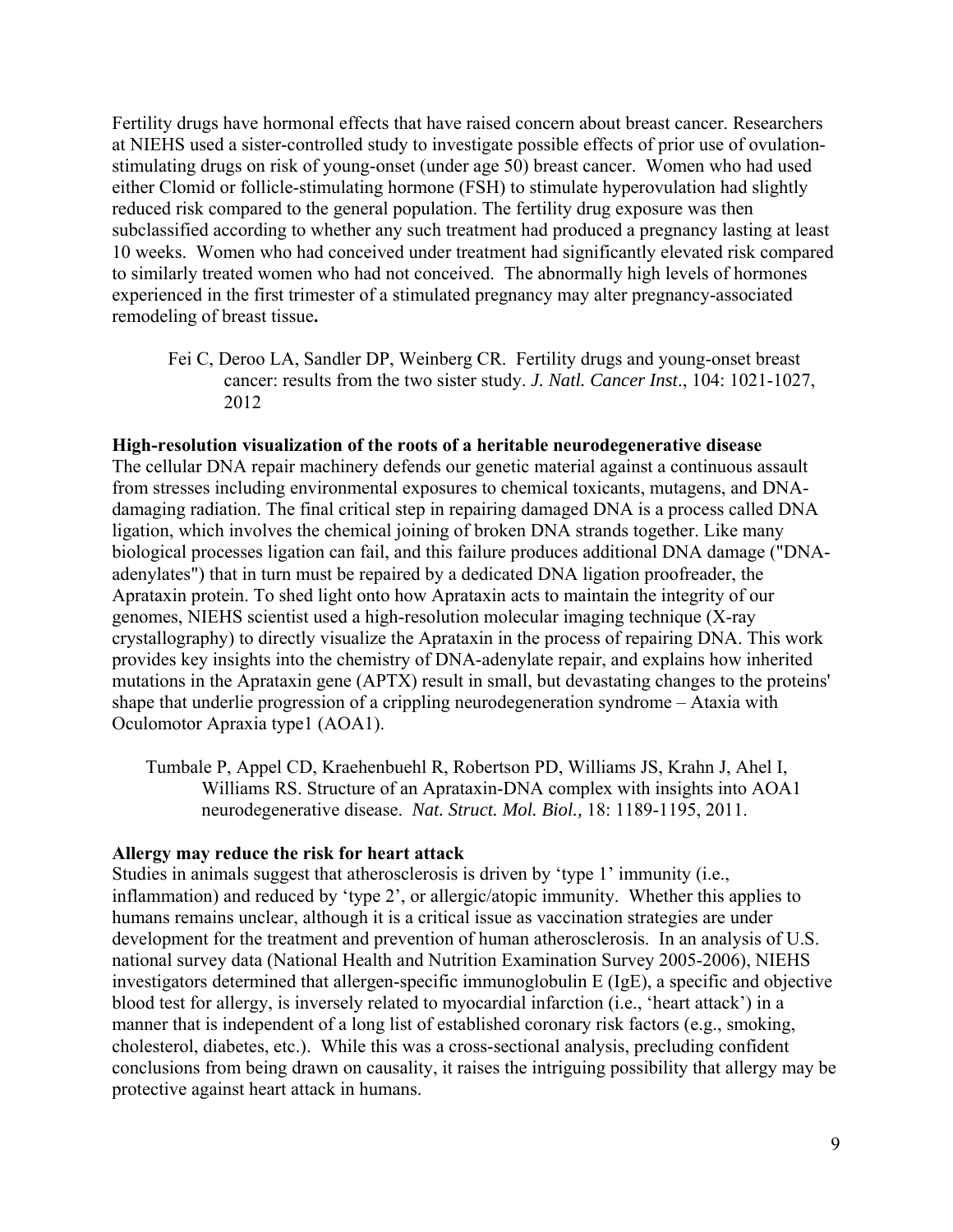Fertility drugs have hormonal effects that have raised concern about breast cancer. Researchers at NIEHS used a sister-controlled study to investigate possible effects of prior use of ovulationstimulating drugs on risk of young-onset (under age 50) breast cancer. Women who had used either Clomid or follicle-stimulating hormone (FSH) to stimulate hyperovulation had slightly reduced risk compared to the general population. The fertility drug exposure was then subclassified according to whether any such treatment had produced a pregnancy lasting at least 10 weeks. Women who had conceived under treatment had significantly elevated risk compared to similarly treated women who had not conceived. The abnormally high levels of hormones experienced in the first trimester of a stimulated pregnancy may alter pregnancy-associated remodeling of breast tissue**.** 

Fei C, Deroo LA, Sandler DP, Weinberg CR. Fertility drugs and young-onset breast cancer: results from the two sister study. *J. Natl. Cancer Inst*., 104: 1021-1027, 2012

#### **High-resolution visualization of the roots of a heritable neurodegenerative disease**

The cellular DNA repair machinery defends our genetic material against a continuous assault from stresses including environmental exposures to chemical toxicants, mutagens, and DNAdamaging radiation. The final critical step in repairing damaged DNA is a process called DNA ligation, which involves the chemical joining of broken DNA strands together. Like many biological processes ligation can fail, and this failure produces additional DNA damage ("DNAadenylates") that in turn must be repaired by a dedicated DNA ligation proofreader, the Aprataxin protein. To shed light onto how Aprataxin acts to maintain the integrity of our genomes, NIEHS scientist used a high-resolution molecular imaging technique (X-ray crystallography) to directly visualize the Aprataxin in the process of repairing DNA. This work provides key insights into the chemistry of DNA-adenylate repair, and explains how inherited mutations in the Aprataxin gene (APTX) result in small, but devastating changes to the proteins' shape that underlie progression of a crippling neurodegeneration syndrome – Ataxia with Oculomotor Apraxia type1 (AOA1).

Tumbale P, Appel CD, Kraehenbuehl R, Robertson PD, Williams JS, Krahn J, Ahel I, Williams RS. Structure of an Aprataxin-DNA complex with insights into AOA1 neurodegenerative disease. *Nat. Struct. Mol. Biol.,* 18: 1189-1195, 2011.

#### **Allergy may reduce the risk for heart attack**

Studies in animals suggest that atherosclerosis is driven by 'type 1' immunity (i.e., inflammation) and reduced by 'type 2', or allergic/atopic immunity. Whether this applies to humans remains unclear, although it is a critical issue as vaccination strategies are under development for the treatment and prevention of human atherosclerosis. In an analysis of U.S. national survey data (National Health and Nutrition Examination Survey 2005-2006), NIEHS investigators determined that allergen-specific immunoglobulin E (IgE), a specific and objective blood test for allergy, is inversely related to myocardial infarction (i.e., 'heart attack') in a manner that is independent of a long list of established coronary risk factors (e.g., smoking, cholesterol, diabetes, etc.). While this was a cross-sectional analysis, precluding confident conclusions from being drawn on causality, it raises the intriguing possibility that allergy may be protective against heart attack in humans.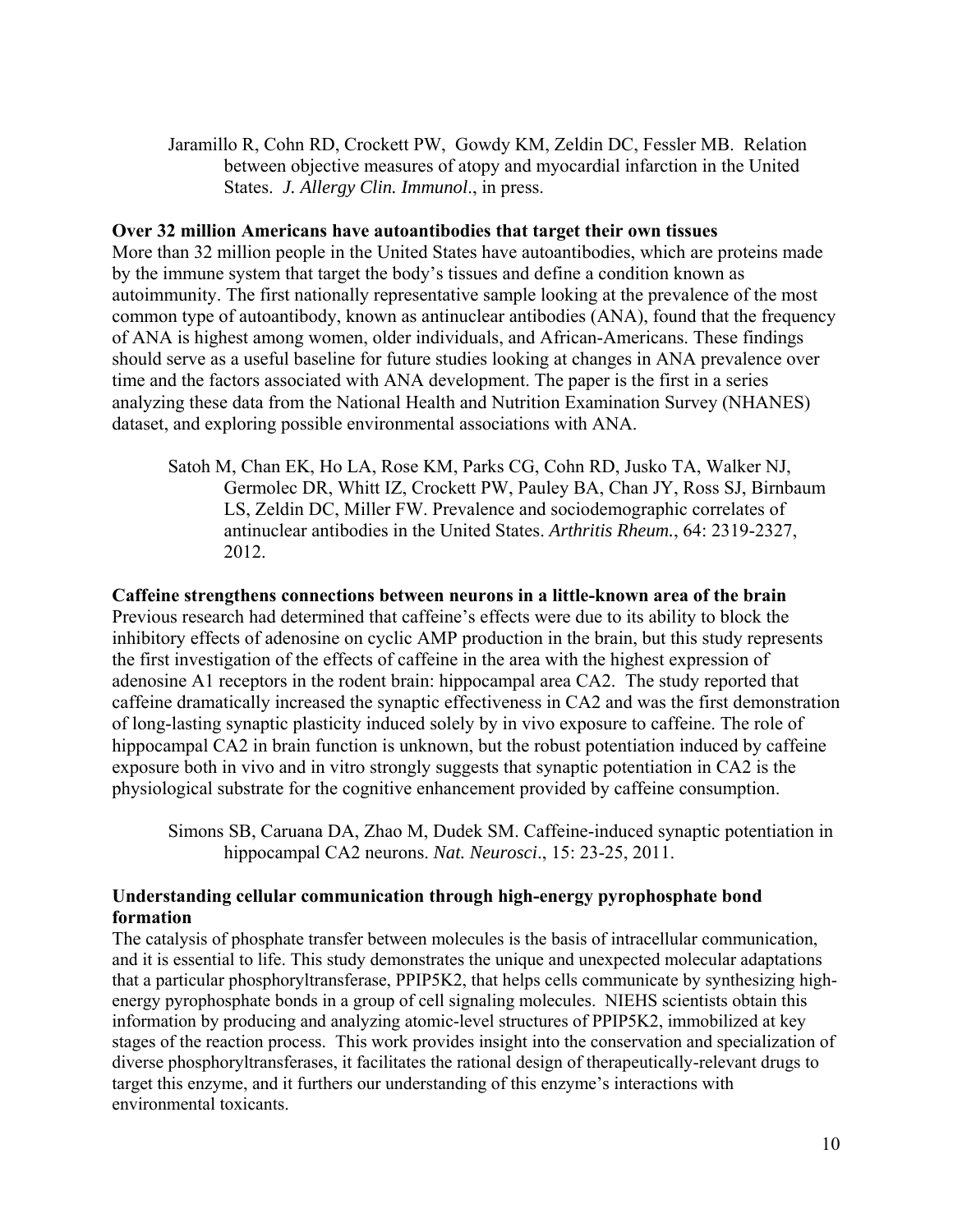Jaramillo R, Cohn RD, Crockett PW, Gowdy KM, Zeldin DC, Fessler MB. Relation between objective measures of atopy and myocardial infarction in the United States. *J. Allergy Clin. Immunol*., in press.

#### **Over 32 million Americans have autoantibodies that target their own tissues**

More than 32 million people in the United States have autoantibodies, which are proteins made by the immune system that target the body's tissues and define a condition known as autoimmunity. The first nationally representative sample looking at the prevalence of the most common type of autoantibody, known as antinuclear antibodies (ANA), found that the frequency of ANA is highest among women, older individuals, and African-Americans. These findings should serve as a useful baseline for future studies looking at changes in ANA prevalence over time and the factors associated with ANA development. The paper is the first in a series analyzing these data from the National Health and Nutrition Examination Survey (NHANES) dataset, and exploring possible environmental associations with ANA.

Satoh M, Chan EK, Ho LA, Rose KM, Parks CG, Cohn RD, Jusko TA, Walker NJ, Germolec DR, Whitt IZ, Crockett PW, Pauley BA, Chan JY, Ross SJ, Birnbaum LS, Zeldin DC, Miller FW. Prevalence and sociodemographic correlates of antinuclear antibodies in the United States. *Arthritis Rheum.*, 64: 2319-2327, 2012.

#### **Caffeine strengthens connections between neurons in a little-known area of the brain**

Previous research had determined that caffeine's effects were due to its ability to block the inhibitory effects of adenosine on cyclic AMP production in the brain, but this study represents the first investigation of the effects of caffeine in the area with the highest expression of adenosine A1 receptors in the rodent brain: hippocampal area CA2. The study reported that caffeine dramatically increased the synaptic effectiveness in CA2 and was the first demonstration of long-lasting synaptic plasticity induced solely by in vivo exposure to caffeine. The role of hippocampal CA2 in brain function is unknown, but the robust potentiation induced by caffeine exposure both in vivo and in vitro strongly suggests that synaptic potentiation in CA2 is the physiological substrate for the cognitive enhancement provided by caffeine consumption.

Simons SB, Caruana DA, Zhao M, Dudek SM. Caffeine-induced synaptic potentiation in hippocampal CA2 neurons. *Nat. Neurosci*., 15: 23-25, 2011.

#### **Understanding cellular communication through high-energy pyrophosphate bond formation**

The catalysis of phosphate transfer between molecules is the basis of intracellular communication, and it is essential to life. This study demonstrates the unique and unexpected molecular adaptations that a particular phosphoryltransferase, PPIP5K2, that helps cells communicate by synthesizing highenergy pyrophosphate bonds in a group of cell signaling molecules. NIEHS scientists obtain this information by producing and analyzing atomic-level structures of PPIP5K2, immobilized at key stages of the reaction process. This work provides insight into the conservation and specialization of diverse phosphoryltransferases, it facilitates the rational design of therapeutically-relevant drugs to target this enzyme, and it furthers our understanding of this enzyme's interactions with environmental toxicants.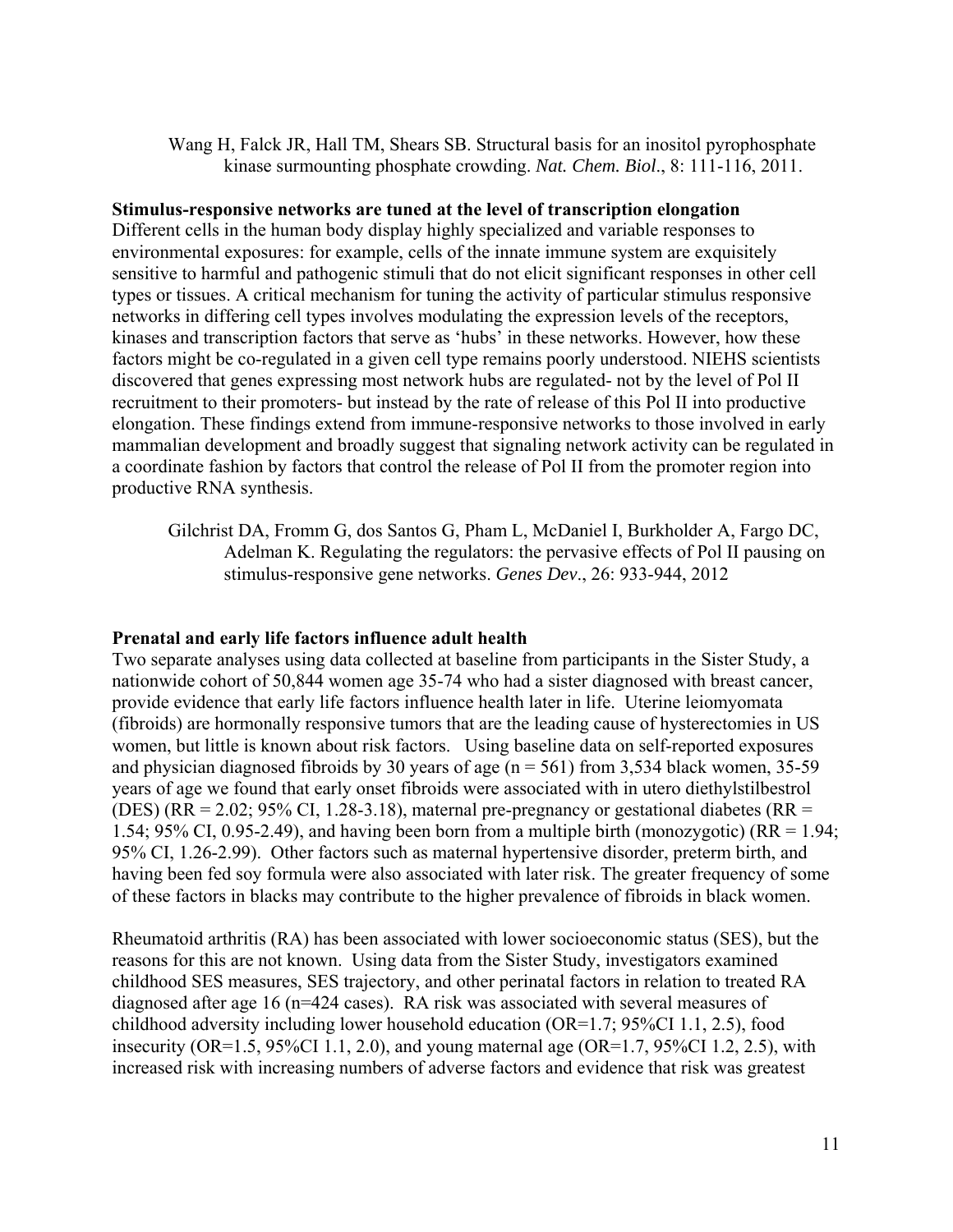Wang H, Falck JR, Hall TM, Shears SB. Structural basis for an inositol pyrophosphate kinase surmounting phosphate crowding. *Nat. Chem. Biol*., 8: 111-116, 2011.

#### **Stimulus-responsive networks are tuned at the level of transcription elongation**

Different cells in the human body display highly specialized and variable responses to environmental exposures: for example, cells of the innate immune system are exquisitely sensitive to harmful and pathogenic stimuli that do not elicit significant responses in other cell types or tissues. A critical mechanism for tuning the activity of particular stimulus responsive networks in differing cell types involves modulating the expression levels of the receptors, kinases and transcription factors that serve as 'hubs' in these networks. However, how these factors might be co-regulated in a given cell type remains poorly understood. NIEHS scientists discovered that genes expressing most network hubs are regulated- not by the level of Pol II recruitment to their promoters- but instead by the rate of release of this Pol II into productive elongation. These findings extend from immune-responsive networks to those involved in early mammalian development and broadly suggest that signaling network activity can be regulated in a coordinate fashion by factors that control the release of Pol II from the promoter region into productive RNA synthesis.

Gilchrist DA, Fromm G, dos Santos G, Pham L, McDaniel I, Burkholder A, Fargo DC, Adelman K. Regulating the regulators: the pervasive effects of Pol II pausing on stimulus-responsive gene networks. *Genes Dev*., 26: 933-944, 2012

#### **Prenatal and early life factors influence adult health**

Two separate analyses using data collected at baseline from participants in the Sister Study, a nationwide cohort of 50,844 women age 35-74 who had a sister diagnosed with breast cancer, provide evidence that early life factors influence health later in life. Uterine leiomyomata (fibroids) are hormonally responsive tumors that are the leading cause of hysterectomies in US women, but little is known about risk factors. Using baseline data on self-reported exposures and physician diagnosed fibroids by 30 years of age ( $n = 561$ ) from 3,534 black women, 35-59 years of age we found that early onset fibroids were associated with in utero diethylstilbestrol (DES) (RR = 2.02; 95% CI, 1.28-3.18), maternal pre-pregnancy or gestational diabetes (RR = 1.54; 95% CI, 0.95-2.49), and having been born from a multiple birth (monozygotic) ( $RR = 1.94$ ; 95% CI, 1.26-2.99). Other factors such as maternal hypertensive disorder, preterm birth, and having been fed soy formula were also associated with later risk. The greater frequency of some of these factors in blacks may contribute to the higher prevalence of fibroids in black women.

Rheumatoid arthritis (RA) has been associated with lower socioeconomic status (SES), but the reasons for this are not known. Using data from the Sister Study, investigators examined childhood SES measures, SES trajectory, and other perinatal factors in relation to treated RA diagnosed after age 16 (n=424 cases). RA risk was associated with several measures of childhood adversity including lower household education (OR=1.7; 95%CI 1.1, 2.5), food insecurity (OR=1.5, 95%CI 1.1, 2.0), and young maternal age (OR=1.7, 95%CI 1.2, 2.5), with increased risk with increasing numbers of adverse factors and evidence that risk was greatest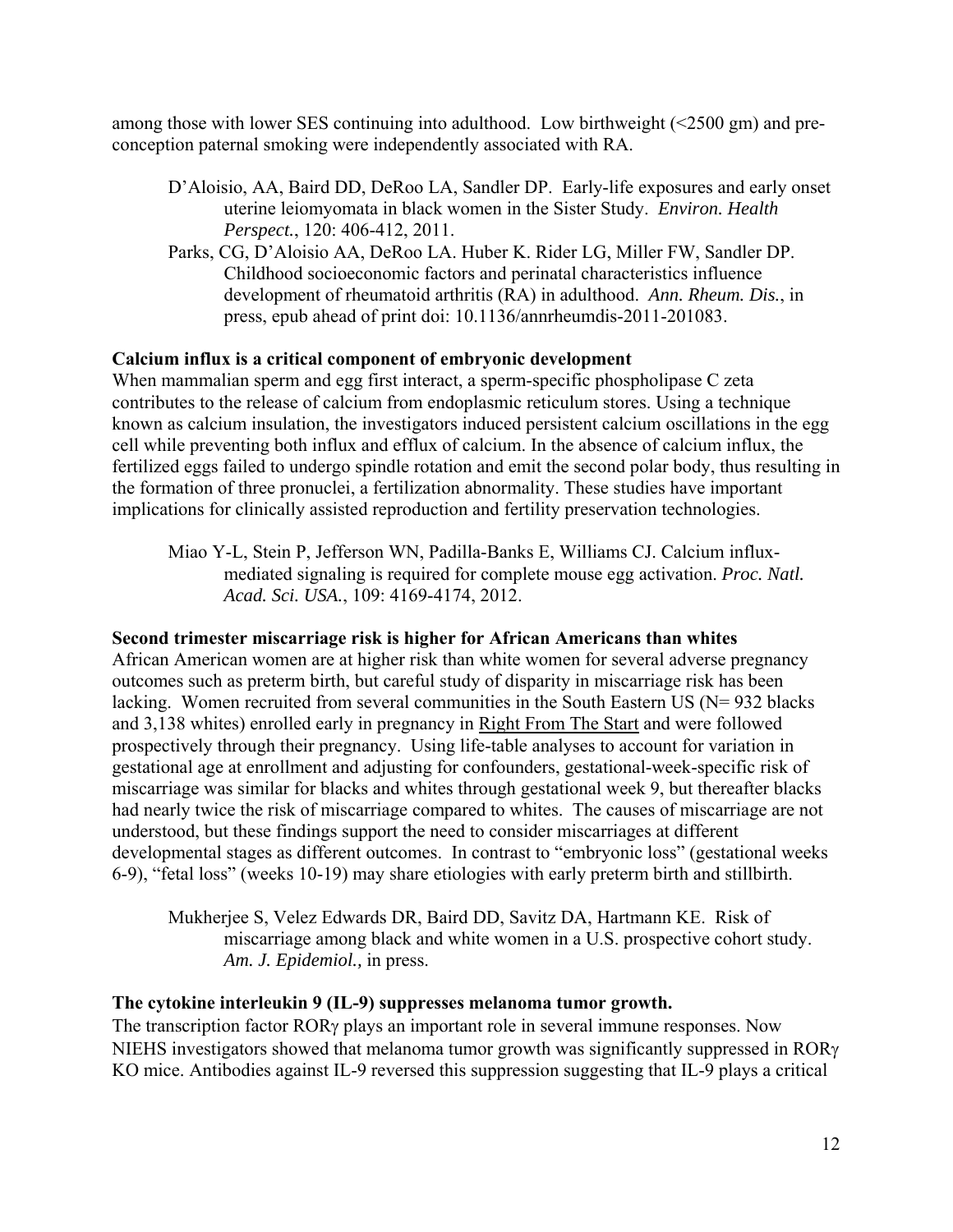among those with lower SES continuing into adulthood. Low birthweight (<2500 gm) and preconception paternal smoking were independently associated with RA.

- D'Aloisio, AA, Baird DD, DeRoo LA, Sandler DP. Early-life exposures and early onset uterine leiomyomata in black women in the Sister Study. *Environ. Health Perspect.*, 120: 406-412, 2011.
- Parks, CG, D'Aloisio AA, DeRoo LA. Huber K. Rider LG, Miller FW, Sandler DP. Childhood socioeconomic factors and perinatal characteristics influence development of rheumatoid arthritis (RA) in adulthood. *Ann. Rheum. Dis.*, in press, epub ahead of print doi: 10.1136/annrheumdis-2011-201083.

## **Calcium influx is a critical component of embryonic development**

When mammalian sperm and egg first interact, a sperm-specific phospholipase C zeta contributes to the release of calcium from endoplasmic reticulum stores. Using a technique known as calcium insulation, the investigators induced persistent calcium oscillations in the egg cell while preventing both influx and efflux of calcium. In the absence of calcium influx, the fertilized eggs failed to undergo spindle rotation and emit the second polar body, thus resulting in the formation of three pronuclei, a fertilization abnormality. These studies have important implications for clinically assisted reproduction and fertility preservation technologies.

Miao Y-L, Stein P, Jefferson WN, Padilla-Banks E, Williams CJ. Calcium influxmediated signaling is required for complete mouse egg activation. *Proc. Natl. Acad. Sci. USA.*, 109: 4169-4174, 2012.

## **Second trimester miscarriage risk is higher for African Americans than whites**

African American women are at higher risk than white women for several adverse pregnancy outcomes such as preterm birth, but careful study of disparity in miscarriage risk has been lacking. Women recruited from several communities in the South Eastern US (N= 932 blacks) and 3,138 whites) enrolled early in pregnancy in Right From The Start and were followed prospectively through their pregnancy. Using life-table analyses to account for variation in gestational age at enrollment and adjusting for confounders, gestational-week-specific risk of miscarriage was similar for blacks and whites through gestational week 9, but thereafter blacks had nearly twice the risk of miscarriage compared to whites. The causes of miscarriage are not understood, but these findings support the need to consider miscarriages at different developmental stages as different outcomes. In contrast to "embryonic loss" (gestational weeks 6-9), "fetal loss" (weeks 10-19) may share etiologies with early preterm birth and stillbirth.

Mukherjee S, Velez Edwards DR, Baird DD, Savitz DA, Hartmann KE. Risk of miscarriage among black and white women in a U.S. prospective cohort study. *Am. J. Epidemiol.,* in press.

## **The cytokine interleukin 9 (IL-9) suppresses melanoma tumor growth.**

The transcription factor  $ROR\gamma$  plays an important role in several immune responses. Now NIEHS investigators showed that melanoma tumor growth was significantly suppressed in ROR KO mice. Antibodies against IL-9 reversed this suppression suggesting that IL-9 plays a critical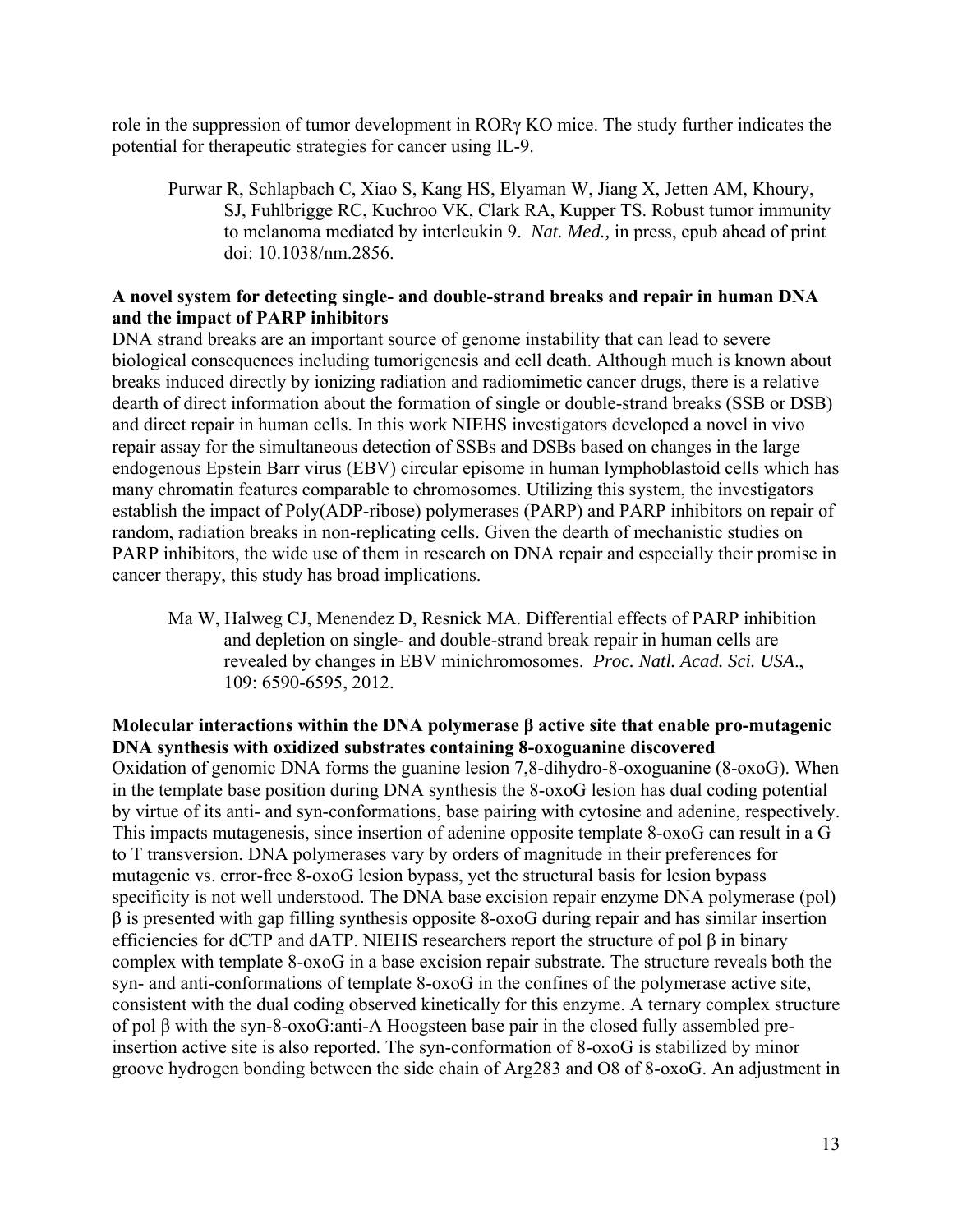role in the suppression of tumor development in  $ROR<sub>Y</sub> KO$  mice. The study further indicates the potential for therapeutic strategies for cancer using IL-9.

Purwar R, Schlapbach C, Xiao S, Kang HS, Elyaman W, Jiang X, Jetten AM, Khoury, SJ, Fuhlbrigge RC, Kuchroo VK, Clark RA, Kupper TS. Robust tumor immunity to melanoma mediated by interleukin 9. *Nat. Med.,* in press, epub ahead of print doi: 10.1038/nm.2856.

## **A novel system for detecting single- and double-strand breaks and repair in human DNA and the impact of PARP inhibitors**

DNA strand breaks are an important source of genome instability that can lead to severe biological consequences including tumorigenesis and cell death. Although much is known about breaks induced directly by ionizing radiation and radiomimetic cancer drugs, there is a relative dearth of direct information about the formation of single or double-strand breaks (SSB or DSB) and direct repair in human cells. In this work NIEHS investigators developed a novel in vivo repair assay for the simultaneous detection of SSBs and DSBs based on changes in the large endogenous Epstein Barr virus (EBV) circular episome in human lymphoblastoid cells which has many chromatin features comparable to chromosomes. Utilizing this system, the investigators establish the impact of Poly(ADP-ribose) polymerases (PARP) and PARP inhibitors on repair of random, radiation breaks in non-replicating cells. Given the dearth of mechanistic studies on PARP inhibitors, the wide use of them in research on DNA repair and especially their promise in cancer therapy, this study has broad implications.

Ma W, Halweg CJ, Menendez D, Resnick MA. Differential effects of PARP inhibition and depletion on single- and double-strand break repair in human cells are revealed by changes in EBV minichromosomes. *Proc. Natl. Acad. Sci. USA*., 109: 6590-6595, 2012.

## **Molecular interactions within the DNA polymerase β active site that enable pro-mutagenic DNA synthesis with oxidized substrates containing 8-oxoguanine discovered**

Oxidation of genomic DNA forms the guanine lesion 7,8-dihydro-8-oxoguanine (8-oxoG). When in the template base position during DNA synthesis the 8-oxoG lesion has dual coding potential by virtue of its anti- and syn-conformations, base pairing with cytosine and adenine, respectively. This impacts mutagenesis, since insertion of adenine opposite template 8-oxoG can result in a G to T transversion. DNA polymerases vary by orders of magnitude in their preferences for mutagenic vs. error-free 8-oxoG lesion bypass, yet the structural basis for lesion bypass specificity is not well understood. The DNA base excision repair enzyme DNA polymerase (pol) β is presented with gap filling synthesis opposite 8-oxoG during repair and has similar insertion efficiencies for dCTP and dATP. NIEHS researchers report the structure of pol  $\beta$  in binary complex with template 8-oxoG in a base excision repair substrate. The structure reveals both the syn- and anti-conformations of template 8-oxoG in the confines of the polymerase active site, consistent with the dual coding observed kinetically for this enzyme. A ternary complex structure of pol β with the syn-8-oxoG:anti-A Hoogsteen base pair in the closed fully assembled preinsertion active site is also reported. The syn-conformation of 8-oxoG is stabilized by minor groove hydrogen bonding between the side chain of Arg283 and O8 of 8-oxoG. An adjustment in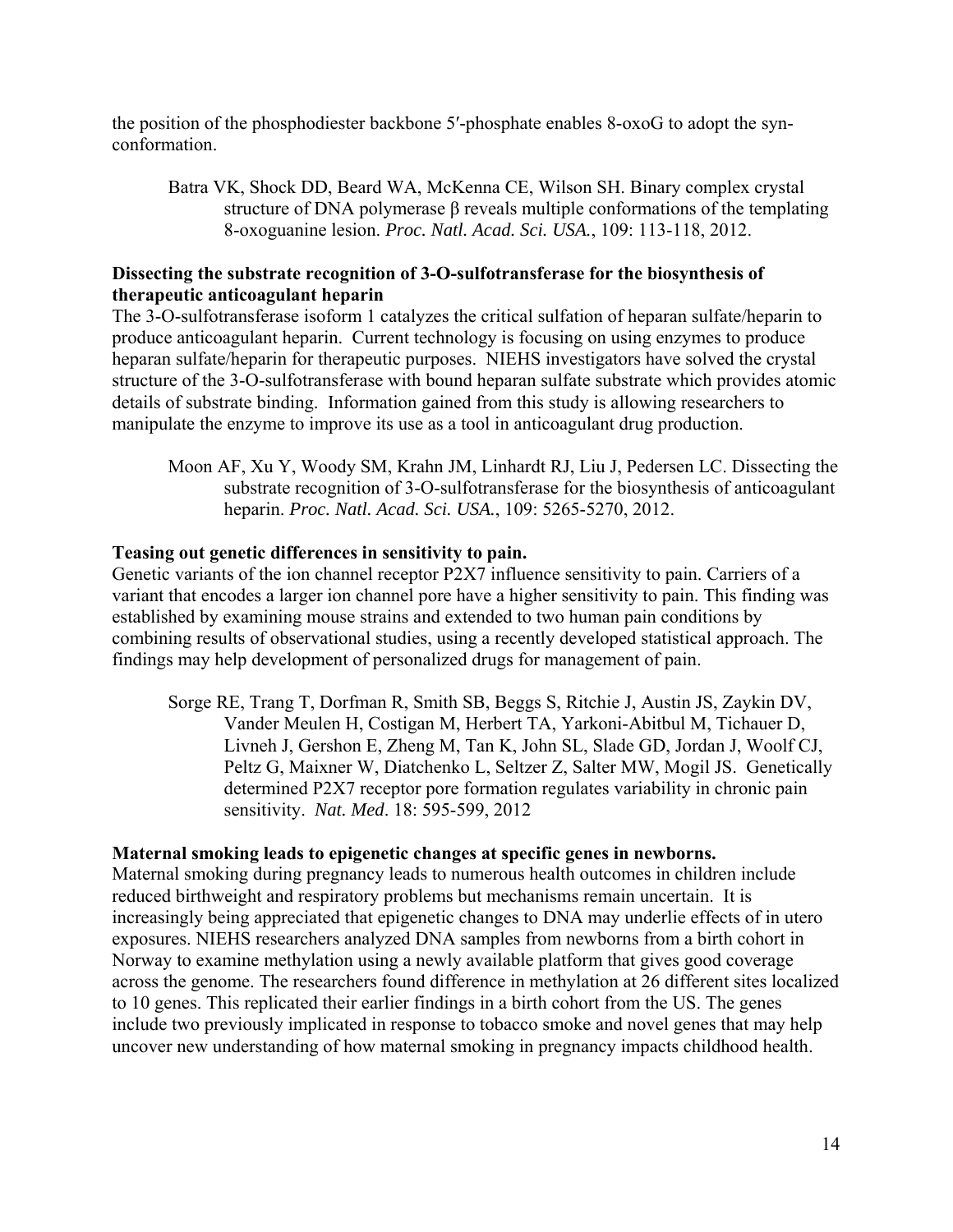the position of the phosphodiester backbone 5′-phosphate enables 8-oxoG to adopt the synconformation.

Batra VK, Shock DD, Beard WA, McKenna CE, Wilson SH. Binary complex crystal structure of DNA polymerase β reveals multiple conformations of the templating 8-oxoguanine lesion. *Proc. Natl. Acad. Sci. USA.*, 109: 113-118, 2012.

## **Dissecting the substrate recognition of 3-O-sulfotransferase for the biosynthesis of therapeutic anticoagulant heparin**

The 3-O-sulfotransferase isoform 1 catalyzes the critical sulfation of heparan sulfate/heparin to produce anticoagulant heparin. Current technology is focusing on using enzymes to produce heparan sulfate/heparin for therapeutic purposes. NIEHS investigators have solved the crystal structure of the 3-O-sulfotransferase with bound heparan sulfate substrate which provides atomic details of substrate binding. Information gained from this study is allowing researchers to manipulate the enzyme to improve its use as a tool in anticoagulant drug production.

Moon AF, Xu Y, Woody SM, Krahn JM, Linhardt RJ, Liu J, Pedersen LC. Dissecting the substrate recognition of 3-O-sulfotransferase for the biosynthesis of anticoagulant heparin. *Proc. Natl. Acad. Sci. USA.*, 109: 5265-5270, 2012.

## **Teasing out genetic differences in sensitivity to pain.**

Genetic variants of the ion channel receptor P2X7 influence sensitivity to pain. Carriers of a variant that encodes a larger ion channel pore have a higher sensitivity to pain. This finding was established by examining mouse strains and extended to two human pain conditions by combining results of observational studies, using a recently developed statistical approach. The findings may help development of personalized drugs for management of pain.

Sorge RE, Trang T, Dorfman R, Smith SB, Beggs S, Ritchie J, Austin JS, Zaykin DV, Vander Meulen H, Costigan M, Herbert TA, Yarkoni-Abitbul M, Tichauer D, Livneh J, Gershon E, Zheng M, Tan K, John SL, Slade GD, Jordan J, Woolf CJ, Peltz G, Maixner W, Diatchenko L, Seltzer Z, Salter MW, Mogil JS. Genetically determined P2X7 receptor pore formation regulates variability in chronic pain sensitivity. *Nat. Med*. 18: 595-599, 2012

#### **Maternal smoking leads to epigenetic changes at specific genes in newborns.**

Maternal smoking during pregnancy leads to numerous health outcomes in children include reduced birthweight and respiratory problems but mechanisms remain uncertain. It is increasingly being appreciated that epigenetic changes to DNA may underlie effects of in utero exposures. NIEHS researchers analyzed DNA samples from newborns from a birth cohort in Norway to examine methylation using a newly available platform that gives good coverage across the genome. The researchers found difference in methylation at 26 different sites localized to 10 genes. This replicated their earlier findings in a birth cohort from the US. The genes include two previously implicated in response to tobacco smoke and novel genes that may help uncover new understanding of how maternal smoking in pregnancy impacts childhood health.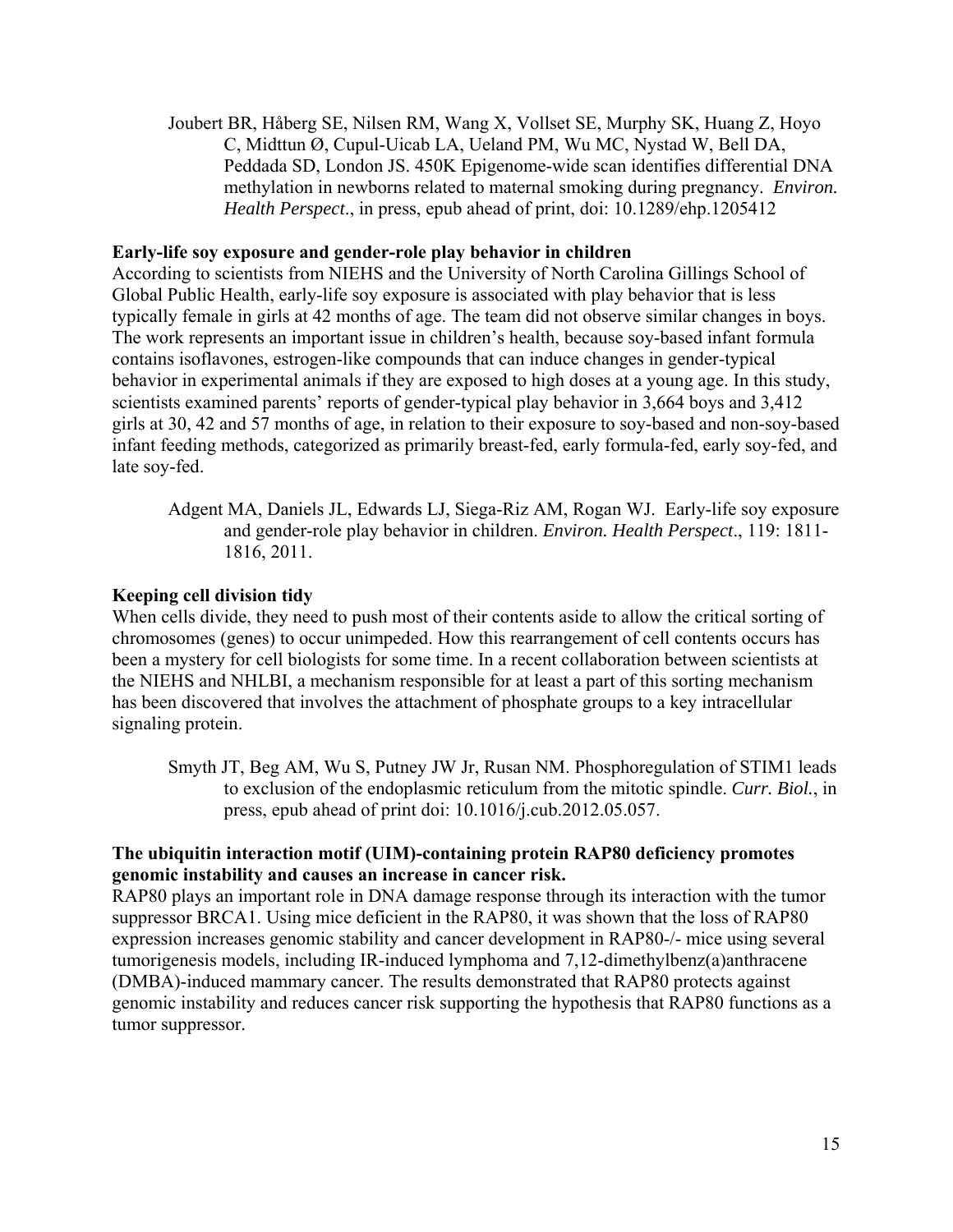Joubert BR, Håberg SE, Nilsen RM, Wang X, Vollset SE, Murphy SK, Huang Z, Hoyo C, Midttun Ø, Cupul-Uicab LA, Ueland PM, Wu MC, Nystad W, Bell DA, Peddada SD, London JS. 450K Epigenome-wide scan identifies differential DNA methylation in newborns related to maternal smoking during pregnancy. *Environ. Health Perspect*., in press, epub ahead of print, doi: 10.1289/ehp.1205412

#### **Early-life soy exposure and gender-role play behavior in children**

According to scientists from NIEHS and the University of North Carolina Gillings School of Global Public Health, early-life soy exposure is associated with play behavior that is less typically female in girls at 42 months of age. The team did not observe similar changes in boys. The work represents an important issue in children's health, because soy-based infant formula contains isoflavones, estrogen-like compounds that can induce changes in gender-typical behavior in experimental animals if they are exposed to high doses at a young age. In this study, scientists examined parents' reports of gender-typical play behavior in 3,664 boys and 3,412 girls at 30, 42 and 57 months of age, in relation to their exposure to soy-based and non-soy-based infant feeding methods, categorized as primarily breast-fed, early formula-fed, early soy-fed, and late soy-fed.

Adgent MA, Daniels JL, Edwards LJ, Siega-Riz AM, Rogan WJ. Early-life soy exposure and gender-role play behavior in children. *Environ. Health Perspect*., 119: 1811 1816, 2011.

#### **Keeping cell division tidy**

When cells divide, they need to push most of their contents aside to allow the critical sorting of chromosomes (genes) to occur unimpeded. How this rearrangement of cell contents occurs has been a mystery for cell biologists for some time. In a recent collaboration between scientists at the NIEHS and NHLBI, a mechanism responsible for at least a part of this sorting mechanism has been discovered that involves the attachment of phosphate groups to a key intracellular signaling protein.

Smyth JT, Beg AM, Wu S, Putney JW Jr, Rusan NM. Phosphoregulation of STIM1 leads to exclusion of the endoplasmic reticulum from the mitotic spindle. *Curr. Biol.*, in press, epub ahead of print doi: 10.1016/j.cub.2012.05.057.

## **The ubiquitin interaction motif (UIM)-containing protein RAP80 deficiency promotes genomic instability and causes an increase in cancer risk.**

RAP80 plays an important role in DNA damage response through its interaction with the tumor suppressor BRCA1. Using mice deficient in the RAP80, it was shown that the loss of RAP80 expression increases genomic stability and cancer development in RAP80-/- mice using several tumorigenesis models, including IR-induced lymphoma and 7,12-dimethylbenz(a)anthracene (DMBA)-induced mammary cancer. The results demonstrated that RAP80 protects against genomic instability and reduces cancer risk supporting the hypothesis that RAP80 functions as a tumor suppressor.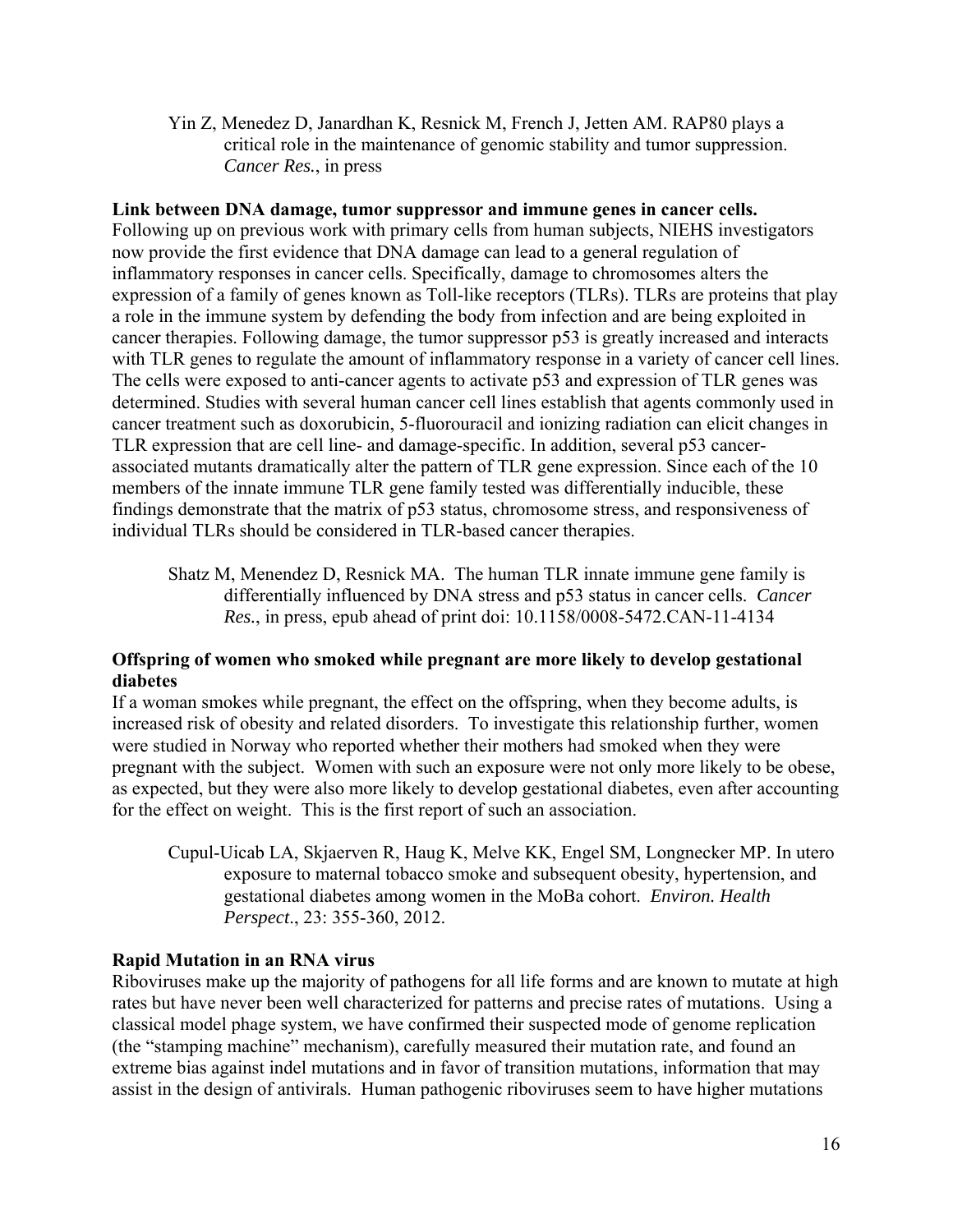Yin Z, Menedez D, Janardhan K, Resnick M, French J, Jetten AM. RAP80 plays a critical role in the maintenance of genomic stability and tumor suppression. *Cancer Res.*, in press

#### **Link between DNA damage, tumor suppressor and immune genes in cancer cells.**

Following up on previous work with primary cells from human subjects, NIEHS investigators now provide the first evidence that DNA damage can lead to a general regulation of inflammatory responses in cancer cells. Specifically, damage to chromosomes alters the expression of a family of genes known as Toll-like receptors (TLRs). TLRs are proteins that play a role in the immune system by defending the body from infection and are being exploited in cancer therapies. Following damage, the tumor suppressor p53 is greatly increased and interacts with TLR genes to regulate the amount of inflammatory response in a variety of cancer cell lines. The cells were exposed to anti-cancer agents to activate p53 and expression of TLR genes was determined. Studies with several human cancer cell lines establish that agents commonly used in cancer treatment such as doxorubicin, 5-fluorouracil and ionizing radiation can elicit changes in TLR expression that are cell line- and damage-specific. In addition, several p53 cancerassociated mutants dramatically alter the pattern of TLR gene expression. Since each of the 10 members of the innate immune TLR gene family tested was differentially inducible, these findings demonstrate that the matrix of p53 status, chromosome stress, and responsiveness of individual TLRs should be considered in TLR-based cancer therapies.

Shatz M, Menendez D, Resnick MA. The human TLR innate immune gene family is differentially influenced by DNA stress and p53 status in cancer cells. *Cancer Res.*, in press, epub ahead of print doi: 10.1158/0008-5472.CAN-11-4134

## **Offspring of women who smoked while pregnant are more likely to develop gestational diabetes**

If a woman smokes while pregnant, the effect on the offspring, when they become adults, is increased risk of obesity and related disorders. To investigate this relationship further, women were studied in Norway who reported whether their mothers had smoked when they were pregnant with the subject. Women with such an exposure were not only more likely to be obese, as expected, but they were also more likely to develop gestational diabetes, even after accounting for the effect on weight. This is the first report of such an association.

Cupul-Uicab LA, Skjaerven R, Haug K, Melve KK, Engel SM, Longnecker MP. In utero exposure to maternal tobacco smoke and subsequent obesity, hypertension, and gestational diabetes among women in the MoBa cohort. *Environ. Health Perspect*., 23: 355-360, 2012.

#### **Rapid Mutation in an RNA virus**

Riboviruses make up the majority of pathogens for all life forms and are known to mutate at high rates but have never been well characterized for patterns and precise rates of mutations. Using a classical model phage system, we have confirmed their suspected mode of genome replication (the "stamping machine" mechanism), carefully measured their mutation rate, and found an extreme bias against indel mutations and in favor of transition mutations, information that may assist in the design of antivirals. Human pathogenic riboviruses seem to have higher mutations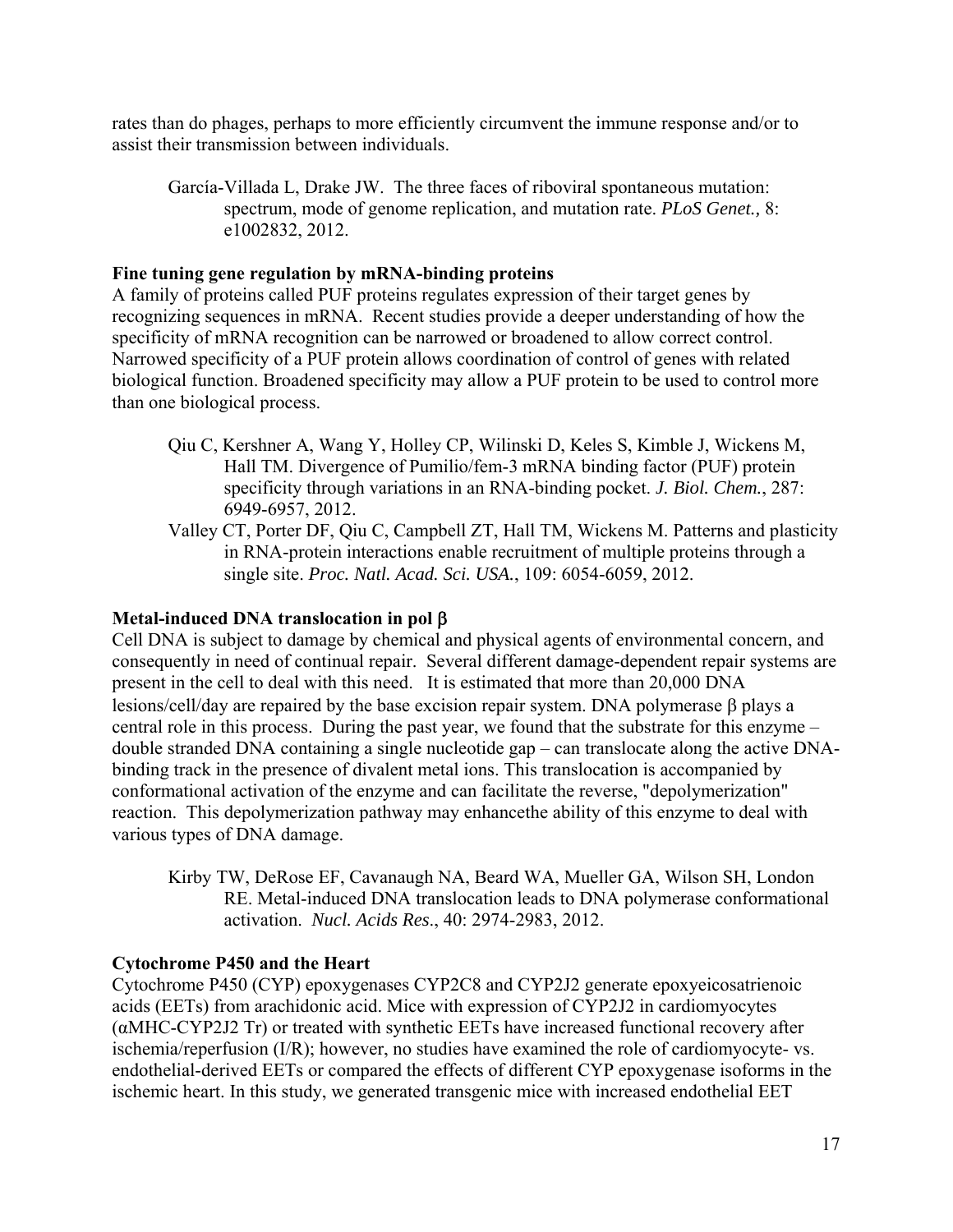rates than do phages, perhaps to more efficiently circumvent the immune response and/or to assist their transmission between individuals.

García-Villada L, Drake JW. The three faces of riboviral spontaneous mutation: spectrum, mode of genome replication, and mutation rate. *PLoS Genet.,* 8: e1002832, 2012.

## **Fine tuning gene regulation by mRNA-binding proteins**

A family of proteins called PUF proteins regulates expression of their target genes by recognizing sequences in mRNA. Recent studies provide a deeper understanding of how the specificity of mRNA recognition can be narrowed or broadened to allow correct control. Narrowed specificity of a PUF protein allows coordination of control of genes with related biological function. Broadened specificity may allow a PUF protein to be used to control more than one biological process.

- Qiu C, Kershner A, Wang Y, Holley CP, Wilinski D, Keles S, Kimble J, Wickens M, Hall TM. Divergence of Pumilio/fem-3 mRNA binding factor (PUF) protein specificity through variations in an RNA-binding pocket. *J. Biol. Chem.*, 287: 6949-6957, 2012.
- Valley CT, Porter DF, Qiu C, Campbell ZT, Hall TM, Wickens M. Patterns and plasticity in RNA-protein interactions enable recruitment of multiple proteins through a single site. *Proc. Natl. Acad. Sci. USA.*, 109: 6054-6059, 2012.

## **Metal-induced DNA translocation in pol**

Cell DNA is subject to damage by chemical and physical agents of environmental concern, and consequently in need of continual repair. Several different damage-dependent repair systems are present in the cell to deal with this need. It is estimated that more than 20,000 DNA lesions/cell/day are repaired by the base excision repair system. DNA polymerase  $\beta$  plays a central role in this process. During the past year, we found that the substrate for this enzyme – double stranded DNA containing a single nucleotide gap – can translocate along the active DNAbinding track in the presence of divalent metal ions. This translocation is accompanied by conformational activation of the enzyme and can facilitate the reverse, "depolymerization" reaction. This depolymerization pathway may enhancethe ability of this enzyme to deal with various types of DNA damage.

Kirby TW, DeRose EF, Cavanaugh NA, Beard WA, Mueller GA, Wilson SH, London RE. Metal-induced DNA translocation leads to DNA polymerase conformational activation. *Nucl. Acids Res*., 40: 2974-2983, 2012.

#### **Cytochrome P450 and the Heart**

Cytochrome P450 (CYP) epoxygenases CYP2C8 and CYP2J2 generate epoxyeicosatrienoic acids (EETs) from arachidonic acid. Mice with expression of CYP2J2 in cardiomyocytes (αMHC-CYP2J2 Tr) or treated with synthetic EETs have increased functional recovery after ischemia/reperfusion (I/R); however, no studies have examined the role of cardiomyocyte- vs. endothelial-derived EETs or compared the effects of different CYP epoxygenase isoforms in the ischemic heart. In this study, we generated transgenic mice with increased endothelial EET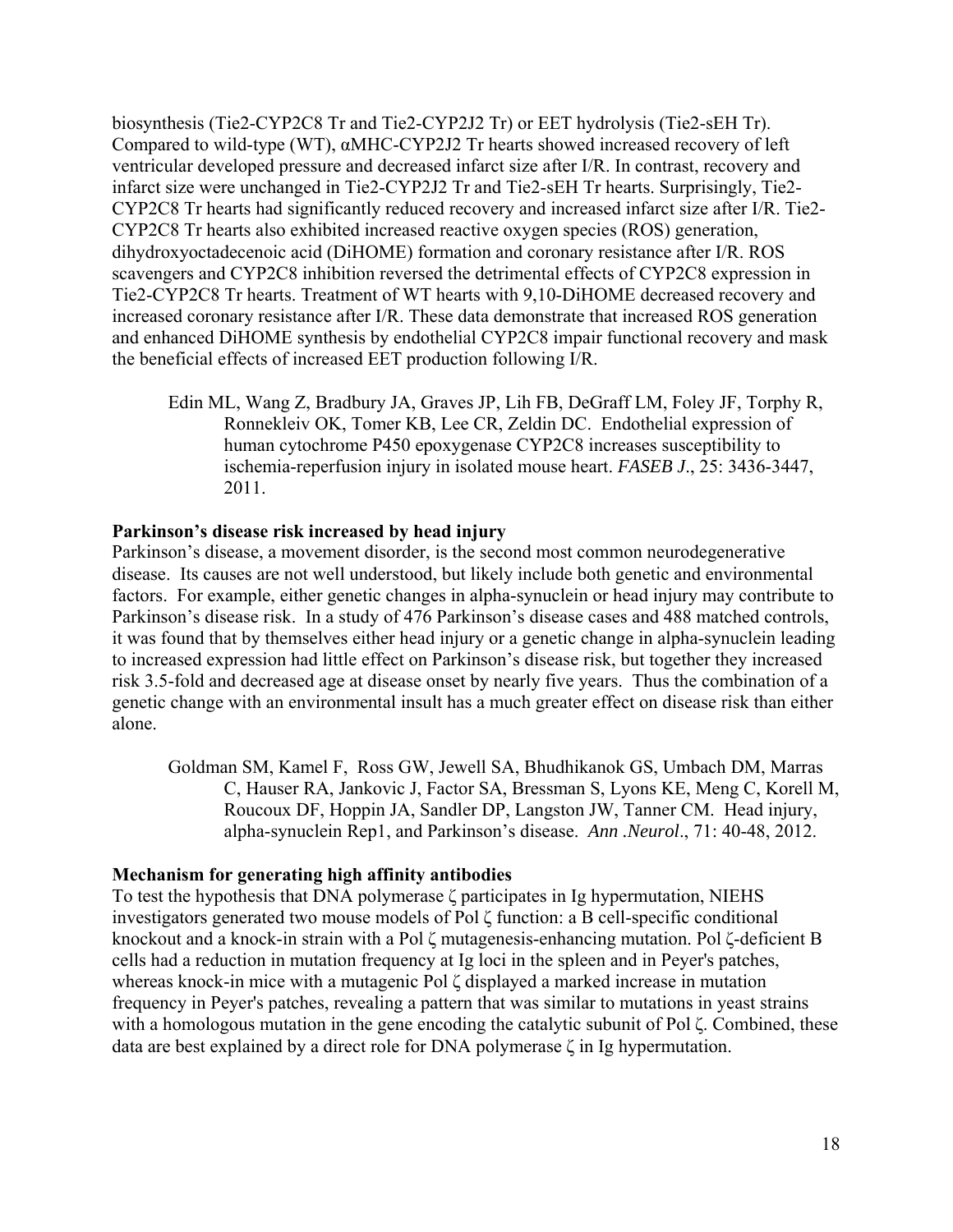biosynthesis (Tie2-CYP2C8 Tr and Tie2-CYP2J2 Tr) or EET hydrolysis (Tie2-sEH Tr). Compared to wild-type (WT), αMHC-CYP2J2 Tr hearts showed increased recovery of left ventricular developed pressure and decreased infarct size after I/R. In contrast, recovery and infarct size were unchanged in Tie2-CYP2J2 Tr and Tie2-sEH Tr hearts. Surprisingly, Tie2 CYP2C8 Tr hearts had significantly reduced recovery and increased infarct size after I/R. Tie2 CYP2C8 Tr hearts also exhibited increased reactive oxygen species (ROS) generation, dihydroxyoctadecenoic acid (DiHOME) formation and coronary resistance after I/R. ROS scavengers and CYP2C8 inhibition reversed the detrimental effects of CYP2C8 expression in Tie2-CYP2C8 Tr hearts. Treatment of WT hearts with 9,10-DiHOME decreased recovery and increased coronary resistance after I/R. These data demonstrate that increased ROS generation and enhanced DiHOME synthesis by endothelial CYP2C8 impair functional recovery and mask the beneficial effects of increased EET production following I/R.

Edin ML, Wang Z, Bradbury JA, Graves JP, Lih FB, DeGraff LM, Foley JF, Torphy R, Ronnekleiv OK, Tomer KB, Lee CR, Zeldin DC. Endothelial expression of human cytochrome P450 epoxygenase CYP2C8 increases susceptibility to ischemia-reperfusion injury in isolated mouse heart. *FASEB J*., 25: 3436-3447, 2011.

## **Parkinson's disease risk increased by head injury**

Parkinson's disease, a movement disorder, is the second most common neurodegenerative disease. Its causes are not well understood, but likely include both genetic and environmental factors. For example, either genetic changes in alpha-synuclein or head injury may contribute to Parkinson's disease risk. In a study of 476 Parkinson's disease cases and 488 matched controls, it was found that by themselves either head injury or a genetic change in alpha-synuclein leading to increased expression had little effect on Parkinson's disease risk, but together they increased risk 3.5-fold and decreased age at disease onset by nearly five years. Thus the combination of a genetic change with an environmental insult has a much greater effect on disease risk than either alone.

Goldman SM, Kamel F, Ross GW, Jewell SA, Bhudhikanok GS, Umbach DM, Marras C, Hauser RA, Jankovic J, Factor SA, Bressman S, Lyons KE, Meng C, Korell M, Roucoux DF, Hoppin JA, Sandler DP, Langston JW, Tanner CM. Head injury, alpha-synuclein Rep1, and Parkinson's disease. *Ann .Neurol*., 71: 40-48, 2012.

#### **Mechanism for generating high affinity antibodies**

To test the hypothesis that DNA polymerase ζ participates in Ig hypermutation, NIEHS investigators generated two mouse models of Pol ζ function: a B cell-specific conditional knockout and a knock-in strain with a Pol ζ mutagenesis-enhancing mutation. Pol ζ-deficient B cells had a reduction in mutation frequency at Ig loci in the spleen and in Peyer's patches, whereas knock-in mice with a mutagenic Pol ζ displayed a marked increase in mutation frequency in Peyer's patches, revealing a pattern that was similar to mutations in yeast strains with a homologous mutation in the gene encoding the catalytic subunit of Pol ζ. Combined, these data are best explained by a direct role for DNA polymerase ζ in Ig hypermutation.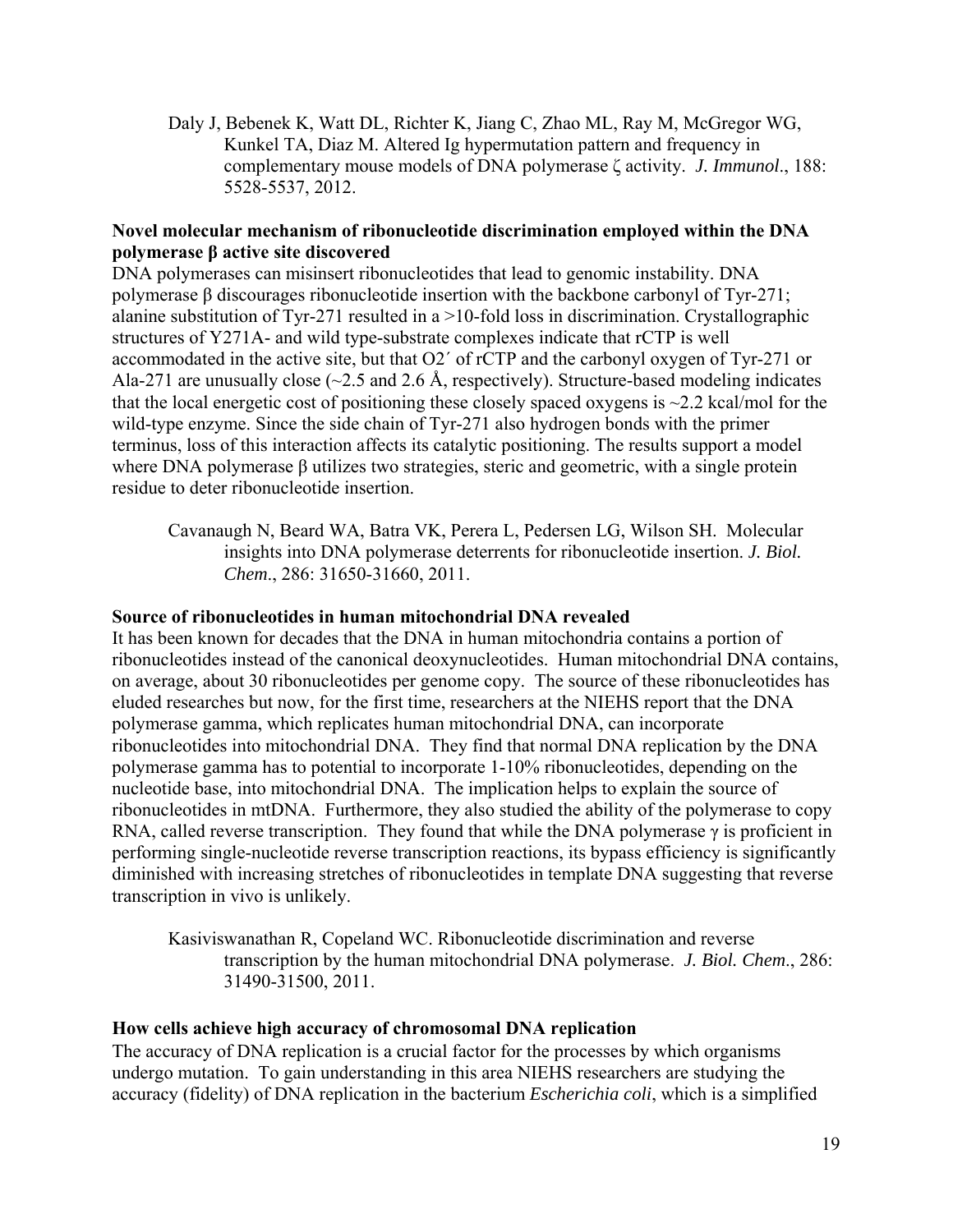Daly J, Bebenek K, Watt DL, Richter K, Jiang C, Zhao ML, Ray M, McGregor WG, Kunkel TA, Diaz M. Altered Ig hypermutation pattern and frequency in complementary mouse models of DNA polymerase ζ activity. *J. Immunol*., 188: 5528-5537, 2012.

## **Novel molecular mechanism of ribonucleotide discrimination employed within the DNA polymerase β active site discovered**

DNA polymerases can misinsert ribonucleotides that lead to genomic instability. DNA polymerase β discourages ribonucleotide insertion with the backbone carbonyl of Tyr-271; alanine substitution of Tyr-271 resulted in a  $>10$ -fold loss in discrimination. Crystallographic structures of Y271A- and wild type-substrate complexes indicate that rCTP is well accommodated in the active site, but that O2´ of rCTP and the carbonyl oxygen of Tyr-271 or Ala-271 are unusually close  $(\sim 2.5$  and 2.6 Å, respectively). Structure-based modeling indicates that the local energetic cost of positioning these closely spaced oxygens is  $\sim$ 2.2 kcal/mol for the wild-type enzyme. Since the side chain of Tyr-271 also hydrogen bonds with the primer terminus, loss of this interaction affects its catalytic positioning. The results support a model where DNA polymerase β utilizes two strategies, steric and geometric, with a single protein residue to deter ribonucleotide insertion.

Cavanaugh N, Beard WA, Batra VK, Perera L, Pedersen LG, Wilson SH. Molecular insights into DNA polymerase deterrents for ribonucleotide insertion. *J. Biol. Chem*., 286: 31650-31660, 2011.

#### **Source of ribonucleotides in human mitochondrial DNA revealed**

It has been known for decades that the DNA in human mitochondria contains a portion of ribonucleotides instead of the canonical deoxynucleotides. Human mitochondrial DNA contains, on average, about 30 ribonucleotides per genome copy. The source of these ribonucleotides has eluded researches but now, for the first time, researchers at the NIEHS report that the DNA polymerase gamma, which replicates human mitochondrial DNA, can incorporate ribonucleotides into mitochondrial DNA. They find that normal DNA replication by the DNA polymerase gamma has to potential to incorporate 1-10% ribonucleotides, depending on the nucleotide base, into mitochondrial DNA. The implication helps to explain the source of ribonucleotides in mtDNA. Furthermore, they also studied the ability of the polymerase to copy RNA, called reverse transcription. They found that while the DNA polymerase  $\gamma$  is proficient in performing single-nucleotide reverse transcription reactions, its bypass efficiency is significantly diminished with increasing stretches of ribonucleotides in template DNA suggesting that reverse transcription in vivo is unlikely.

Kasiviswanathan R, Copeland WC. Ribonucleotide discrimination and reverse transcription by the human mitochondrial DNA polymerase. *J. Biol. Chem*., 286: 31490-31500, 2011.

#### **How cells achieve high accuracy of chromosomal DNA replication**

The accuracy of DNA replication is a crucial factor for the processes by which organisms undergo mutation. To gain understanding in this area NIEHS researchers are studying the accuracy (fidelity) of DNA replication in the bacterium *Escherichia coli*, which is a simplified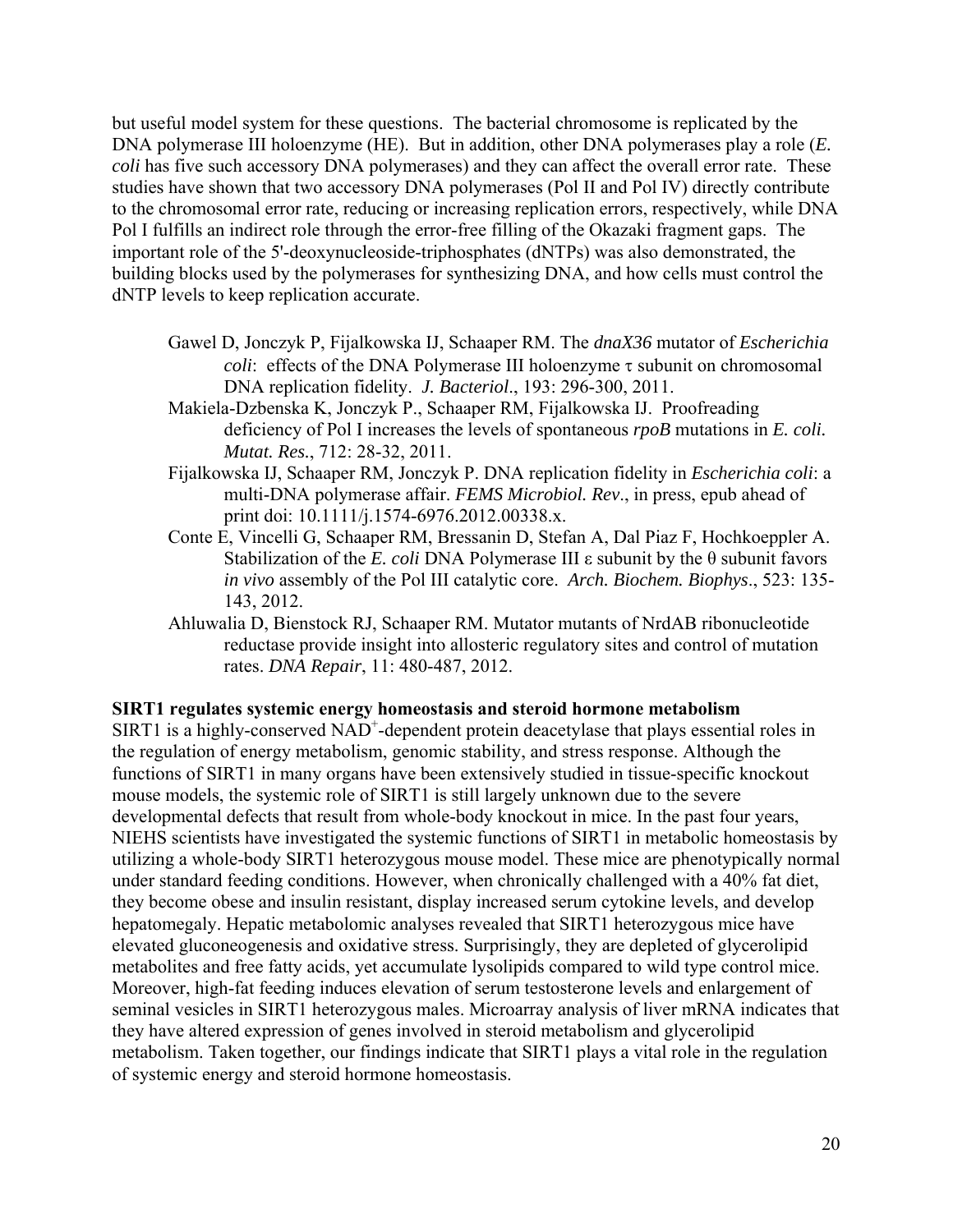but useful model system for these questions. The bacterial chromosome is replicated by the DNA polymerase III holoenzyme (HE). But in addition, other DNA polymerases play a role (*E. coli* has five such accessory DNA polymerases) and they can affect the overall error rate. These studies have shown that two accessory DNA polymerases (Pol II and Pol IV) directly contribute to the chromosomal error rate, reducing or increasing replication errors, respectively, while DNA Pol I fulfills an indirect role through the error-free filling of the Okazaki fragment gaps. The important role of the 5'-deoxynucleoside-triphosphates (dNTPs) was also demonstrated, the building blocks used by the polymerases for synthesizing DNA, and how cells must control the dNTP levels to keep replication accurate.

- Gawel D, Jonczyk P, Fijalkowska IJ, Schaaper RM. The *dnaX36* mutator of *Escherichia coli*: effects of the DNA Polymerase III holoenzyme  $\tau$  subunit on chromosomal DNA replication fidelity. *J. Bacteriol*., 193: 296-300, 2011.
- deficiency of Pol I increases the levels of spontaneous *rpoB* mutations in *E. coli. Mutat. Res.*, 712: 28-32, 2011. Makiela-Dzbenska K, Jonczyk P., Schaaper RM, Fijalkowska IJ. Proofreading
- Fijalkowska IJ, Schaaper RM, Jonczyk P. DNA replication fidelity in *Escherichia coli*: a multi-DNA polymerase affair. *FEMS Microbiol. Rev*., in press, epub ahead of print doi: 10.1111/j.1574-6976.2012.00338.x.
- Conte E, Vincelli G, Schaaper RM, Bressanin D, Stefan A, Dal Piaz F, Hochkoeppler A. Stabilization of the *E. coli* DNA Polymerase III  $\varepsilon$  subunit by the  $\theta$  subunit favors *in vivo* assembly of the Pol III catalytic core. *Arch. Biochem. Biophys*., 523: 135 143, 2012.
- Ahluwalia D, Bienstock RJ, Schaaper RM. Mutator mutants of NrdAB ribonucleotide reductase provide insight into allosteric regulatory sites and control of mutation rates. *DNA Repair*, 11: 480-487, 2012.

#### **SIRT1 regulates systemic energy homeostasis and steroid hormone metabolism**

SIRT1 is a highly-conserved NAD<sup>+</sup>-dependent protein deacetylase that plays essential roles in the regulation of energy metabolism, genomic stability, and stress response. Although the functions of SIRT1 in many organs have been extensively studied in tissue-specific knockout mouse models, the systemic role of SIRT1 is still largely unknown due to the severe developmental defects that result from whole-body knockout in mice. In the past four years, NIEHS scientists have investigated the systemic functions of SIRT1 in metabolic homeostasis by utilizing a whole-body SIRT1 heterozygous mouse model. These mice are phenotypically normal under standard feeding conditions. However, when chronically challenged with a 40% fat diet, they become obese and insulin resistant, display increased serum cytokine levels, and develop hepatomegaly. Hepatic metabolomic analyses revealed that SIRT1 heterozygous mice have elevated gluconeogenesis and oxidative stress. Surprisingly, they are depleted of glycerolipid metabolites and free fatty acids, yet accumulate lysolipids compared to wild type control mice. Moreover, high-fat feeding induces elevation of serum testosterone levels and enlargement of seminal vesicles in SIRT1 heterozygous males. Microarray analysis of liver mRNA indicates that they have altered expression of genes involved in steroid metabolism and glycerolipid metabolism. Taken together, our findings indicate that SIRT1 plays a vital role in the regulation of systemic energy and steroid hormone homeostasis.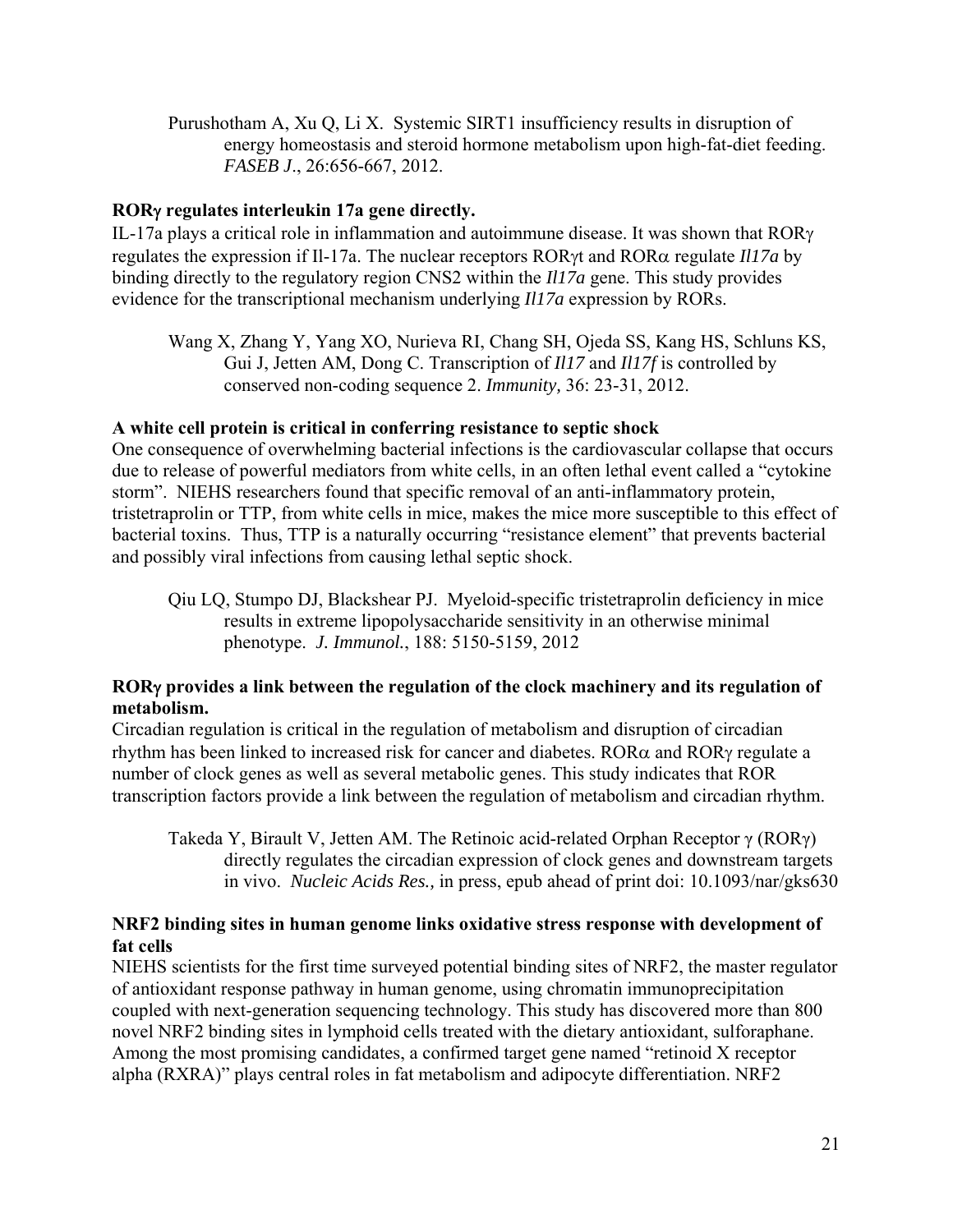Purushotham A, Xu Q, Li X. Systemic SIRT1 insufficiency results in disruption of energy homeostasis and steroid hormone metabolism upon high-fat-diet feeding. *FASEB J*., 26:656-667, 2012.

## **ROR regulates interleukin 17a gene directly.**

IL-17a plays a critical role in inflammation and autoimmune disease. It was shown that ROR regulates the expression if Il-17a. The nuclear receptors ROR<sub>Y</sub> and ROR<sub>Q</sub> regulate *Il17a* by binding directly to the regulatory region CNS2 within the *Il17a* gene. This study provides evidence for the transcriptional mechanism underlying *Il17a* expression by RORs.

Wang X, Zhang Y, Yang XO, Nurieva RI, Chang SH, Ojeda SS, Kang HS, Schluns KS, Gui J, Jetten AM, Dong C. Transcription of *Il17* and *Il17f* is controlled by conserved non-coding sequence 2. *Immunity,* 36: 23-31, 2012.

## **A white cell protein is critical in conferring resistance to septic shock**

One consequence of overwhelming bacterial infections is the cardiovascular collapse that occurs due to release of powerful mediators from white cells, in an often lethal event called a "cytokine storm". NIEHS researchers found that specific removal of an anti-inflammatory protein, tristetraprolin or TTP, from white cells in mice, makes the mice more susceptible to this effect of bacterial toxins. Thus, TTP is a naturally occurring "resistance element" that prevents bacterial and possibly viral infections from causing lethal septic shock.

Qiu LQ, Stumpo DJ, Blackshear PJ. Myeloid-specific tristetraprolin deficiency in mice results in extreme lipopolysaccharide sensitivity in an otherwise minimal phenotype. *J. Immunol.*, 188: 5150-5159, 2012

## **ROR provides a link between the regulation of the clock machinery and its regulation of metabolism.**

Circadian regulation is critical in the regulation of metabolism and disruption of circadian rhythm has been linked to increased risk for cancer and diabetes.  $ROR\alpha$  and  $ROR\gamma$  regulate a number of clock genes as well as several metabolic genes. This study indicates that ROR transcription factors provide a link between the regulation of metabolism and circadian rhythm.

Takeda Y, Birault V, Jetten AM. The Retinoic acid-related Orphan Receptor γ (RORγ) directly regulates the circadian expression of clock genes and downstream targets in vivo. *Nucleic Acids Res.,* in press, epub ahead of print doi: 10.1093/nar/gks630

## **NRF2 binding sites in human genome links oxidative stress response with development of fat cells**

NIEHS scientists for the first time surveyed potential binding sites of NRF2, the master regulator of antioxidant response pathway in human genome, using chromatin immunoprecipitation coupled with next-generation sequencing technology. This study has discovered more than 800 novel NRF2 binding sites in lymphoid cells treated with the dietary antioxidant, sulforaphane. Among the most promising candidates, a confirmed target gene named "retinoid X receptor alpha (RXRA)" plays central roles in fat metabolism and adipocyte differentiation. NRF2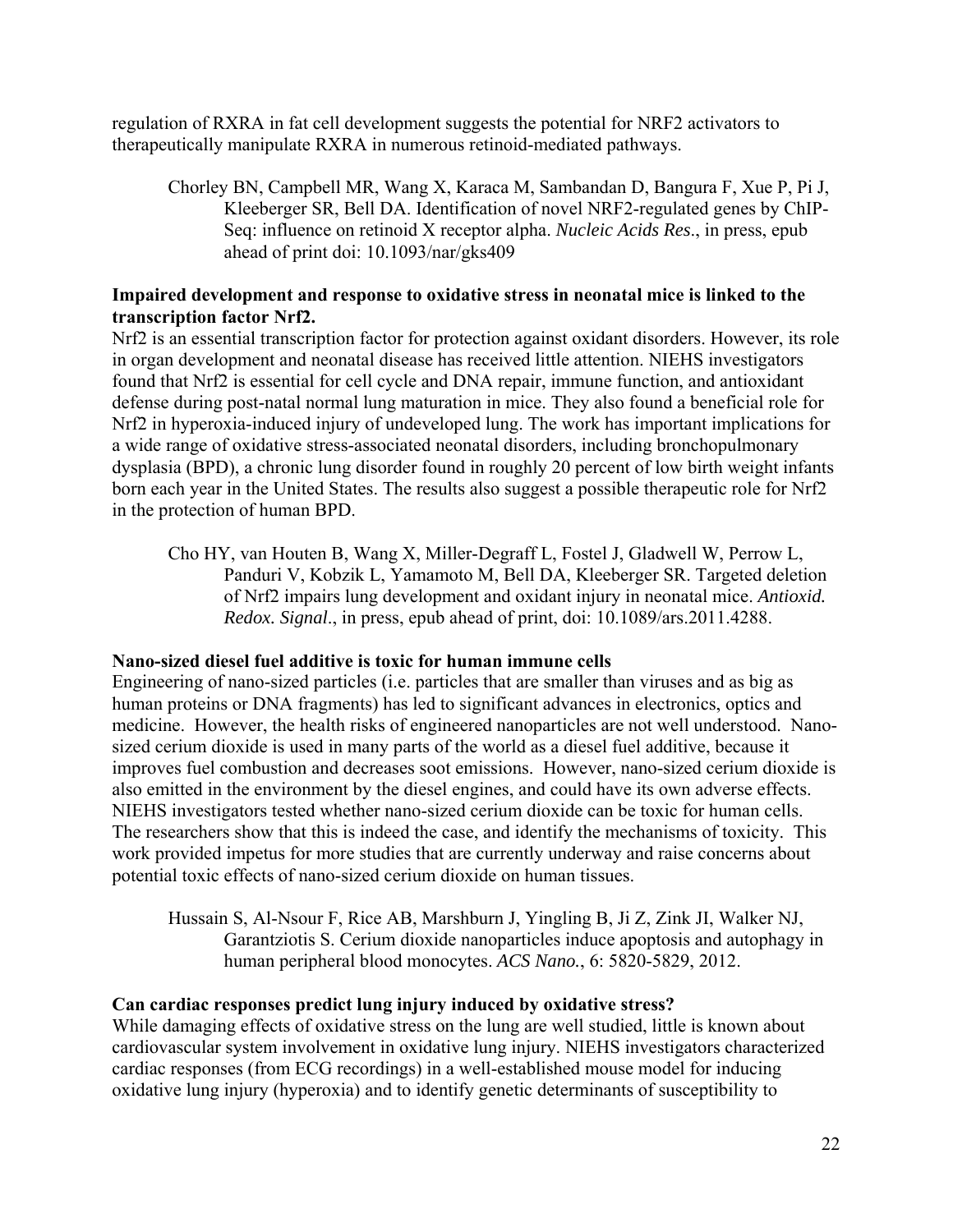regulation of RXRA in fat cell development suggests the potential for NRF2 activators to therapeutically manipulate RXRA in numerous retinoid-mediated pathways.

Chorley BN, Campbell MR, Wang X, Karaca M, Sambandan D, Bangura F, Xue P, Pi J, Kleeberger SR, Bell DA. Identification of novel NRF2-regulated genes by ChIP-Seq: influence on retinoid X receptor alpha. *Nucleic Acids Res*., in press, epub ahead of print doi: 10.1093/nar/gks409

## **Impaired development and response to oxidative stress in neonatal mice is linked to the transcription factor Nrf2.**

Nrf2 is an essential transcription factor for protection against oxidant disorders. However, its role in organ development and neonatal disease has received little attention. NIEHS investigators found that Nrf2 is essential for cell cycle and DNA repair, immune function, and antioxidant defense during post-natal normal lung maturation in mice. They also found a beneficial role for Nrf2 in hyperoxia-induced injury of undeveloped lung. The work has important implications for a wide range of oxidative stress-associated neonatal disorders, including bronchopulmonary dysplasia (BPD), a chronic lung disorder found in roughly 20 percent of low birth weight infants born each year in the United States. The results also suggest a possible therapeutic role for Nrf2 in the protection of human BPD.

Cho HY, van Houten B, Wang X, Miller-Degraff L, Fostel J, Gladwell W, Perrow L, Panduri V, Kobzik L, Yamamoto M, Bell DA, Kleeberger SR. Targeted deletion of Nrf2 impairs lung development and oxidant injury in neonatal mice. *Antioxid. Redox. Signal*., in press, epub ahead of print, doi: 10.1089/ars.2011.4288.

## **Nano-sized diesel fuel additive is toxic for human immune cells**

Engineering of nano-sized particles (i.e. particles that are smaller than viruses and as big as human proteins or DNA fragments) has led to significant advances in electronics, optics and medicine. However, the health risks of engineered nanoparticles are not well understood. Nanosized cerium dioxide is used in many parts of the world as a diesel fuel additive, because it improves fuel combustion and decreases soot emissions. However, nano-sized cerium dioxide is also emitted in the environment by the diesel engines, and could have its own adverse effects. NIEHS investigators tested whether nano-sized cerium dioxide can be toxic for human cells. The researchers show that this is indeed the case, and identify the mechanisms of toxicity. This work provided impetus for more studies that are currently underway and raise concerns about potential toxic effects of nano-sized cerium dioxide on human tissues.

Hussain S, Al-Nsour F, Rice AB, Marshburn J, Yingling B, Ji Z, Zink JI, Walker NJ, Garantziotis S. Cerium dioxide nanoparticles induce apoptosis and autophagy in human peripheral blood monocytes. *ACS Nano.*, 6: 5820-5829, 2012.

## **Can cardiac responses predict lung injury induced by oxidative stress?**

While damaging effects of oxidative stress on the lung are well studied, little is known about cardiovascular system involvement in oxidative lung injury. NIEHS investigators characterized cardiac responses (from ECG recordings) in a well-established mouse model for inducing oxidative lung injury (hyperoxia) and to identify genetic determinants of susceptibility to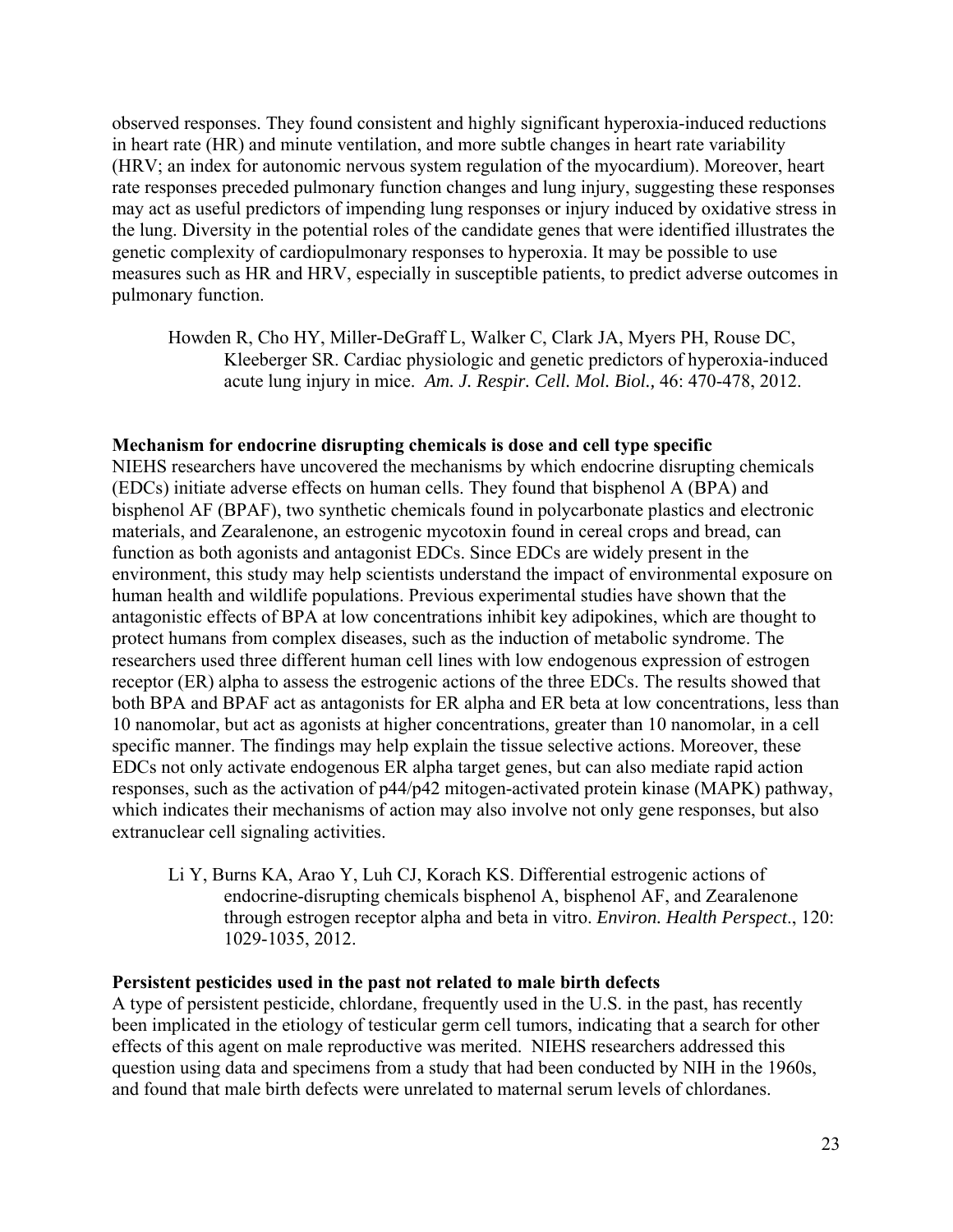observed responses. They found consistent and highly significant hyperoxia-induced reductions in heart rate (HR) and minute ventilation, and more subtle changes in heart rate variability (HRV; an index for autonomic nervous system regulation of the myocardium). Moreover, heart rate responses preceded pulmonary function changes and lung injury, suggesting these responses may act as useful predictors of impending lung responses or injury induced by oxidative stress in the lung. Diversity in the potential roles of the candidate genes that were identified illustrates the genetic complexity of cardiopulmonary responses to hyperoxia. It may be possible to use measures such as HR and HRV, especially in susceptible patients, to predict adverse outcomes in pulmonary function.

Howden R, Cho HY, Miller-DeGraff L, Walker C, Clark JA, Myers PH, Rouse DC, Kleeberger SR. Cardiac physiologic and genetic predictors of hyperoxia-induced acute lung injury in mice. *Am. J. Respir. Cell. Mol. Biol.,* 46: 470-478, 2012.

#### **Mechanism for endocrine disrupting chemicals is dose and cell type specific**

NIEHS researchers have uncovered the mechanisms by which endocrine disrupting chemicals (EDCs) initiate adverse effects on human cells. They found that bisphenol A (BPA) and bisphenol AF (BPAF), two synthetic chemicals found in polycarbonate plastics and electronic materials, and Zearalenone, an estrogenic mycotoxin found in cereal crops and bread, can function as both agonists and antagonist EDCs. Since EDCs are widely present in the environment, this study may help scientists understand the impact of environmental exposure on human health and wildlife populations. Previous experimental studies have shown that the antagonistic effects of BPA at low concentrations inhibit key adipokines, which are thought to protect humans from complex diseases, such as the induction of metabolic syndrome. The researchers used three different human cell lines with low endogenous expression of estrogen receptor (ER) alpha to assess the estrogenic actions of the three EDCs. The results showed that both BPA and BPAF act as antagonists for ER alpha and ER beta at low concentrations, less than 10 nanomolar, but act as agonists at higher concentrations, greater than 10 nanomolar, in a cell specific manner. The findings may help explain the tissue selective actions. Moreover, these EDCs not only activate endogenous ER alpha target genes, but can also mediate rapid action responses, such as the activation of p44/p42 mitogen-activated protein kinase (MAPK) pathway, which indicates their mechanisms of action may also involve not only gene responses, but also extranuclear cell signaling activities.

Li Y, Burns KA, Arao Y, Luh CJ, Korach KS. Differential estrogenic actions of endocrine-disrupting chemicals bisphenol A, bisphenol AF, and Zearalenone through estrogen receptor alpha and beta in vitro. *Environ. Health Perspect*., 120: 1029-1035, 2012.

#### **Persistent pesticides used in the past not related to male birth defects**

A type of persistent pesticide, chlordane, frequently used in the U.S. in the past, has recently been implicated in the etiology of testicular germ cell tumors, indicating that a search for other effects of this agent on male reproductive was merited. NIEHS researchers addressed this question using data and specimens from a study that had been conducted by NIH in the 1960s, and found that male birth defects were unrelated to maternal serum levels of chlordanes.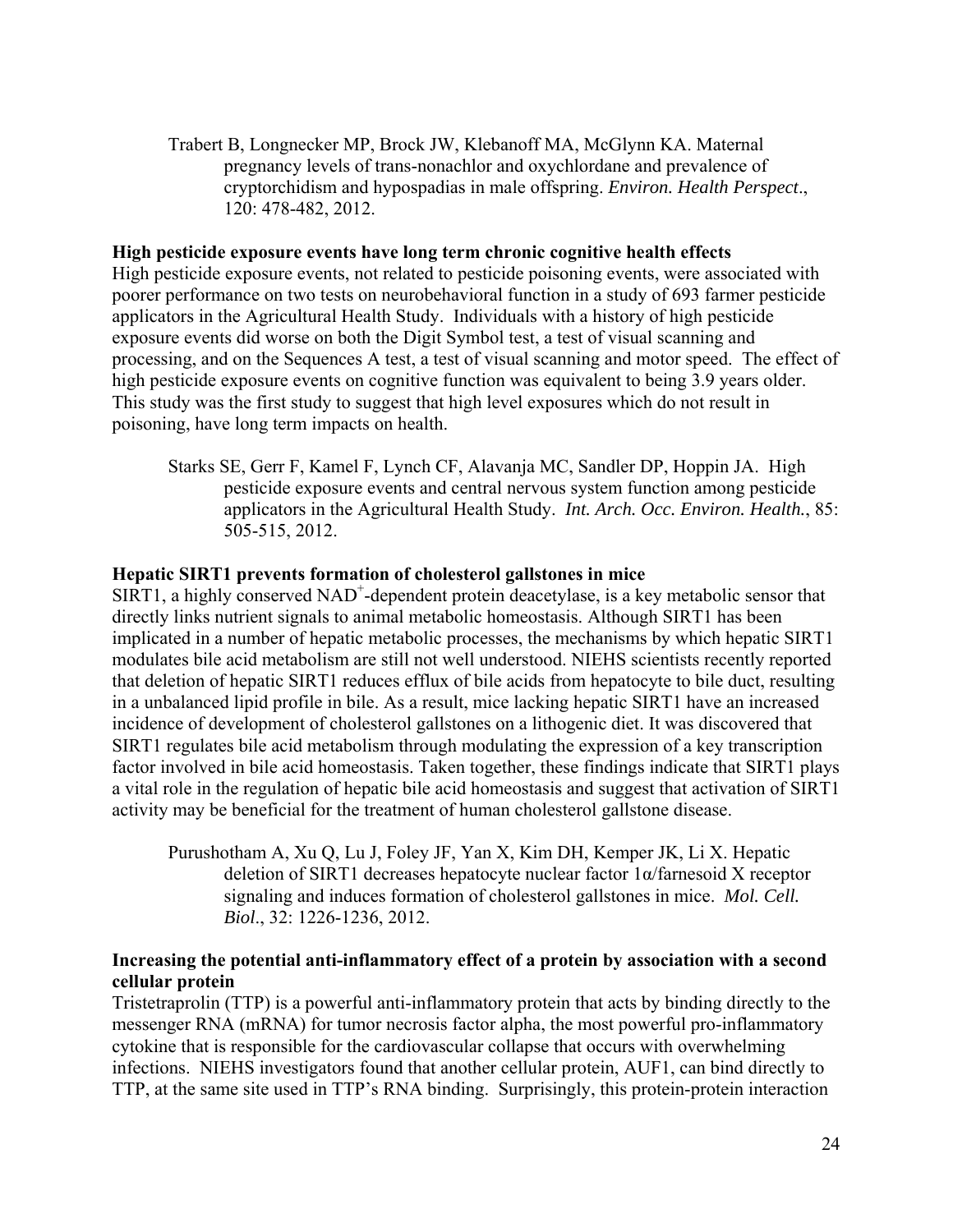Trabert B, Longnecker MP, Brock JW, Klebanoff MA, McGlynn KA. Maternal pregnancy levels of trans-nonachlor and oxychlordane and prevalence of cryptorchidism and hypospadias in male offspring. *Environ. Health Perspect*., 120: 478-482, 2012.

#### **High pesticide exposure events have long term chronic cognitive health effects**

High pesticide exposure events, not related to pesticide poisoning events, were associated with poorer performance on two tests on neurobehavioral function in a study of 693 farmer pesticide applicators in the Agricultural Health Study. Individuals with a history of high pesticide exposure events did worse on both the Digit Symbol test, a test of visual scanning and processing, and on the Sequences A test, a test of visual scanning and motor speed. The effect of high pesticide exposure events on cognitive function was equivalent to being 3.9 years older. This study was the first study to suggest that high level exposures which do not result in poisoning, have long term impacts on health.

Starks SE, Gerr F, Kamel F, Lynch CF, Alavanja MC, Sandler DP, Hoppin JA. High pesticide exposure events and central nervous system function among pesticide applicators in the Agricultural Health Study. *Int. Arch. Occ. Environ. Health.*, 85: 505-515, 2012.

#### **Hepatic SIRT1 prevents formation of cholesterol gallstones in mice**

SIRT1, a highly conserved NAD<sup>+</sup>-dependent protein deacetylase, is a key metabolic sensor that directly links nutrient signals to animal metabolic homeostasis. Although SIRT1 has been implicated in a number of hepatic metabolic processes, the mechanisms by which hepatic SIRT1 modulates bile acid metabolism are still not well understood. NIEHS scientists recently reported that deletion of hepatic SIRT1 reduces efflux of bile acids from hepatocyte to bile duct, resulting in a unbalanced lipid profile in bile. As a result, mice lacking hepatic SIRT1 have an increased incidence of development of cholesterol gallstones on a lithogenic diet. It was discovered that SIRT1 regulates bile acid metabolism through modulating the expression of a key transcription factor involved in bile acid homeostasis. Taken together, these findings indicate that SIRT1 plays a vital role in the regulation of hepatic bile acid homeostasis and suggest that activation of SIRT1 activity may be beneficial for the treatment of human cholesterol gallstone disease.

Purushotham A, Xu Q, Lu J, Foley JF, Yan X, Kim DH, Kemper JK, Li X. Hepatic deletion of SIRT1 decreases hepatocyte nuclear factor 1α/farnesoid X receptor signaling and induces formation of cholesterol gallstones in mice. *Mol. Cell. Biol*., 32: 1226-1236, 2012.

## **Increasing the potential anti-inflammatory effect of a protein by association with a second cellular protein**

Tristetraprolin (TTP) is a powerful anti-inflammatory protein that acts by binding directly to the messenger RNA (mRNA) for tumor necrosis factor alpha, the most powerful pro-inflammatory cytokine that is responsible for the cardiovascular collapse that occurs with overwhelming infections. NIEHS investigators found that another cellular protein, AUF1, can bind directly to TTP, at the same site used in TTP's RNA binding. Surprisingly, this protein-protein interaction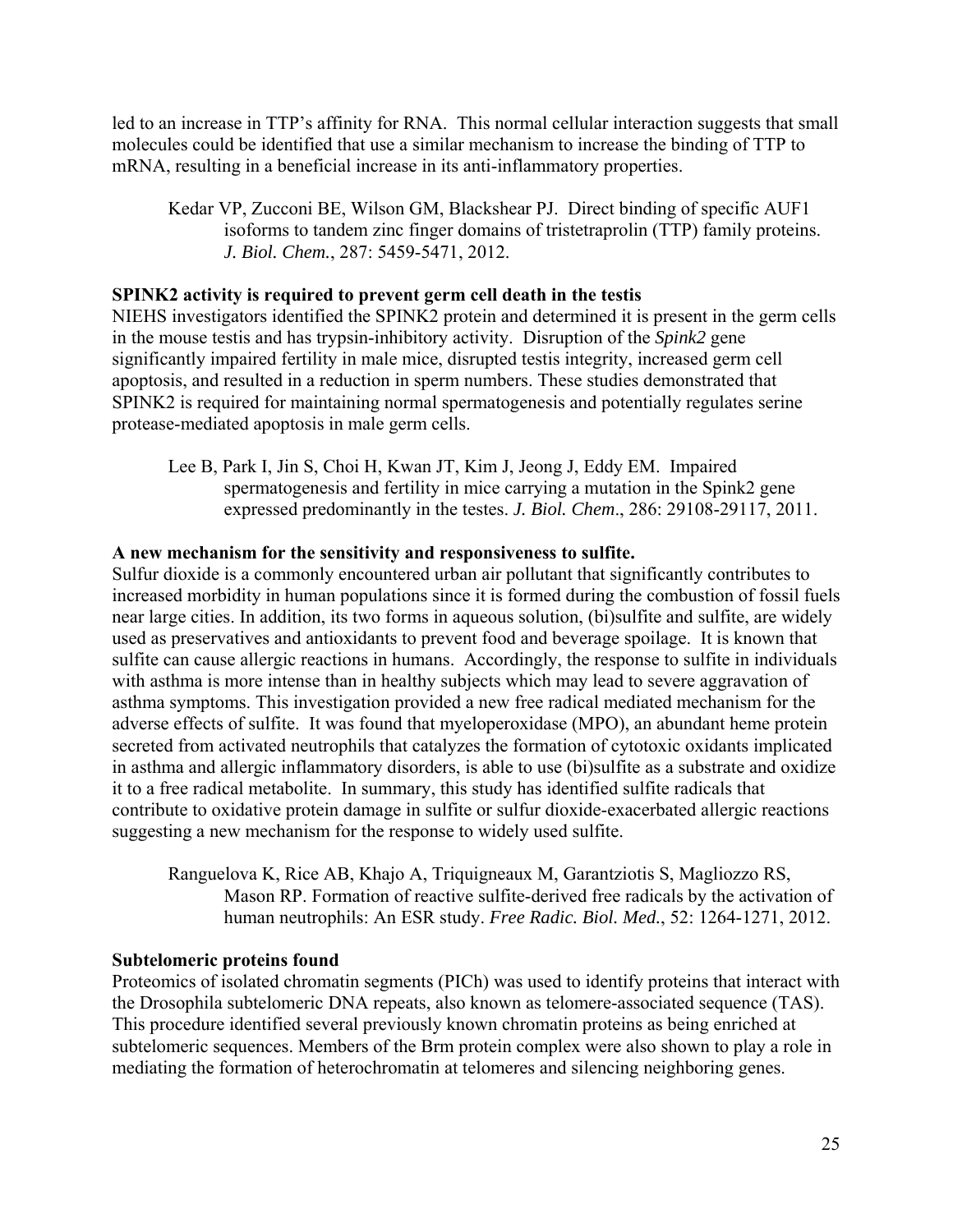led to an increase in TTP's affinity for RNA. This normal cellular interaction suggests that small molecules could be identified that use a similar mechanism to increase the binding of TTP to mRNA, resulting in a beneficial increase in its anti-inflammatory properties.

Kedar VP, Zucconi BE, Wilson GM, Blackshear PJ. Direct binding of specific AUF1 isoforms to tandem zinc finger domains of tristetraprolin (TTP) family proteins. *J. Biol. Chem.*, 287: 5459-5471, 2012.

#### **SPINK2 activity is required to prevent germ cell death in the testis**

NIEHS investigators identified the SPINK2 protein and determined it is present in the germ cells in the mouse testis and has trypsin-inhibitory activity. Disruption of the *Spink2* gene significantly impaired fertility in male mice, disrupted testis integrity, increased germ cell apoptosis, and resulted in a reduction in sperm numbers. These studies demonstrated that SPINK2 is required for maintaining normal spermatogenesis and potentially regulates serine protease-mediated apoptosis in male germ cells.

Lee B, Park I, Jin S, Choi H, Kwan JT, Kim J, Jeong J, Eddy EM. Impaired spermatogenesis and fertility in mice carrying a mutation in the Spink2 gene expressed predominantly in the testes. *J. Biol. Chem*., 286: 29108-29117, 2011.

## **A new mechanism for the sensitivity and responsiveness to sulfite.**

Sulfur dioxide is a commonly encountered urban air pollutant that significantly contributes to increased morbidity in human populations since it is formed during the combustion of fossil fuels near large cities. In addition, its two forms in aqueous solution, (bi)sulfite and sulfite, are widely used as preservatives and antioxidants to prevent food and beverage spoilage. It is known that sulfite can cause allergic reactions in humans. Accordingly, the response to sulfite in individuals with asthma is more intense than in healthy subjects which may lead to severe aggravation of asthma symptoms. This investigation provided a new free radical mediated mechanism for the adverse effects of sulfite. It was found that myeloperoxidase (MPO), an abundant heme protein secreted from activated neutrophils that catalyzes the formation of cytotoxic oxidants implicated in asthma and allergic inflammatory disorders, is able to use (bi)sulfite as a substrate and oxidize it to a free radical metabolite. In summary, this study has identified sulfite radicals that contribute to oxidative protein damage in sulfite or sulfur dioxide-exacerbated allergic reactions suggesting a new mechanism for the response to widely used sulfite.

Ranguelova K, Rice AB, Khajo A, Triquigneaux M, Garantziotis S, Magliozzo RS, Mason RP. Formation of reactive sulfite-derived free radicals by the activation of human neutrophils: An ESR study. *Free Radic. Biol. Med.*, 52: 1264-1271, 2012.

#### **Subtelomeric proteins found**

Proteomics of isolated chromatin segments (PICh) was used to identify proteins that interact with the Drosophila subtelomeric DNA repeats, also known as telomere-associated sequence (TAS). This procedure identified several previously known chromatin proteins as being enriched at subtelomeric sequences. Members of the Brm protein complex were also shown to play a role in mediating the formation of heterochromatin at telomeres and silencing neighboring genes.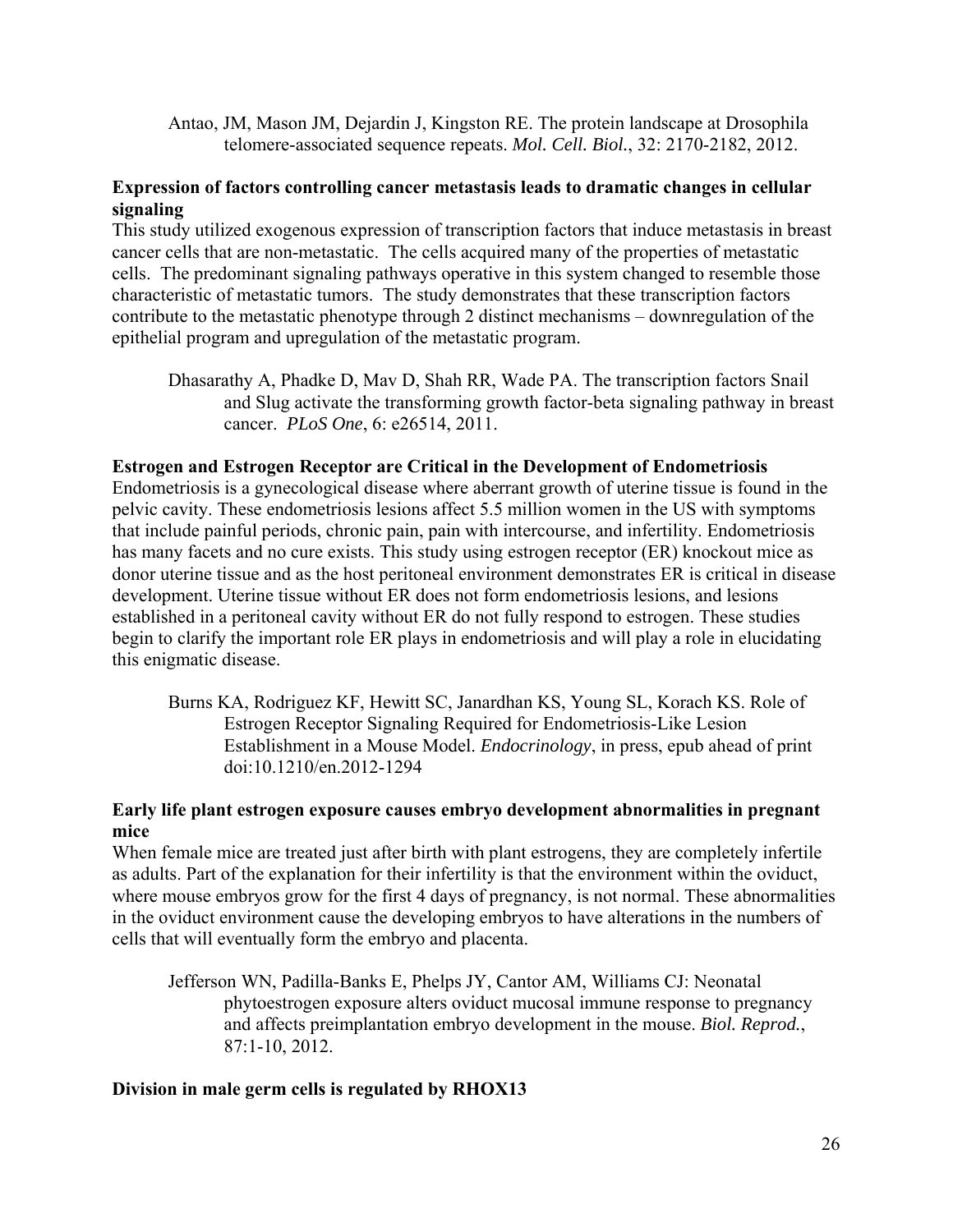Antao, JM, Mason JM, Dejardin J, Kingston RE. The protein landscape at Drosophila telomere-associated sequence repeats. *Mol. Cell. Biol.*, 32: 2170-2182, 2012.

## **Expression of factors controlling cancer metastasis leads to dramatic changes in cellular signaling**

This study utilized exogenous expression of transcription factors that induce metastasis in breast cancer cells that are non-metastatic. The cells acquired many of the properties of metastatic cells. The predominant signaling pathways operative in this system changed to resemble those characteristic of metastatic tumors. The study demonstrates that these transcription factors contribute to the metastatic phenotype through 2 distinct mechanisms – downregulation of the epithelial program and upregulation of the metastatic program.

Dhasarathy A, Phadke D, Mav D, Shah RR, Wade PA. The transcription factors Snail and Slug activate the transforming growth factor-beta signaling pathway in breast cancer. *PLoS One*, 6: e26514, 2011.

#### **Estrogen and Estrogen Receptor are Critical in the Development of Endometriosis**

Endometriosis is a gynecological disease where aberrant growth of uterine tissue is found in the pelvic cavity. These endometriosis lesions affect 5.5 million women in the US with symptoms that include painful periods, chronic pain, pain with intercourse, and infertility. Endometriosis has many facets and no cure exists. This study using estrogen receptor (ER) knockout mice as donor uterine tissue and as the host peritoneal environment demonstrates ER is critical in disease development. Uterine tissue without ER does not form endometriosis lesions, and lesions established in a peritoneal cavity without ER do not fully respond to estrogen. These studies begin to clarify the important role ER plays in endometriosis and will play a role in elucidating this enigmatic disease.

Burns KA, Rodriguez KF, Hewitt SC, Janardhan KS, Young SL, Korach KS. Role of Estrogen Receptor Signaling Required for Endometriosis-Like Lesion Establishment in a Mouse Model. *Endocrinology*, in press, epub ahead of print doi:10.1210/en.2012-1294

## **Early life plant estrogen exposure causes embryo development abnormalities in pregnant mice**

When female mice are treated just after birth with plant estrogens, they are completely infertile as adults. Part of the explanation for their infertility is that the environment within the oviduct, where mouse embryos grow for the first 4 days of pregnancy, is not normal. These abnormalities in the oviduct environment cause the developing embryos to have alterations in the numbers of cells that will eventually form the embryo and placenta.

Jefferson WN, Padilla-Banks E, Phelps JY, Cantor AM, Williams CJ: Neonatal phytoestrogen exposure alters oviduct mucosal immune response to pregnancy and affects preimplantation embryo development in the mouse. *Biol. Reprod.*, 87:1-10, 2012.

## **Division in male germ cells is regulated by RHOX13**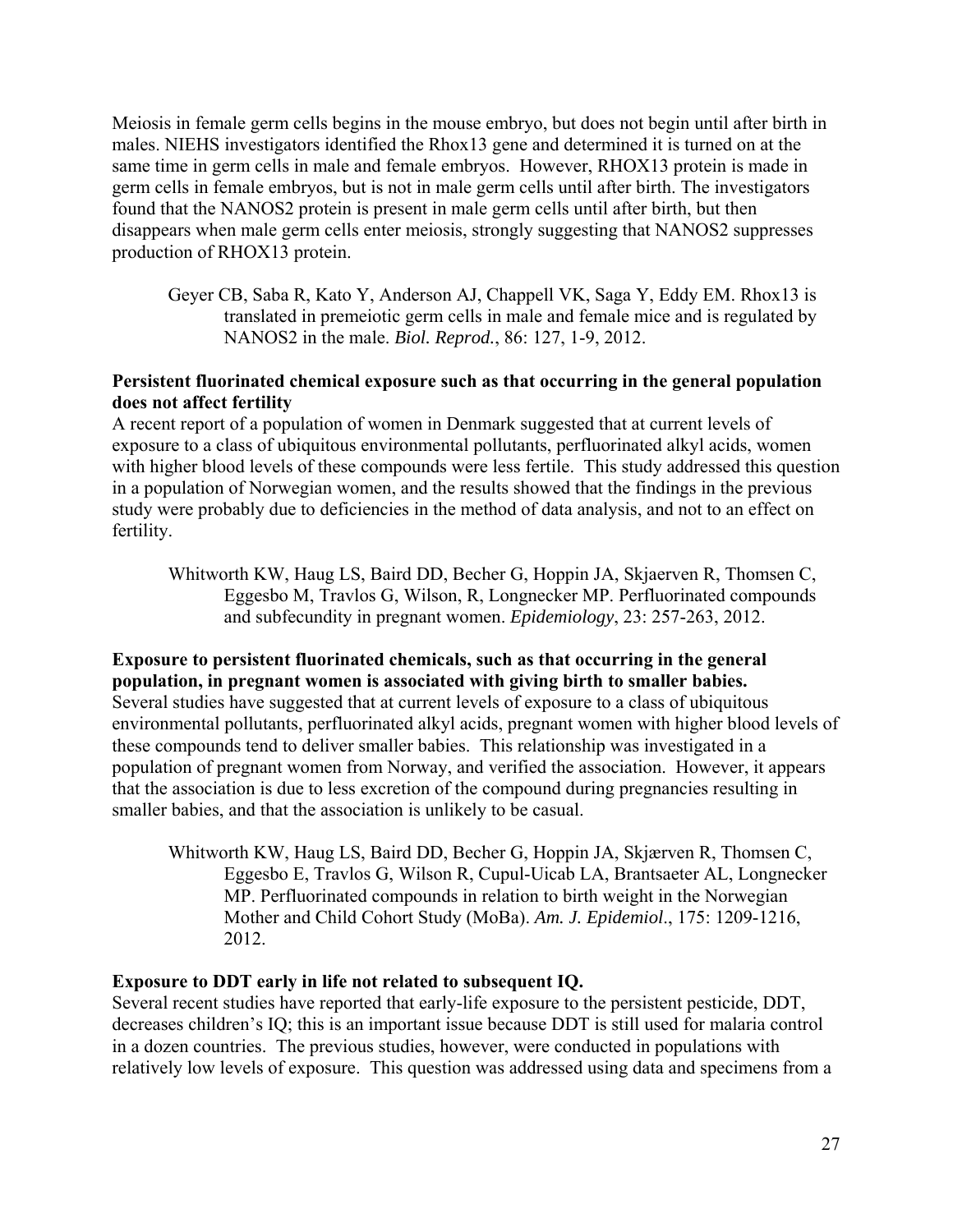Meiosis in female germ cells begins in the mouse embryo, but does not begin until after birth in males. NIEHS investigators identified the Rhox13 gene and determined it is turned on at the same time in germ cells in male and female embryos. However, RHOX13 protein is made in germ cells in female embryos, but is not in male germ cells until after birth. The investigators found that the NANOS2 protein is present in male germ cells until after birth, but then disappears when male germ cells enter meiosis, strongly suggesting that NANOS2 suppresses production of RHOX13 protein.

Geyer CB, Saba R, Kato Y, Anderson AJ, Chappell VK, Saga Y, Eddy EM. Rhox13 is translated in premeiotic germ cells in male and female mice and is regulated by NANOS2 in the male. *Biol. Reprod.*, 86: 127, 1-9, 2012.

## **Persistent fluorinated chemical exposure such as that occurring in the general population does not affect fertility**

A recent report of a population of women in Denmark suggested that at current levels of exposure to a class of ubiquitous environmental pollutants, perfluorinated alkyl acids, women with higher blood levels of these compounds were less fertile. This study addressed this question in a population of Norwegian women, and the results showed that the findings in the previous study were probably due to deficiencies in the method of data analysis, and not to an effect on fertility.

Whitworth KW, Haug LS, Baird DD, Becher G, Hoppin JA, Skjaerven R, Thomsen C, Eggesbo M, Travlos G, Wilson, R, Longnecker MP. Perfluorinated compounds and subfecundity in pregnant women. *Epidemiology*, 23: 257-263, 2012.

## **Exposure to persistent fluorinated chemicals, such as that occurring in the general population, in pregnant women is associated with giving birth to smaller babies.**

Several studies have suggested that at current levels of exposure to a class of ubiquitous environmental pollutants, perfluorinated alkyl acids, pregnant women with higher blood levels of these compounds tend to deliver smaller babies. This relationship was investigated in a population of pregnant women from Norway, and verified the association. However, it appears that the association is due to less excretion of the compound during pregnancies resulting in smaller babies, and that the association is unlikely to be casual.

Whitworth KW, Haug LS, Baird DD, Becher G, Hoppin JA, Skjærven R, Thomsen C, Eggesbo E, Travlos G, Wilson R, Cupul-Uicab LA, Brantsaeter AL, Longnecker MP. Perfluorinated compounds in relation to birth weight in the Norwegian Mother and Child Cohort Study (MoBa). *Am. J. Epidemiol*., 175: 1209-1216, 2012.

## **Exposure to DDT early in life not related to subsequent IQ.**

Several recent studies have reported that early-life exposure to the persistent pesticide, DDT, decreases children's IQ; this is an important issue because DDT is still used for malaria control in a dozen countries. The previous studies, however, were conducted in populations with relatively low levels of exposure. This question was addressed using data and specimens from a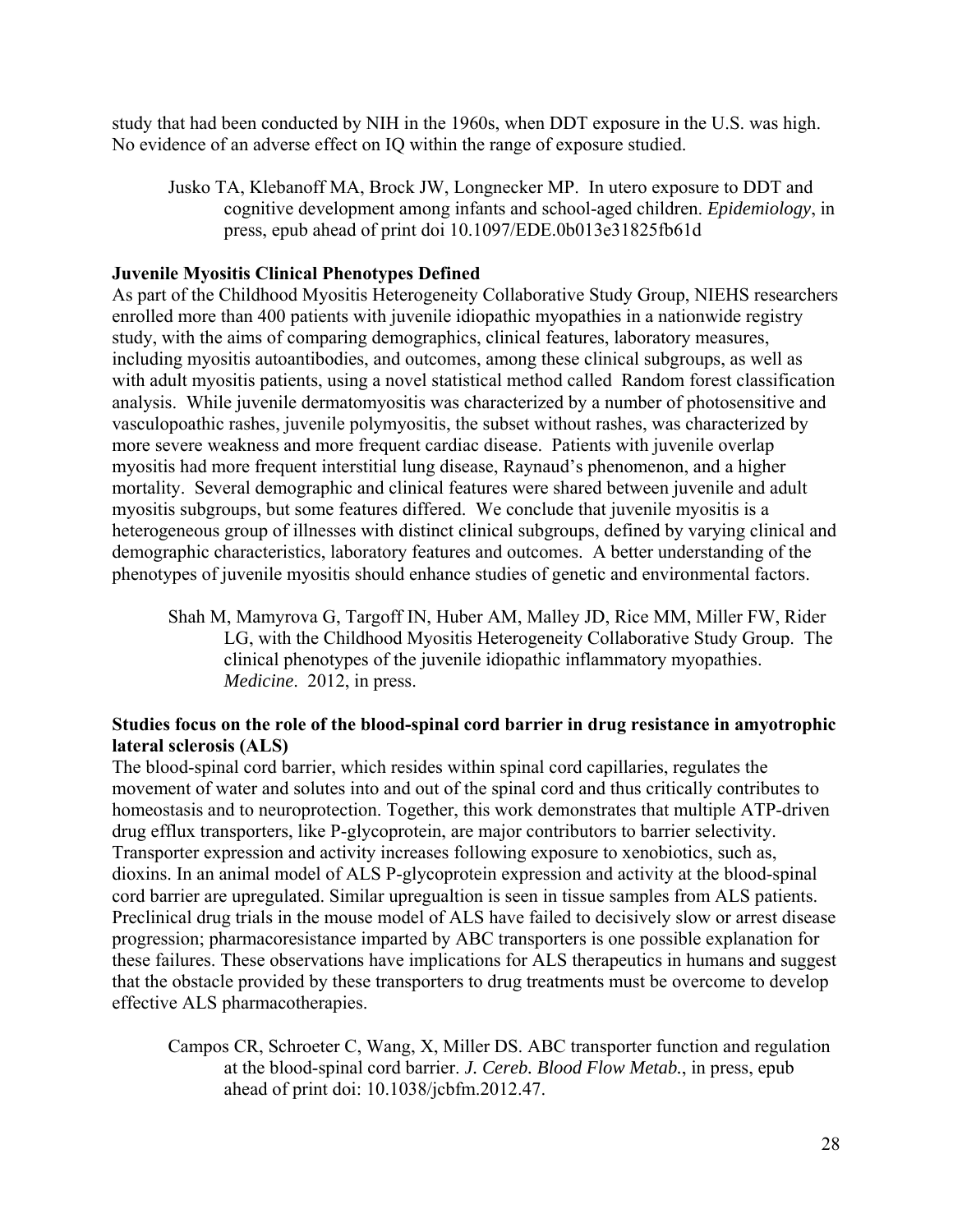study that had been conducted by NIH in the 1960s, when DDT exposure in the U.S. was high. No evidence of an adverse effect on IQ within the range of exposure studied.

Jusko TA, Klebanoff MA, Brock JW, Longnecker MP. In utero exposure to DDT and cognitive development among infants and school-aged children. *Epidemiology*, in press, epub ahead of print doi 10.1097/EDE.0b013e31825fb61d

## **Juvenile Myositis Clinical Phenotypes Defined**

As part of the Childhood Myositis Heterogeneity Collaborative Study Group, NIEHS researchers enrolled more than 400 patients with juvenile idiopathic myopathies in a nationwide registry study, with the aims of comparing demographics, clinical features, laboratory measures, including myositis autoantibodies, and outcomes, among these clinical subgroups, as well as with adult myositis patients, using a novel statistical method called Random forest classification analysis. While juvenile dermatomyositis was characterized by a number of photosensitive and vasculopoathic rashes, juvenile polymyositis, the subset without rashes, was characterized by more severe weakness and more frequent cardiac disease. Patients with juvenile overlap myositis had more frequent interstitial lung disease, Raynaud's phenomenon, and a higher mortality. Several demographic and clinical features were shared between juvenile and adult myositis subgroups, but some features differed. We conclude that juvenile myositis is a heterogeneous group of illnesses with distinct clinical subgroups, defined by varying clinical and demographic characteristics, laboratory features and outcomes. A better understanding of the phenotypes of juvenile myositis should enhance studies of genetic and environmental factors.

Shah M, Mamyrova G, Targoff IN, Huber AM, Malley JD, Rice MM, Miller FW, Rider LG, with the Childhood Myositis Heterogeneity Collaborative Study Group. The clinical phenotypes of the juvenile idiopathic inflammatory myopathies. *Medicine*. 2012, in press.

## **Studies focus on the role of the blood-spinal cord barrier in drug resistance in amyotrophic lateral sclerosis (ALS)**

The blood-spinal cord barrier, which resides within spinal cord capillaries, regulates the movement of water and solutes into and out of the spinal cord and thus critically contributes to homeostasis and to neuroprotection. Together, this work demonstrates that multiple ATP-driven drug efflux transporters, like P-glycoprotein, are major contributors to barrier selectivity. Transporter expression and activity increases following exposure to xenobiotics, such as, dioxins. In an animal model of ALS P-glycoprotein expression and activity at the blood-spinal cord barrier are upregulated. Similar upregualtion is seen in tissue samples from ALS patients. Preclinical drug trials in the mouse model of ALS have failed to decisively slow or arrest disease progression; pharmacoresistance imparted by ABC transporters is one possible explanation for these failures. These observations have implications for ALS therapeutics in humans and suggest that the obstacle provided by these transporters to drug treatments must be overcome to develop effective ALS pharmacotherapies.

Campos CR, Schroeter C, Wang, X, Miller DS. ABC transporter function and regulation at the blood-spinal cord barrier. *J. Cereb. Blood Flow Metab.*, in press, epub ahead of print doi: 10.1038/jcbfm.2012.47.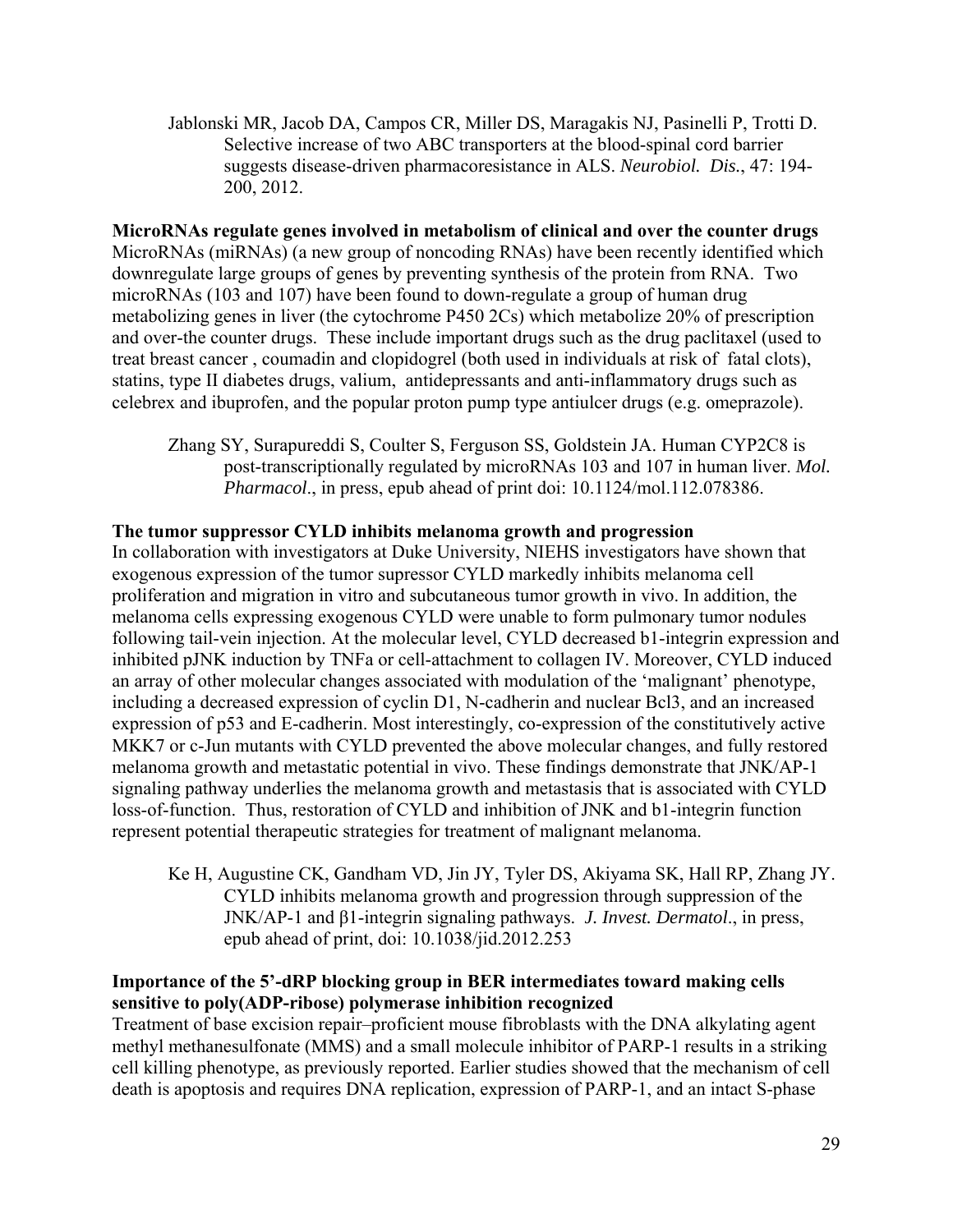Jablonski MR, Jacob DA, Campos CR, Miller DS, Maragakis NJ, Pasinelli P, Trotti D. Selective increase of two ABC transporters at the blood-spinal cord barrier suggests disease-driven pharmacoresistance in ALS. *Neurobiol. Dis.*, 47: 194 200, 2012.

**MicroRNAs regulate genes involved in metabolism of clinical and over the counter drugs**  MicroRNAs (miRNAs) (a new group of noncoding RNAs) have been recently identified which downregulate large groups of genes by preventing synthesis of the protein from RNA. Two microRNAs (103 and 107) have been found to down-regulate a group of human drug metabolizing genes in liver (the cytochrome P450 2Cs) which metabolize 20% of prescription and over-the counter drugs. These include important drugs such as the drug paclitaxel (used to treat breast cancer , coumadin and clopidogrel (both used in individuals at risk of fatal clots), statins, type II diabetes drugs, valium, antidepressants and anti-inflammatory drugs such as celebrex and ibuprofen, and the popular proton pump type antiulcer drugs (e.g. omeprazole).

Zhang SY, Surapureddi S, Coulter S, Ferguson SS, Goldstein JA. Human CYP2C8 is post-transcriptionally regulated by microRNAs 103 and 107 in human liver. *Mol. Pharmacol*., in press, epub ahead of print doi: 10.1124/mol.112.078386.

## **The tumor suppressor CYLD inhibits melanoma growth and progression**

In collaboration with investigators at Duke University, NIEHS investigators have shown that exogenous expression of the tumor supressor CYLD markedly inhibits melanoma cell proliferation and migration in vitro and subcutaneous tumor growth in vivo. In addition, the melanoma cells expressing exogenous CYLD were unable to form pulmonary tumor nodules following tail-vein injection. At the molecular level, CYLD decreased b1-integrin expression and inhibited pJNK induction by TNFa or cell-attachment to collagen IV. Moreover, CYLD induced an array of other molecular changes associated with modulation of the 'malignant' phenotype, including a decreased expression of cyclin D1, N-cadherin and nuclear Bcl3, and an increased expression of p53 and E-cadherin. Most interestingly, co-expression of the constitutively active MKK7 or c-Jun mutants with CYLD prevented the above molecular changes, and fully restored melanoma growth and metastatic potential in vivo. These findings demonstrate that JNK/AP-1 signaling pathway underlies the melanoma growth and metastasis that is associated with CYLD loss-of-function. Thus, restoration of CYLD and inhibition of JNK and b1-integrin function represent potential therapeutic strategies for treatment of malignant melanoma.

Ke H, Augustine CK, Gandham VD, Jin JY, Tyler DS, Akiyama SK, Hall RP, Zhang JY. CYLD inhibits melanoma growth and progression through suppression of the JNK/AP-1 and β1-integrin signaling pathways. *J. Invest. Dermatol*., in press, epub ahead of print, doi: 10.1038/jid.2012.253

## **Importance of the 5'-dRP blocking group in BER intermediates toward making cells sensitive to poly(ADP-ribose) polymerase inhibition recognized**

Treatment of base excision repair–proficient mouse fibroblasts with the DNA alkylating agent methyl methanesulfonate (MMS) and a small molecule inhibitor of PARP-1 results in a striking cell killing phenotype, as previously reported. Earlier studies showed that the mechanism of cell death is apoptosis and requires DNA replication, expression of PARP-1, and an intact S-phase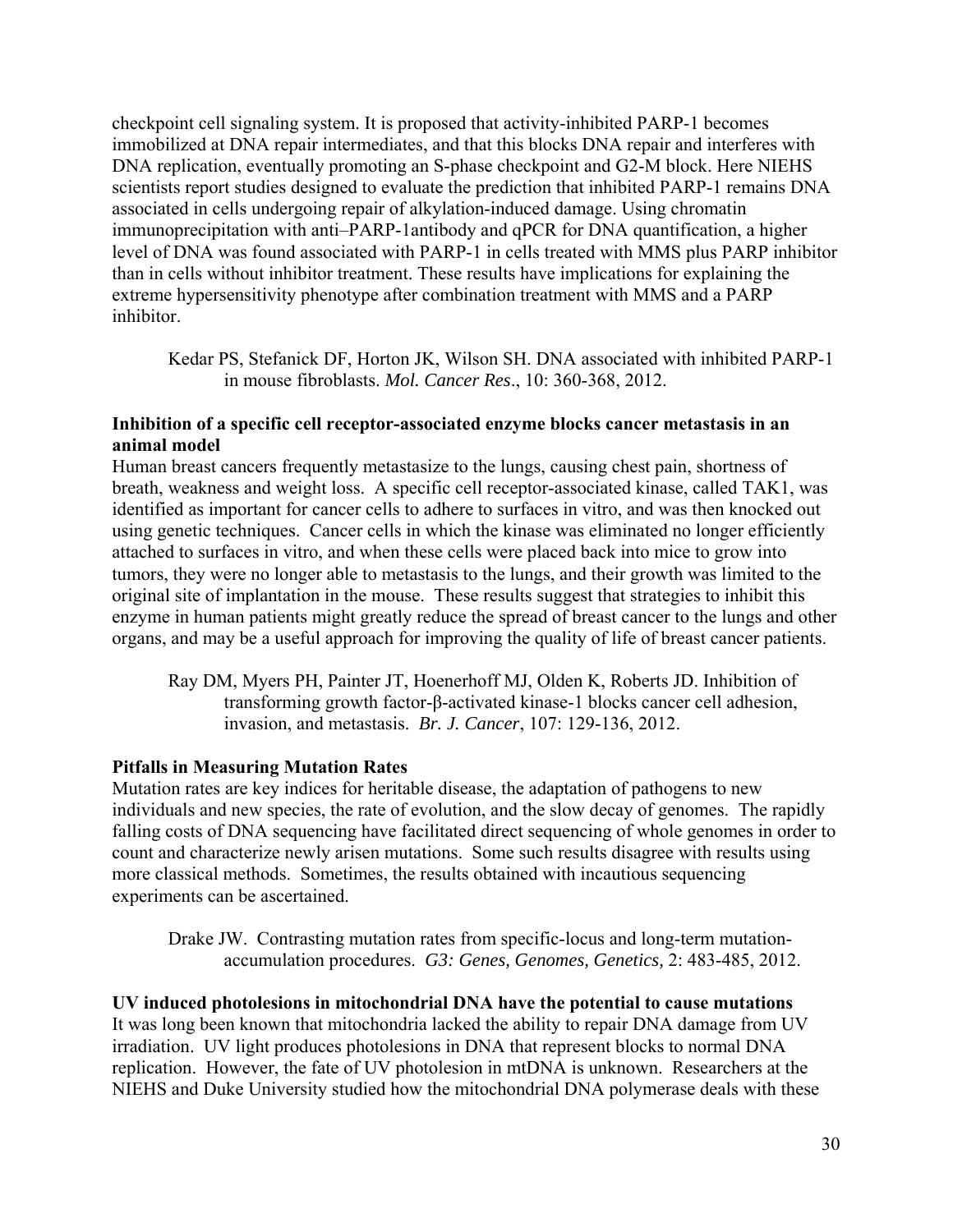checkpoint cell signaling system. It is proposed that activity-inhibited PARP-1 becomes immobilized at DNA repair intermediates, and that this blocks DNA repair and interferes with DNA replication, eventually promoting an S-phase checkpoint and G2-M block. Here NIEHS scientists report studies designed to evaluate the prediction that inhibited PARP-1 remains DNA associated in cells undergoing repair of alkylation-induced damage. Using chromatin immunoprecipitation with anti–PARP-1antibody and qPCR for DNA quantification, a higher level of DNA was found associated with PARP-1 in cells treated with MMS plus PARP inhibitor than in cells without inhibitor treatment. These results have implications for explaining the extreme hypersensitivity phenotype after combination treatment with MMS and a PARP inhibitor.

Kedar PS, Stefanick DF, Horton JK, Wilson SH. DNA associated with inhibited PARP-1 in mouse fibroblasts. *Mol. Cancer Res*., 10: 360-368, 2012.

## **Inhibition of a specific cell receptor-associated enzyme blocks cancer metastasis in an animal model**

Human breast cancers frequently metastasize to the lungs, causing chest pain, shortness of breath, weakness and weight loss. A specific cell receptor-associated kinase, called TAK1, was identified as important for cancer cells to adhere to surfaces in vitro, and was then knocked out using genetic techniques. Cancer cells in which the kinase was eliminated no longer efficiently attached to surfaces in vitro, and when these cells were placed back into mice to grow into tumors, they were no longer able to metastasis to the lungs, and their growth was limited to the original site of implantation in the mouse. These results suggest that strategies to inhibit this enzyme in human patients might greatly reduce the spread of breast cancer to the lungs and other organs, and may be a useful approach for improving the quality of life of breast cancer patients.

Ray DM, Myers PH, Painter JT, Hoenerhoff MJ, Olden K, Roberts JD. Inhibition of transforming growth factor-β-activated kinase-1 blocks cancer cell adhesion, invasion, and metastasis. *Br. J. Cancer*, 107: 129-136, 2012.

#### **Pitfalls in Measuring Mutation Rates**

Mutation rates are key indices for heritable disease, the adaptation of pathogens to new individuals and new species, the rate of evolution, and the slow decay of genomes. The rapidly falling costs of DNA sequencing have facilitated direct sequencing of whole genomes in order to count and characterize newly arisen mutations. Some such results disagree with results using more classical methods. Sometimes, the results obtained with incautious sequencing experiments can be ascertained.

Drake JW. Contrasting mutation rates from specific-locus and long-term mutationaccumulation procedures. *G3: Genes, Genomes, Genetics,* 2: 483-485, 2012.

**UV induced photolesions in mitochondrial DNA have the potential to cause mutations**  It was long been known that mitochondria lacked the ability to repair DNA damage from UV irradiation. UV light produces photolesions in DNA that represent blocks to normal DNA replication. However, the fate of UV photolesion in mtDNA is unknown. Researchers at the NIEHS and Duke University studied how the mitochondrial DNA polymerase deals with these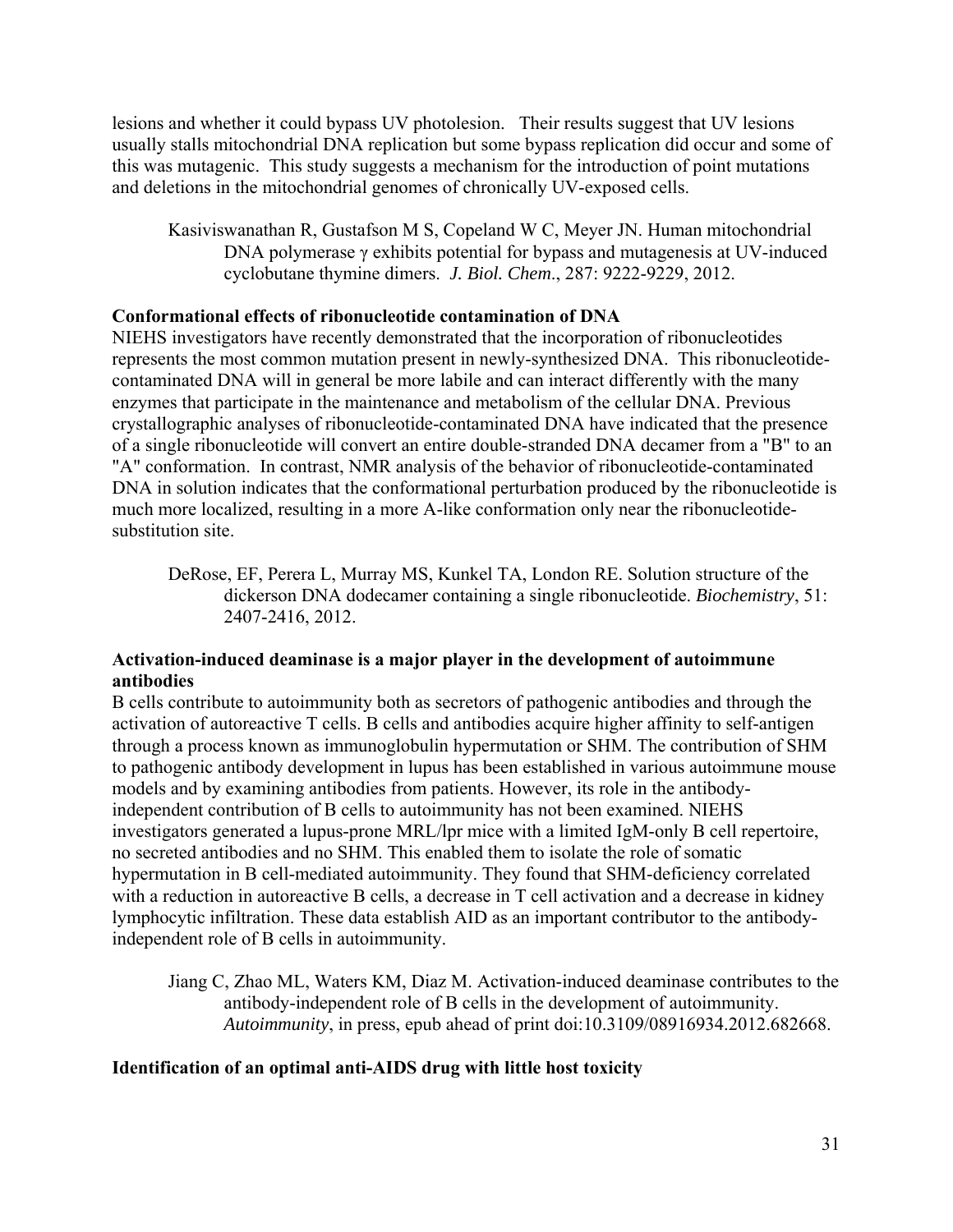lesions and whether it could bypass UV photolesion. Their results suggest that UV lesions usually stalls mitochondrial DNA replication but some bypass replication did occur and some of this was mutagenic. This study suggests a mechanism for the introduction of point mutations and deletions in the mitochondrial genomes of chronically UV-exposed cells.

Kasiviswanathan R, Gustafson M S, Copeland W C, Meyer JN. Human mitochondrial DNA polymerase  $\gamma$  exhibits potential for bypass and mutagenesis at UV-induced cyclobutane thymine dimers. *J. Biol. Chem*., 287: 9222-9229, 2012.

## **Conformational effects of ribonucleotide contamination of DNA**

NIEHS investigators have recently demonstrated that the incorporation of ribonucleotides represents the most common mutation present in newly-synthesized DNA. This ribonucleotidecontaminated DNA will in general be more labile and can interact differently with the many enzymes that participate in the maintenance and metabolism of the cellular DNA. Previous crystallographic analyses of ribonucleotide-contaminated DNA have indicated that the presence of a single ribonucleotide will convert an entire double-stranded DNA decamer from a "B" to an "A" conformation. In contrast, NMR analysis of the behavior of ribonucleotide-contaminated DNA in solution indicates that the conformational perturbation produced by the ribonucleotide is much more localized, resulting in a more A-like conformation only near the ribonucleotidesubstitution site

DeRose, EF, Perera L, Murray MS, Kunkel TA, London RE. Solution structure of the dickerson DNA dodecamer containing a single ribonucleotide. *Biochemistry*, 51: 2407-2416, 2012.

## **Activation-induced deaminase is a major player in the development of autoimmune antibodies**

B cells contribute to autoimmunity both as secretors of pathogenic antibodies and through the activation of autoreactive T cells. B cells and antibodies acquire higher affinity to self-antigen through a process known as immunoglobulin hypermutation or SHM. The contribution of SHM to pathogenic antibody development in lupus has been established in various autoimmune mouse models and by examining antibodies from patients. However, its role in the antibodyindependent contribution of B cells to autoimmunity has not been examined. NIEHS investigators generated a lupus-prone MRL/lpr mice with a limited IgM-only B cell repertoire, no secreted antibodies and no SHM. This enabled them to isolate the role of somatic hypermutation in B cell-mediated autoimmunity. They found that SHM-deficiency correlated with a reduction in autoreactive B cells, a decrease in T cell activation and a decrease in kidney lymphocytic infiltration. These data establish AID as an important contributor to the antibodyindependent role of B cells in autoimmunity.

Jiang C, Zhao ML, Waters KM, Diaz M. Activation-induced deaminase contributes to the antibody-independent role of B cells in the development of autoimmunity. *Autoimmunity*, in press, epub ahead of print doi:10.3109/08916934.2012.682668.

## **Identification of an optimal anti-AIDS drug with little host toxicity**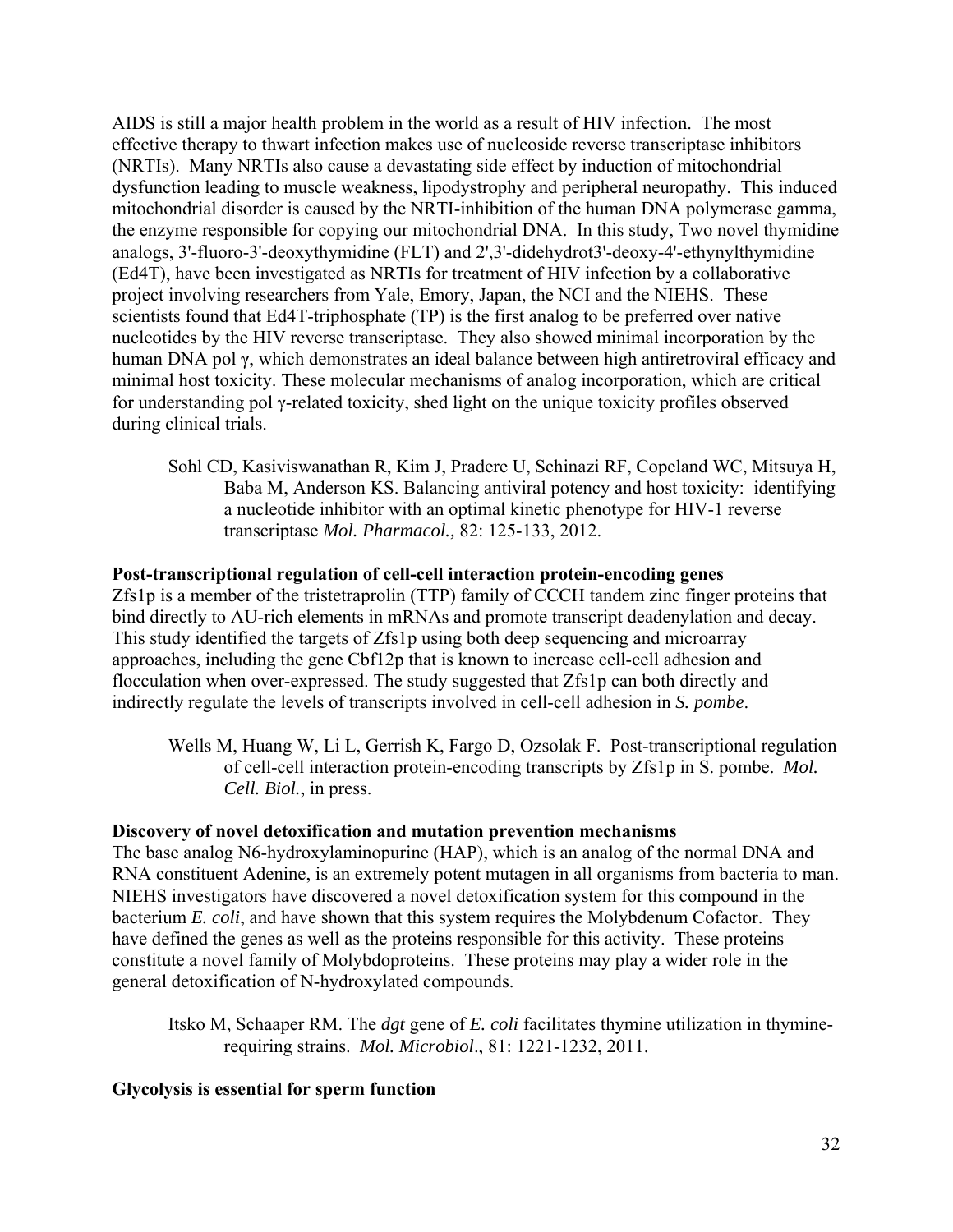AIDS is still a major health problem in the world as a result of HIV infection. The most effective therapy to thwart infection makes use of nucleoside reverse transcriptase inhibitors (NRTIs). Many NRTIs also cause a devastating side effect by induction of mitochondrial dysfunction leading to muscle weakness, lipodystrophy and peripheral neuropathy. This induced mitochondrial disorder is caused by the NRTI-inhibition of the human DNA polymerase gamma, the enzyme responsible for copying our mitochondrial DNA. In this study, Two novel thymidine analogs, 3'-fluoro-3'-deoxythymidine (FLT) and 2',3'-didehydrot3'-deoxy-4'-ethynylthymidine (Ed4T), have been investigated as NRTIs for treatment of HIV infection by a collaborative project involving researchers from Yale, Emory, Japan, the NCI and the NIEHS. These scientists found that Ed4T-triphosphate (TP) is the first analog to be preferred over native nucleotides by the HIV reverse transcriptase. They also showed minimal incorporation by the human DNA pol γ, which demonstrates an ideal balance between high antiretroviral efficacy and minimal host toxicity. These molecular mechanisms of analog incorporation, which are critical for understanding pol γ-related toxicity, shed light on the unique toxicity profiles observed during clinical trials.

Sohl CD, Kasiviswanathan R, Kim J, Pradere U, Schinazi RF, Copeland WC, Mitsuya H, Baba M, Anderson KS. Balancing antiviral potency and host toxicity: identifying a nucleotide inhibitor with an optimal kinetic phenotype for HIV-1 reverse transcriptase *Mol. Pharmacol.,* 82: 125-133, 2012.

## **Post-transcriptional regulation of cell-cell interaction protein-encoding genes**

Zfs1p is a member of the tristetraprolin (TTP) family of CCCH tandem zinc finger proteins that bind directly to AU-rich elements in mRNAs and promote transcript deadenylation and decay. This study identified the targets of Zfs1p using both deep sequencing and microarray approaches, including the gene Cbf12p that is known to increase cell-cell adhesion and flocculation when over-expressed. The study suggested that Zfs1p can both directly and indirectly regulate the levels of transcripts involved in cell-cell adhesion in *S. pombe*.

Wells M, Huang W, Li L, Gerrish K, Fargo D, Ozsolak F. Post-transcriptional regulation of cell-cell interaction protein-encoding transcripts by Zfs1p in S. pombe. *Mol. Cell. Biol.*, in press.

#### **Discovery of novel detoxification and mutation prevention mechanisms**

The base analog N6-hydroxylaminopurine (HAP), which is an analog of the normal DNA and RNA constituent Adenine, is an extremely potent mutagen in all organisms from bacteria to man. NIEHS investigators have discovered a novel detoxification system for this compound in the bacterium *E. coli*, and have shown that this system requires the Molybdenum Cofactor. They have defined the genes as well as the proteins responsible for this activity. These proteins constitute a novel family of Molybdoproteins. These proteins may play a wider role in the general detoxification of N-hydroxylated compounds.

Itsko M, Schaaper RM. The *dgt* gene of *E. coli* facilitates thymine utilization in thyminerequiring strains. *Mol. Microbiol*., 81: 1221-1232, 2011.

## **Glycolysis is essential for sperm function**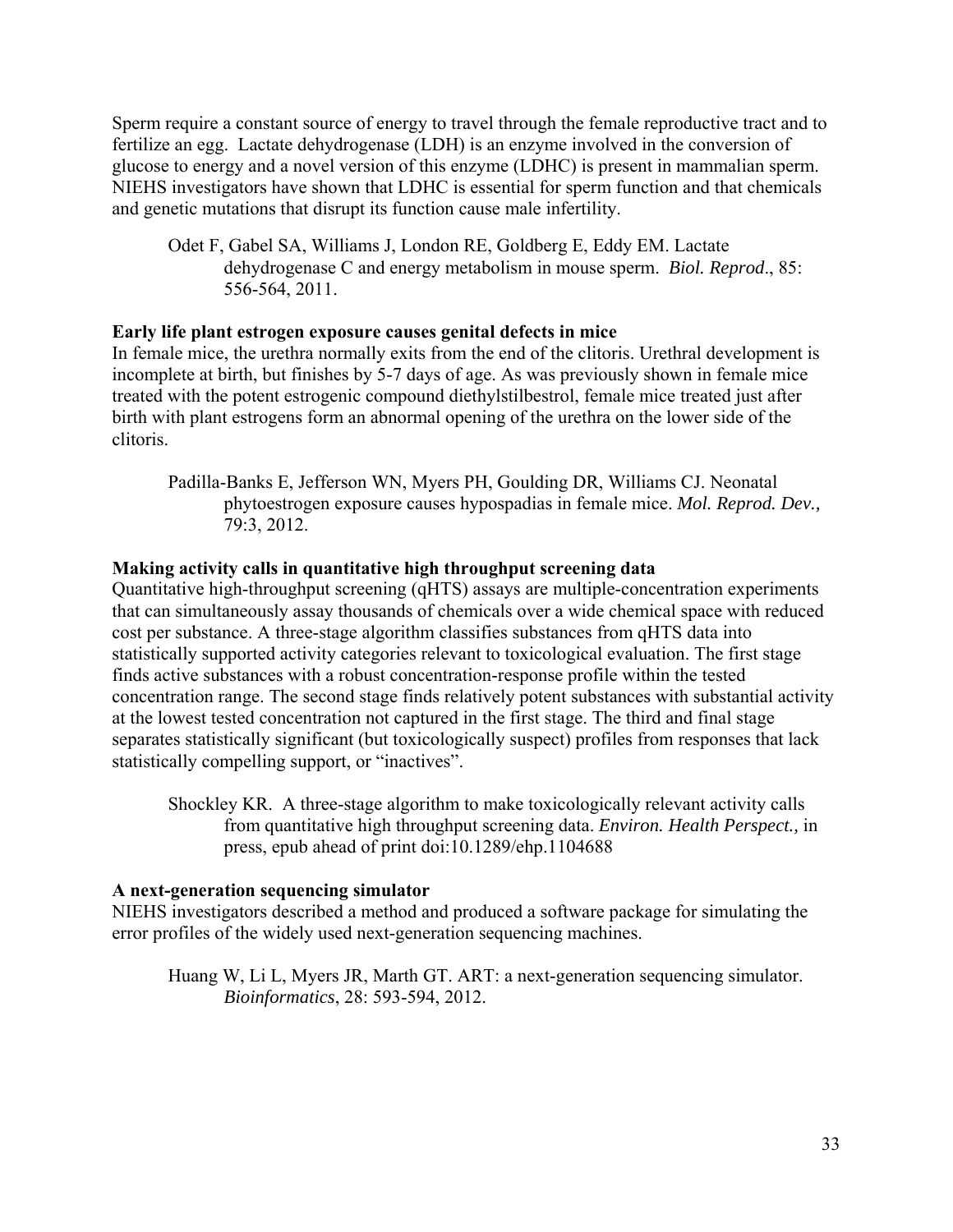glucose to energy and a novel version of this enzyme (LDHC) is present in mammalian sperm. Sperm require a constant source of energy to travel through the female reproductive tract and to fertilize an egg. Lactate dehydrogenase (LDH) is an enzyme involved in the conversion of NIEHS investigators have shown that LDHC is essential for sperm function and that chemicals and genetic mutations that disrupt its function cause male infertility.

 dehydrogenase C and energy metabolism in mouse sperm. *Biol. Reprod*., 85: Odet F, Gabel SA, Williams J, London RE, Goldberg E, Eddy EM. Lactate 556-564, 2011.

#### **Early life plant estrogen exposure causes genital defects in mice**

In female mice, the urethra normally exits from the end of the clitoris. Urethral development is incomplete at birth, but finishes by 5-7 days of age. As was previously shown in female mice treated with the potent estrogenic compound diethylstilbestrol, female mice treated just after birth with plant estrogens form an abnormal opening of the urethra on the lower side of the clitoris.

Padilla-Banks E, Jefferson WN, Myers PH, Goulding DR, Williams CJ. Neonatal phytoestrogen exposure causes hypospadias in female mice. *Mol. Reprod. Dev.,*  79:3, 2012.

## **Making activity calls in quantitative high throughput screening data**

Quantitative high-throughput screening (qHTS) assays are multiple-concentration experiments that can simultaneously assay thousands of chemicals over a wide chemical space with reduced cost per substance. A three-stage algorithm classifies substances from qHTS data into statistically supported activity categories relevant to toxicological evaluation. The first stage finds active substances with a robust concentration-response profile within the tested concentration range. The second stage finds relatively potent substances with substantial activity at the lowest tested concentration not captured in the first stage. The third and final stage separates statistically significant (but toxicologically suspect) profiles from responses that lack statistically compelling support, or "inactives".

Shockley KR. A three-stage algorithm to make toxicologically relevant activity calls from quantitative high throughput screening data. *Environ. Health Perspect.,* in press, epub ahead of print doi:10.1289/ehp.1104688

## **A next-generation sequencing simulator**

NIEHS investigators described a method and produced a software package for simulating the error profiles of the widely used next-generation sequencing machines.

Huang W, Li L, Myers JR, Marth GT. ART: a next-generation sequencing simulator. *Bioinformatics*, 28: 593-594, 2012.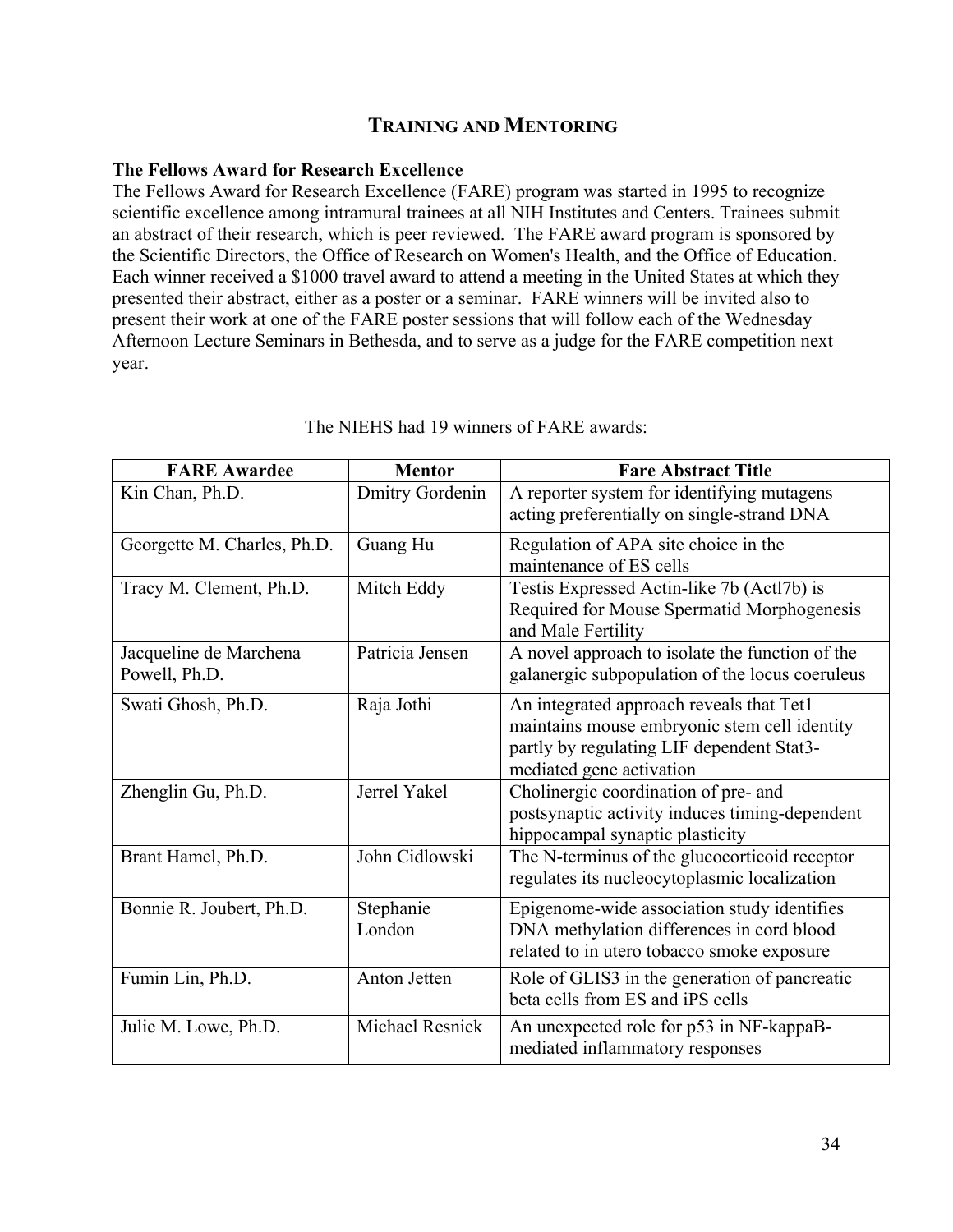## **TRAINING AND MENTORING**

#### **The Fellows Award for Research Excellence**

The Fellows Award for Research Excellence (FARE) program was started in 1995 to recognize scientific excellence among intramural trainees at all NIH Institutes and Centers. Trainees submit an abstract of their research, which is peer reviewed. The FARE award program is sponsored by the Scientific Directors, the Office of Research on Women's Health, and the Office of Education. Each winner received a \$1000 travel award to attend a meeting in the United States at which they presented their abstract, either as a poster or a seminar. FARE winners will be invited also to present their work at one of the FARE poster sessions that will follow each of the Wednesday Afternoon Lecture Seminars in Bethesda, and to serve as a judge for the FARE competition next year.

| <b>FARE Awardee</b>                     | <b>Mentor</b>          | <b>Fare Abstract Title</b>                                                                                                                                        |
|-----------------------------------------|------------------------|-------------------------------------------------------------------------------------------------------------------------------------------------------------------|
| Kin Chan, Ph.D.                         | Dmitry Gordenin        | A reporter system for identifying mutagens<br>acting preferentially on single-strand DNA                                                                          |
| Georgette M. Charles, Ph.D.             | Guang Hu               | Regulation of APA site choice in the<br>maintenance of ES cells                                                                                                   |
| Tracy M. Clement, Ph.D.                 | Mitch Eddy             | Testis Expressed Actin-like 7b (Actl7b) is<br>Required for Mouse Spermatid Morphogenesis<br>and Male Fertility                                                    |
| Jacqueline de Marchena<br>Powell, Ph.D. | Patricia Jensen        | A novel approach to isolate the function of the<br>galanergic subpopulation of the locus coeruleus                                                                |
| Swati Ghosh, Ph.D.                      | Raja Jothi             | An integrated approach reveals that Tet1<br>maintains mouse embryonic stem cell identity<br>partly by regulating LIF dependent Stat3-<br>mediated gene activation |
| Zhenglin Gu, Ph.D.                      | Jerrel Yakel           | Cholinergic coordination of pre- and<br>postsynaptic activity induces timing-dependent<br>hippocampal synaptic plasticity                                         |
| Brant Hamel, Ph.D.                      | John Cidlowski         | The N-terminus of the glucocorticoid receptor<br>regulates its nucleocytoplasmic localization                                                                     |
| Bonnie R. Joubert, Ph.D.                | Stephanie<br>London    | Epigenome-wide association study identifies<br>DNA methylation differences in cord blood<br>related to in utero tobacco smoke exposure                            |
| Fumin Lin, Ph.D.                        | Anton Jetten           | Role of GLIS3 in the generation of pancreatic<br>beta cells from ES and iPS cells                                                                                 |
| Julie M. Lowe, Ph.D.                    | <b>Michael Resnick</b> | An unexpected role for p53 in NF-kappaB-<br>mediated inflammatory responses                                                                                       |

The NIEHS had 19 winners of FARE awards: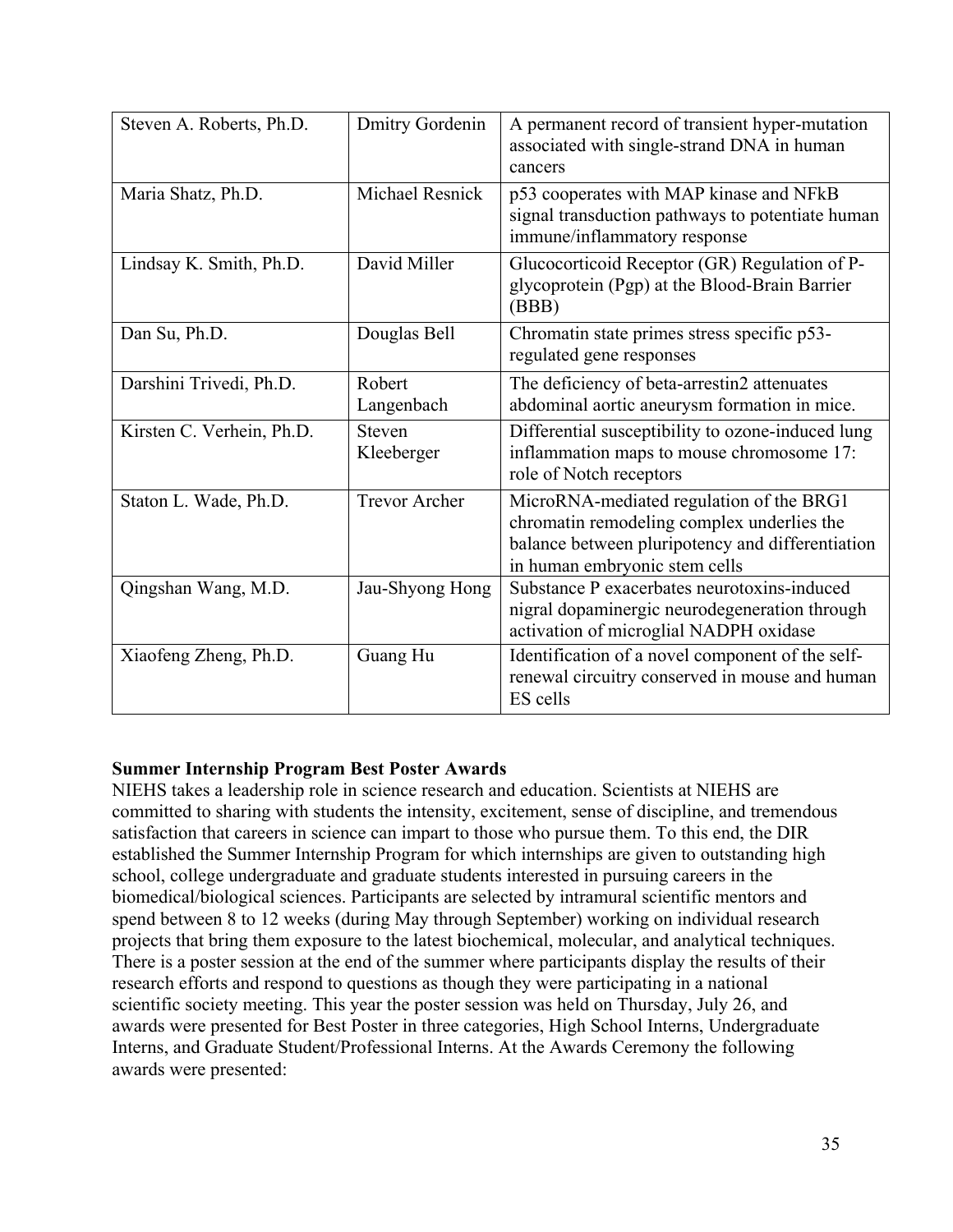| Steven A. Roberts, Ph.D.  | <b>Dmitry Gordenin</b>      | A permanent record of transient hyper-mutation<br>associated with single-strand DNA in human<br>cancers                                                                     |
|---------------------------|-----------------------------|-----------------------------------------------------------------------------------------------------------------------------------------------------------------------------|
| Maria Shatz, Ph.D.        | Michael Resnick             | p53 cooperates with MAP kinase and NFkB<br>signal transduction pathways to potentiate human<br>immune/inflammatory response                                                 |
| Lindsay K. Smith, Ph.D.   | David Miller                | Glucocorticoid Receptor (GR) Regulation of P-<br>glycoprotein (Pgp) at the Blood-Brain Barrier<br>(BBB)                                                                     |
| Dan Su, Ph.D.             | Douglas Bell                | Chromatin state primes stress specific p53-<br>regulated gene responses                                                                                                     |
| Darshini Trivedi, Ph.D.   | Robert<br>Langenbach        | The deficiency of beta-arrestin2 attenuates<br>abdominal aortic aneurysm formation in mice.                                                                                 |
| Kirsten C. Verhein, Ph.D. | <b>Steven</b><br>Kleeberger | Differential susceptibility to ozone-induced lung<br>inflammation maps to mouse chromosome 17:<br>role of Notch receptors                                                   |
| Staton L. Wade, Ph.D.     | <b>Trevor Archer</b>        | MicroRNA-mediated regulation of the BRG1<br>chromatin remodeling complex underlies the<br>balance between pluripotency and differentiation<br>in human embryonic stem cells |
| Qingshan Wang, M.D.       | Jau-Shyong Hong             | Substance P exacerbates neurotoxins-induced<br>nigral dopaminergic neurodegeneration through<br>activation of microglial NADPH oxidase                                      |
| Xiaofeng Zheng, Ph.D.     | Guang Hu                    | Identification of a novel component of the self-<br>renewal circuitry conserved in mouse and human<br>ES cells                                                              |

## **Summer Internship Program Best Poster Awards**

NIEHS takes a leadership role in science research and education. Scientists at NIEHS are committed to sharing with students the intensity, excitement, sense of discipline, and tremendous satisfaction that careers in science can impart to those who pursue them. To this end, the DIR established the Summer Internship Program for which internships are given to outstanding high school, college undergraduate and graduate students interested in pursuing careers in the biomedical/biological sciences. Participants are selected by intramural scientific mentors and spend between 8 to 12 weeks (during May through September) working on individual research projects that bring them exposure to the latest biochemical, molecular, and analytical techniques. There is a poster session at the end of the summer where participants display the results of their research efforts and respond to questions as though they were participating in a national scientific society meeting. This year the poster session was held on Thursday, July 26, and awards were presented for Best Poster in three categories, High School Interns, Undergraduate Interns, and Graduate Student/Professional Interns. At the Awards Ceremony the following awards were presented: